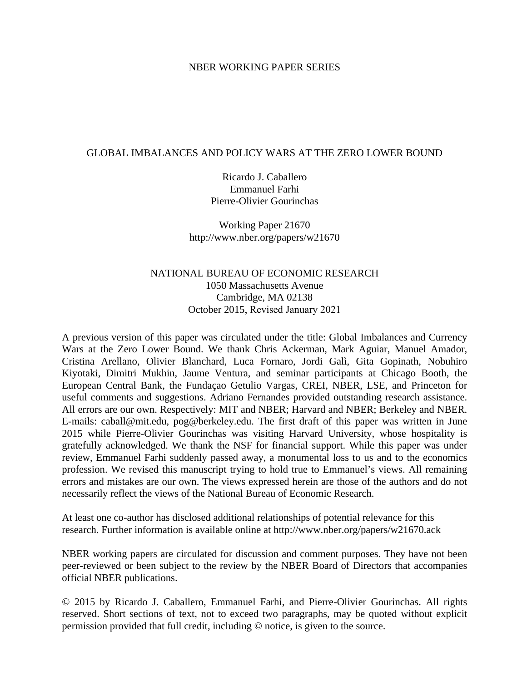### NBER WORKING PAPER SERIES

### GLOBAL IMBALANCES AND POLICY WARS AT THE ZERO LOWER BOUND

Ricardo J. Caballero Emmanuel Farhi Pierre-Olivier Gourinchas

Working Paper 21670 http://www.nber.org/papers/w21670

### NATIONAL BUREAU OF ECONOMIC RESEARCH 1050 Massachusetts Avenue Cambridge, MA 02138 October 2015, Revised January 2021

A previous version of this paper was circulated under the title: Global Imbalances and Currency Wars at the Zero Lower Bound. We thank Chris Ackerman, Mark Aguiar, Manuel Amador, Cristina Arellano, Olivier Blanchard, Luca Fornaro, Jordi Galì, Gita Gopinath, Nobuhiro Kiyotaki, Dimitri Mukhin, Jaume Ventura, and seminar participants at Chicago Booth, the European Central Bank, the Fundaçao Getulio Vargas, CREI, NBER, LSE, and Princeton for useful comments and suggestions. Adriano Fernandes provided outstanding research assistance. All errors are our own. Respectively: MIT and NBER; Harvard and NBER; Berkeley and NBER. E-mails: caball@mit.edu, pog@berkeley.edu. The first draft of this paper was written in June 2015 while Pierre-Olivier Gourinchas was visiting Harvard University, whose hospitality is gratefully acknowledged. We thank the NSF for financial support. While this paper was under review, Emmanuel Farhi suddenly passed away, a monumental loss to us and to the economics profession. We revised this manuscript trying to hold true to Emmanuel's views. All remaining errors and mistakes are our own. The views expressed herein are those of the authors and do not necessarily reflect the views of the National Bureau of Economic Research.

At least one co-author has disclosed additional relationships of potential relevance for this research. Further information is available online at http://www.nber.org/papers/w21670.ack

NBER working papers are circulated for discussion and comment purposes. They have not been peer-reviewed or been subject to the review by the NBER Board of Directors that accompanies official NBER publications.

© 2015 by Ricardo J. Caballero, Emmanuel Farhi, and Pierre-Olivier Gourinchas. All rights reserved. Short sections of text, not to exceed two paragraphs, may be quoted without explicit permission provided that full credit, including © notice, is given to the source.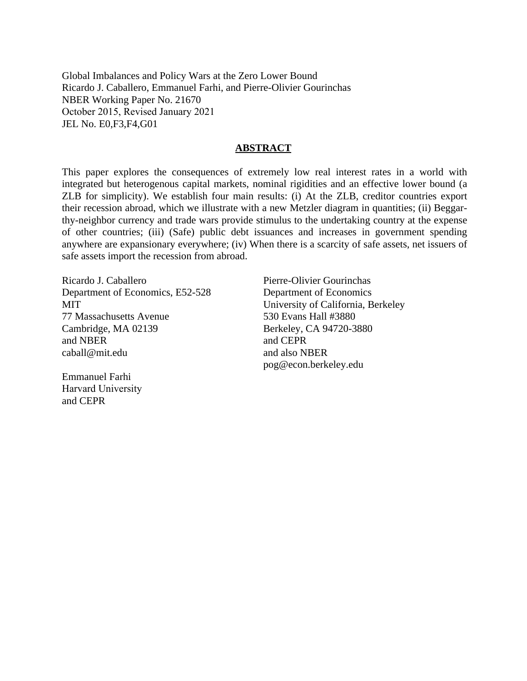Global Imbalances and Policy Wars at the Zero Lower Bound Ricardo J. Caballero, Emmanuel Farhi, and Pierre-Olivier Gourinchas NBER Working Paper No. 21670 October 2015, Revised January 2021 JEL No. E0,F3,F4,G01

### **ABSTRACT**

This paper explores the consequences of extremely low real interest rates in a world with integrated but heterogenous capital markets, nominal rigidities and an effective lower bound (a ZLB for simplicity). We establish four main results: (i) At the ZLB, creditor countries export their recession abroad, which we illustrate with a new Metzler diagram in quantities; (ii) Beggarthy-neighbor currency and trade wars provide stimulus to the undertaking country at the expense of other countries; (iii) (Safe) public debt issuances and increases in government spending anywhere are expansionary everywhere; (iv) When there is a scarcity of safe assets, net issuers of safe assets import the recession from abroad.

Ricardo J. Caballero Department of Economics, E52-528 **MIT** 77 Massachusetts Avenue Cambridge, MA 02139 and NBER caball@mit.edu

Emmanuel Farhi Harvard University and CEPR

Pierre-Olivier Gourinchas Department of Economics University of California, Berkeley 530 Evans Hall #3880 Berkeley, CA 94720-3880 and CEPR and also NBER pog@econ.berkeley.edu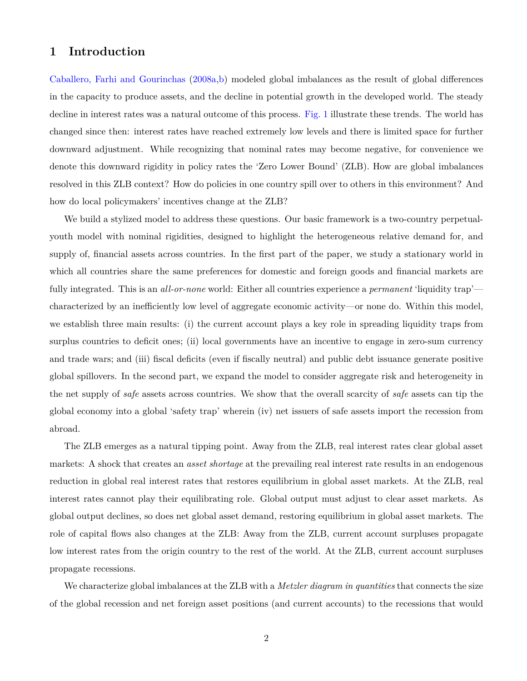### **1 Introduction**

[Caballero, Farhi and Gourinchas](#page-48-0) [\(2008a](#page-48-0)[,b](#page-48-1)) modeled global imbalances as the result of global differences in the capacity to produce assets, and the decline in potential growth in the developed world. The steady decline in interest rates was a natural outcome of this process. [Fig. 1](#page-3-0) illustrate these trends. The world has changed since then: interest rates have reached extremely low levels and there is limited space for further downward adjustment. While recognizing that nominal rates may become negative, for convenience we denote this downward rigidity in policy rates the 'Zero Lower Bound' (ZLB). How are global imbalances resolved in this ZLB context? How do policies in one country spill over to others in this environment? And how do local policymakers' incentives change at the ZLB?

We build a stylized model to address these questions. Our basic framework is a two-country perpetualyouth model with nominal rigidities, designed to highlight the heterogeneous relative demand for, and supply of, financial assets across countries. In the first part of the paper, we study a stationary world in which all countries share the same preferences for domestic and foreign goods and financial markets are fully integrated. This is an *all-or-none* world: Either all countries experience a *permanent* 'liquidity trap' characterized by an inefficiently low level of aggregate economic activity—or none do. Within this model, we establish three main results: (i) the current account plays a key role in spreading liquidity traps from surplus countries to deficit ones; (ii) local governments have an incentive to engage in zero-sum currency and trade wars; and (iii) fiscal deficits (even if fiscally neutral) and public debt issuance generate positive global spillovers. In the second part, we expand the model to consider aggregate risk and heterogeneity in the net supply of *safe* assets across countries. We show that the overall scarcity of *safe* assets can tip the global economy into a global 'safety trap' wherein (iv) net issuers of safe assets import the recession from abroad.

The ZLB emerges as a natural tipping point. Away from the ZLB, real interest rates clear global asset markets: A shock that creates an *asset shortage* at the prevailing real interest rate results in an endogenous reduction in global real interest rates that restores equilibrium in global asset markets. At the ZLB, real interest rates cannot play their equilibrating role. Global output must adjust to clear asset markets. As global output declines, so does net global asset demand, restoring equilibrium in global asset markets. The role of capital flows also changes at the ZLB: Away from the ZLB, current account surpluses propagate low interest rates from the origin country to the rest of the world. At the ZLB, current account surpluses propagate recessions.

We characterize global imbalances at the ZLB with a *Metzler diagram in quantities* that connects the size of the global recession and net foreign asset positions (and current accounts) to the recessions that would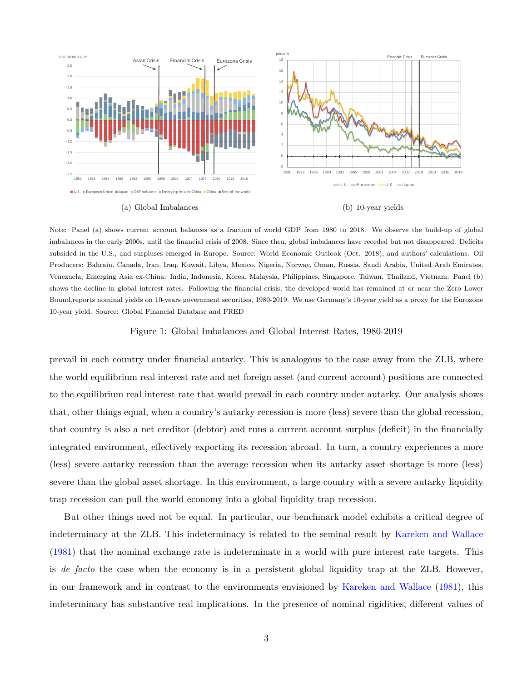

Note: Panel (a) shows current account balances as a fraction of world GDP from 1980 to 2018. We observe the build-up of global imbalances in the early 2000s, until the financial crisis of 2008. Since then, global imbalances have receded but not disappeared. Deficits subsided in the U.S., and surpluses emerged in Europe. Source: World Economic Outlook (Oct. 2018), and authors' calculations. Oil Producers: Bahrain, Canada, Iran, Iraq, Kuwait, Libya, Mexico, Nigeria, Norway, Oman, Russia, Saudi Arabia, United Arab Emirates, Venezuela; Emerging Asia ex-China: India, Indonesia, Korea, Malaysia, Philippines, Singapore, Taiwan, Thailand, Vietnam. Panel (b) shows the decline in global interest rates. Following the financial crisis, the developed world has remained at or near the Zero Lower Bound.reports nominal yields on 10-years government securities, 1980-2019. We use Germany's 10-year yield as a proxy for the Eurozone 10-year yield. Source: Global Financial Database and FRED

#### <span id="page-3-0"></span>Figure 1: Global Imbalances and Global Interest Rates, 1980-2019

prevail in each country under financial autarky. This is analogous to the case away from the ZLB, where the world equilibrium real interest rate and net foreign asset (and current account) positions are connected to the equilibrium real interest rate that would prevail in each country under autarky. Our analysis shows that, other things equal, when a country's autarky recession is more (less) severe than the global recession, that country is also a net creditor (debtor) and runs a current account surplus (deficit) in the financially integrated environment, effectively exporting its recession abroad. In turn, a country experiences a more (less) severe autarky recession than the average recession when its autarky asset shortage is more (less) severe than the global asset shortage. In this environment, a large country with a severe autarky liquidity trap recession can pull the world economy into a global liquidity trap recession.

But other things need not be equal. In particular, our benchmark model exhibits a critical degree of indeterminacy at the ZLB. This indeterminacy is related to the seminal result by [Kareken and Wallace](#page-50-0) ([1981\)](#page-50-0) that the nominal exchange rate is indeterminate in a world with pure interest rate targets. This is *de facto* the case when the economy is in a persistent global liquidity trap at the ZLB. However, in our framework and in contrast to the environments envisioned by [Kareken and Wallace](#page-50-0) ([1981\)](#page-50-0), this indeterminacy has substantive real implications. In the presence of nominal rigidities, different values of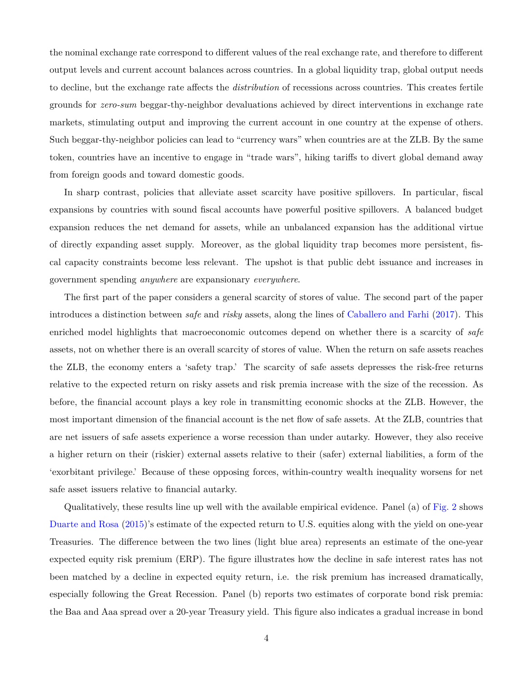the nominal exchange rate correspond to different values of the real exchange rate, and therefore to different output levels and current account balances across countries. In a global liquidity trap, global output needs to decline, but the exchange rate affects the *distribution* of recessions across countries. This creates fertile grounds for *zero-sum* beggar-thy-neighbor devaluations achieved by direct interventions in exchange rate markets, stimulating output and improving the current account in one country at the expense of others. Such beggar-thy-neighbor policies can lead to "currency wars" when countries are at the ZLB. By the same token, countries have an incentive to engage in "trade wars", hiking tariffs to divert global demand away from foreign goods and toward domestic goods.

In sharp contrast, policies that alleviate asset scarcity have positive spillovers. In particular, fiscal expansions by countries with sound fiscal accounts have powerful positive spillovers. A balanced budget expansion reduces the net demand for assets, while an unbalanced expansion has the additional virtue of directly expanding asset supply. Moreover, as the global liquidity trap becomes more persistent, fiscal capacity constraints become less relevant. The upshot is that public debt issuance and increases in government spending *anywhere* are expansionary *everywhere*.

The first part of the paper considers a general scarcity of stores of value. The second part of the paper introduces a distinction between *safe* and *risky* assets, along the lines of [Caballero and Farhi](#page-48-2) [\(2017](#page-48-2)). This enriched model highlights that macroeconomic outcomes depend on whether there is a scarcity of *safe* assets, not on whether there is an overall scarcity of stores of value. When the return on safe assets reaches the ZLB, the economy enters a 'safety trap.' The scarcity of safe assets depresses the risk-free returns relative to the expected return on risky assets and risk premia increase with the size of the recession. As before, the financial account plays a key role in transmitting economic shocks at the ZLB. However, the most important dimension of the financial account is the net flow of safe assets. At the ZLB, countries that are net issuers of safe assets experience a worse recession than under autarky. However, they also receive a higher return on their (riskier) external assets relative to their (safer) external liabilities, a form of the 'exorbitant privilege.' Because of these opposing forces, within-country wealth inequality worsens for net safe asset issuers relative to financial autarky.

Qualitatively, these results line up well with the available empirical evidence. Panel (a) of [Fig. 2](#page-6-0) shows [Duarte and Rosa](#page-49-0) ([2015](#page-49-0))'s estimate of the expected return to U.S. equities along with the yield on one-year Treasuries. The difference between the two lines (light blue area) represents an estimate of the one-year expected equity risk premium (ERP). The figure illustrates how the decline in safe interest rates has not been matched by a decline in expected equity return, i.e. the risk premium has increased dramatically, especially following the Great Recession. Panel (b) reports two estimates of corporate bond risk premia: the Baa and Aaa spread over a 20-year Treasury yield. This figure also indicates a gradual increase in bond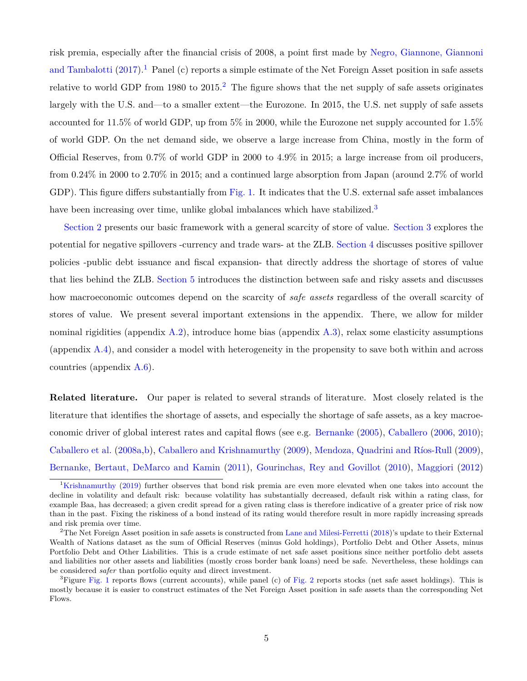risk premia, especially after the financial crisis of 2008, a point first made by [Negro, Giannone, Giannoni](#page-51-0) [and Tambalotti](#page-51-0)  $(2017)^{1}$  $(2017)^{1}$  $(2017)^{1}$  Panel (c) reports a simple estimate of the Net Foreign Asset position in safe assets relative to world GDP from 1980 to  $2015<sup>2</sup>$ . The figure shows that the net supply of safe assets originates largely with the U.S. and—to a smaller extent—the Eurozone. In 2015, the U.S. net supply of safe assets accounted for 11.5% of world GDP, up from 5% in 2000, while the Eurozone net supply accounted for 1.5% of world GDP. On the net demand side, we observe a large increase from China, mostly in the form of Official Reserves, from 0.7% of world GDP in 2000 to 4.9% in 2015; a large increase from oil producers, from 0.24% in 2000 to 2.70% in 2015; and a continued large absorption from Japan (around 2.7% of world GDP). This figure differs substantially from [Fig. 1.](#page-3-0) It indicates that the U.S. external safe asset imbalances have been increasing over time, unlike global imbalances which have stabilized.<sup>3</sup>

[Section 2](#page-8-0) presents our basic framework with a general scarcity of store of value. [Section 3](#page-25-0) explores the potential for negative spillovers -currency and trade wars- at the ZLB. [Section 4](#page-34-0) discusses positive spillover policies -public debt issuance and fiscal expansion- that directly address the shortage of stores of value that lies behind the ZLB. [Section 5](#page-37-0) introduces the distinction between safe and risky assets and discusses how macroeconomic outcomes depend on the scarcity of *safe assets* regardless of the overall scarcity of stores of value. We present several important extensions in the appendix. There, we allow for milder nominal rigidities (appendix  $A.2$ ), introduce home bias (appendix  $A.3$ ), relax some elasticity assumptions (appendix [A.4\)](#page-57-0), and consider a model with heterogeneity in the propensity to save both within and across countries (appendix [A.6](#page-64-0)).

**Related literature.** Our paper is related to several strands of literature. Most closely related is the literature that identifies the shortage of assets, and especially the shortage of safe assets, as a key macroeconomic driver of global interest rates and capital flows (see e.g. [Bernanke](#page-48-3) ([2005\)](#page-48-3), [Caballero](#page-48-4) [\(2006](#page-48-4), [2010](#page-48-5)); [Caballero et al.](#page-48-0) [\(2008a,](#page-48-0)[b\)](#page-48-1), [Caballero and Krishnamurthy](#page-48-6) [\(2009](#page-48-6)), [Mendoza, Quadrini and Ríos-Rull](#page-50-1) ([2009](#page-50-1)), [Bernanke, Bertaut, DeMarco and Kamin](#page-48-7) [\(2011](#page-48-7)), [Gourinchas, Rey and Govillot](#page-50-2) [\(2010\)](#page-50-2), [Maggiori](#page-50-3) ([2012](#page-50-3))

<sup>&</sup>lt;sup>1</sup>[Krishnamurthy](#page-50-4) [\(2019\)](#page-50-4) further observes that bond risk premia are even more elevated when one takes into account the decline in volatility and default risk: because volatility has substantially decreased, default risk within a rating class, for example Baa, has decreased; a given credit spread for a given rating class is therefore indicative of a greater price of risk now than in the past. Fixing the riskiness of a bond instead of its rating would therefore result in more rapidly increasing spreads and risk premia over time.

<sup>&</sup>lt;sup>2</sup>The Net Foreign Asset position in safe assets is constructed from [Lane and Milesi-Ferretti](#page-50-5) [\(2018\)](#page-50-5)'s update to their External Wealth of Nations dataset as the sum of Official Reserves (minus Gold holdings), Portfolio Debt and Other Assets, minus Portfolio Debt and Other Liabilities. This is a crude estimate of net safe asset positions since neither portfolio debt assets and liabilities nor other assets and liabilities (mostly cross border bank loans) need be safe. Nevertheless, these holdings can be considered *safer* than portfolio equity and direct investment.

 ${}^{3}$ Figure [Fig. 1](#page-3-0) reports flows (current accounts), while panel (c) of [Fig. 2](#page-6-0) reports stocks (net safe asset holdings). This is mostly because it is easier to construct estimates of the Net Foreign Asset position in safe assets than the corresponding Net Flows.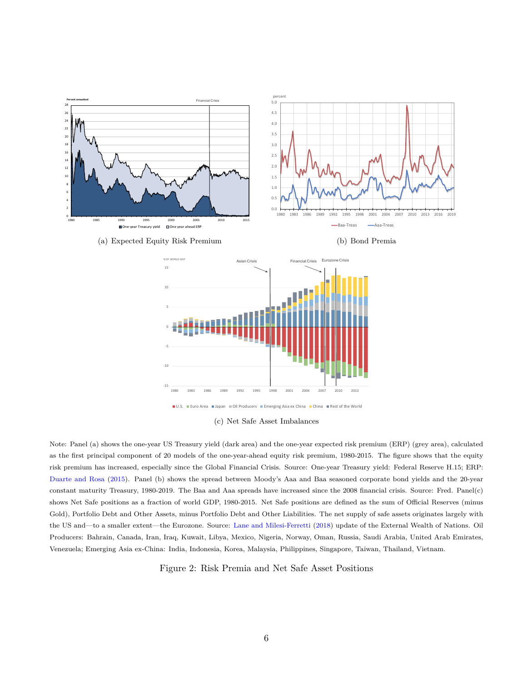

(a) Expected Equity Risk Premium

(b) Bond Premia



(c) Net Safe Asset Imbalances

Note: Panel (a) shows the one-year US Treasury yield (dark area) and the one-year expected risk premium (ERP) (grey area), calculated as the first principal component of 20 models of the one-year-ahead equity risk premium, 1980-2015. The figure shows that the equity risk premium has increased, especially since the Global Financial Crisis. Source: One-year Treasury yield: Federal Reserve H.15; ERP: [Duarte and Rosa](#page-49-0) [\(2015](#page-49-0)). Panel (b) shows the spread between Moody's Aaa and Baa seasoned corporate bond yields and the 20-year constant maturity Treasury, 1980-2019. The Baa and Aaa spreads have increased since the 2008 financial crisis. Source: Fred. Panel(c) shows Net Safe positions as a fraction of world GDP, 1980-2015. Net Safe positions are defined as the sum of Official Reserves (minus Gold), Portfolio Debt and Other Assets, minus Portfolio Debt and Other Liabilities. The net supply of safe assets originates largely with the US and—to a smaller extent—the Eurozone. Source: [Lane and Milesi-Ferretti](#page-50-5) [\(2018](#page-50-5)) update of the External Wealth of Nations. Oil Producers: Bahrain, Canada, Iran, Iraq, Kuwait, Libya, Mexico, Nigeria, Norway, Oman, Russia, Saudi Arabia, United Arab Emirates, Venezuela; Emerging Asia ex-China: India, Indonesia, Korea, Malaysia, Philippines, Singapore, Taiwan, Thailand, Vietnam.

<span id="page-6-0"></span>Figure 2: Risk Premia and Net Safe Asset Positions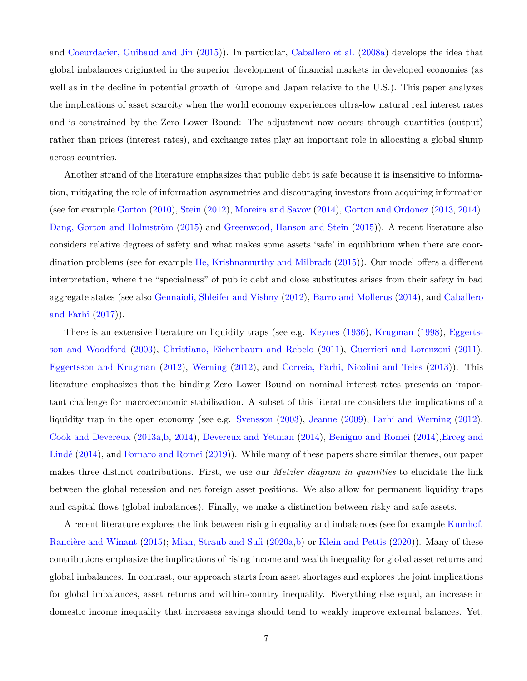and [Coeurdacier, Guibaud and Jin](#page-48-8) [\(2015](#page-48-8))). In particular, [Caballero et al.](#page-48-0) [\(2008a\)](#page-48-0) develops the idea that global imbalances originated in the superior development of financial markets in developed economies (as well as in the decline in potential growth of Europe and Japan relative to the U.S.). This paper analyzes the implications of asset scarcity when the world economy experiences ultra-low natural real interest rates and is constrained by the Zero Lower Bound: The adjustment now occurs through quantities (output) rather than prices (interest rates), and exchange rates play an important role in allocating a global slump across countries.

Another strand of the literature emphasizes that public debt is safe because it is insensitive to information, mitigating the role of information asymmetries and discouraging investors from acquiring information (see for example [Gorton](#page-49-1) ([2010](#page-49-1)), [Stein](#page-51-1) [\(2012\)](#page-51-1), [Moreira and Savov](#page-51-2) [\(2014](#page-51-2)), [Gorton and Ordonez](#page-49-2) ([2013,](#page-49-2) [2014](#page-49-3)), [Dang, Gorton and Holmström](#page-49-4) [\(2015](#page-49-4)) and [Greenwood, Hanson and Stein](#page-50-6) ([2015\)](#page-50-6)). A recent literature also considers relative degrees of safety and what makes some assets 'safe' in equilibrium when there are coordination problems (see for example [He, Krishnamurthy and Milbradt](#page-50-7) ([2015\)](#page-50-7)). Our model offers a different interpretation, where the "specialness" of public debt and close substitutes arises from their safety in bad aggregate states (see also [Gennaioli, Shleifer and Vishny](#page-49-5) [\(2012](#page-49-5)), [Barro and Mollerus](#page-48-9) [\(2014\)](#page-48-9), and [Caballero](#page-48-2) [and Farhi](#page-48-2) ([2017\)](#page-48-2)).

There is an extensive literature on liquidity traps (see e.g. [Keynes](#page-50-8) ([1936\)](#page-50-8), [Krugman](#page-50-9) ([1998\)](#page-50-9), [Eggerts](#page-49-6)[son and Woodford](#page-49-6) ([2003\)](#page-49-6), [Christiano, Eichenbaum and Rebelo](#page-48-10) [\(2011](#page-48-10)), [Guerrieri and Lorenzoni](#page-50-10) ([2011](#page-50-10)), [Eggertsson and Krugman](#page-49-7) ([2012](#page-49-7)), [Werning](#page-51-3) [\(2012\)](#page-51-3), and [Correia, Farhi, Nicolini and Teles](#page-49-8) ([2013](#page-49-8))). This literature emphasizes that the binding Zero Lower Bound on nominal interest rates presents an important challenge for macroeconomic stabilization. A subset of this literature considers the implications of a liquidity trap in the open economy (see e.g. [Svensson](#page-51-4) ([2003](#page-51-4)), [Jeanne](#page-50-11) [\(2009\)](#page-50-11), [Farhi and Werning](#page-49-9) ([2012](#page-49-9)), [Cook and Devereux](#page-48-11) ([2013a,](#page-48-11)[b](#page-48-12), [2014\)](#page-49-10), [Devereux and Yetman](#page-49-11) ([2014\)](#page-49-11), [Benigno and Romei](#page-48-13) [\(2014](#page-48-13)),[Erceg and](#page-49-12) [Lindé](#page-49-12) ([2014](#page-49-12)), and [Fornaro and Romei](#page-49-13) [\(2019](#page-49-13))). While many of these papers share similar themes, our paper makes three distinct contributions. First, we use our *Metzler diagram in quantities* to elucidate the link between the global recession and net foreign asset positions. We also allow for permanent liquidity traps and capital flows (global imbalances). Finally, we make a distinction between risky and safe assets.

A recent literature explores the link between rising inequality and imbalances (see for example [Kumhof,](#page-50-12) [Rancière and Winant](#page-50-12) [\(2015\)](#page-50-12); [Mian, Straub and Sufi](#page-51-5) [\(2020a,](#page-51-5)[b\)](#page-51-6) or [Klein and Pettis](#page-50-13) [\(2020](#page-50-13))). Many of these contributions emphasize the implications of rising income and wealth inequality for global asset returns and global imbalances. In contrast, our approach starts from asset shortages and explores the joint implications for global imbalances, asset returns and within-country inequality. Everything else equal, an increase in domestic income inequality that increases savings should tend to weakly improve external balances. Yet,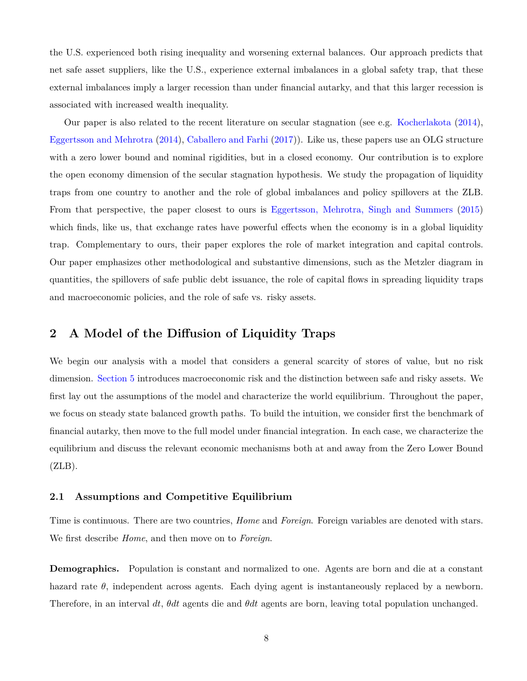the U.S. experienced both rising inequality and worsening external balances. Our approach predicts that net safe asset suppliers, like the U.S., experience external imbalances in a global safety trap, that these external imbalances imply a larger recession than under financial autarky, and that this larger recession is associated with increased wealth inequality.

Our paper is also related to the recent literature on secular stagnation (see e.g. [Kocherlakota](#page-50-14) ([2014](#page-50-14)), [Eggertsson and Mehrotra](#page-49-14) [\(2014\)](#page-49-14), [Caballero and Farhi](#page-48-2) [\(2017\)](#page-48-2)). Like us, these papers use an OLG structure with a zero lower bound and nominal rigidities, but in a closed economy. Our contribution is to explore the open economy dimension of the secular stagnation hypothesis. We study the propagation of liquidity traps from one country to another and the role of global imbalances and policy spillovers at the ZLB. From that perspective, the paper closest to ours is [Eggertsson, Mehrotra, Singh and Summers](#page-49-15) ([2015](#page-49-15)) which finds, like us, that exchange rates have powerful effects when the economy is in a global liquidity trap. Complementary to ours, their paper explores the role of market integration and capital controls. Our paper emphasizes other methodological and substantive dimensions, such as the Metzler diagram in quantities, the spillovers of safe public debt issuance, the role of capital flows in spreading liquidity traps and macroeconomic policies, and the role of safe vs. risky assets.

# <span id="page-8-0"></span>**2 A Model of the Diffusion of Liquidity Traps**

We begin our analysis with a model that considers a general scarcity of stores of value, but no risk dimension. [Section 5](#page-37-0) introduces macroeconomic risk and the distinction between safe and risky assets. We first lay out the assumptions of the model and characterize the world equilibrium. Throughout the paper, we focus on steady state balanced growth paths. To build the intuition, we consider first the benchmark of financial autarky, then move to the full model under financial integration. In each case, we characterize the equilibrium and discuss the relevant economic mechanisms both at and away from the Zero Lower Bound  $(ZLB)$ .

### <span id="page-8-1"></span>**2.1 Assumptions and Competitive Equilibrium**

Time is continuous. There are two countries, *Home* and *Foreign*. Foreign variables are denoted with stars. We first describe *Home*, and then move on to *Foreign*.

**Demographics.** Population is constant and normalized to one. Agents are born and die at a constant hazard rate  $\theta$ , independent across agents. Each dying agent is instantaneously replaced by a newborn. Therefore, in an interval *dt*, *θdt* agents die and *θdt* agents are born, leaving total population unchanged.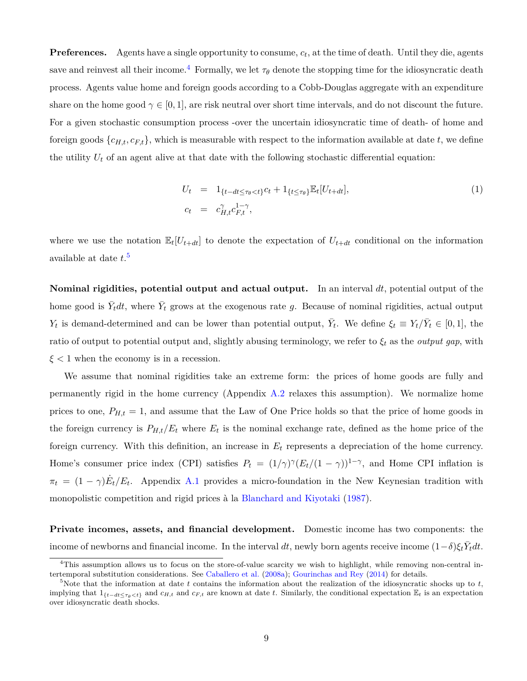**Preferences.** Agents have a single opportunity to consume, *c<sup>t</sup>* , at the time of death. Until they die, agents save and reinvest all their income.<sup>4</sup> Formally, we let  $\tau_{\theta}$  denote the stopping time for the idiosyncratic death process. Agents value home and foreign goods according to a Cobb-Douglas aggregate with an expenditure share on the home good  $\gamma \in [0, 1]$ , are risk neutral over short time intervals, and do not discount the future. For a given stochastic consumption process -over the uncertain idiosyncratic time of death- of home and foreign goods  $\{c_{H,t}, c_{F,t}\}$ , which is measurable with respect to the information available at date *t*, we define the utility  $U_t$  of an agent alive at that date with the following stochastic differential equation:

$$
U_t = 1_{\{t - dt \le \tau_\theta < t\}} c_t + 1_{\{t \le \tau_\theta\}} \mathbb{E}_t [U_{t + dt}],
$$
\n
$$
c_t = c_{H,t}^{\gamma} c_{F,t}^{1-\gamma},
$$
\n
$$
(1)
$$

where we use the notation  $\mathbb{E}_t[U_{t+dt}]$  to denote the expectation of  $U_{t+dt}$  conditional on the information available at date *t*. 5

**Nominal rigidities, potential output and actual output.** In an interval *dt*, potential output of the home good is  $\bar{Y}_t dt$ , where  $\bar{Y}_t$  grows at the exogenous rate g. Because of nominal rigidities, actual output *Y*<sub>t</sub> is demand-determined and can be lower than potential output,  $\bar{Y}_t$ . We define  $\xi_t \equiv Y_t / \bar{Y}_t \in [0,1]$ , the ratio of output to potential output and, slightly abusing terminology, we refer to *ξ<sup>t</sup>* as the *output gap*, with *ξ <* 1 when the economy is in a recession.

We assume that nominal rigidities take an extreme form: the prices of home goods are fully and permanently rigid in the home currency (Appendix [A.2](#page-52-0) relaxes this assumption). We normalize home prices to one,  $P_{H,t} = 1$ , and assume that the Law of One Price holds so that the price of home goods in the foreign currency is  $P_{H,t}/E_t$  where  $E_t$  is the nominal exchange rate, defined as the home price of the foreign currency. With this definition, an increase in *E<sup>t</sup>* represents a depreciation of the home currency. Home's consumer price index (CPI) satisfies  $P_t = (1/\gamma)^{\gamma} (E_t/(1-\gamma))^{1-\gamma}$ , and Home CPI inflation is  $\pi_t = (1 - \gamma)E_t/E_t$ . Appendix [A.1](#page-52-1) provides a micro-foundation in the New Keynesian tradition with monopolistic competition and rigid prices à la [Blanchard and Kiyotaki](#page-48-14) [\(1987\)](#page-48-14).

**Private incomes, assets, and financial development.** Domestic income has two components: the income of newborns and financial income. In the interval  $dt$ , newly born agents receive income  $(1-\delta)\xi_t\bar{Y}_tdt$ .

<sup>4</sup>This assumption allows us to focus on the store-of-value scarcity we wish to highlight, while removing non-central intertemporal substitution considerations. See [Caballero et al.](#page-48-0) [\(2008a](#page-48-0)); [Gourinchas and Rey](#page-49-16) [\(2014\)](#page-49-16) for details.

<sup>&</sup>lt;sup>5</sup>Note that the information at date *t* contains the information about the realization of the idiosyncratic shocks up to  $t$ , implying that  $1_{\{t-dt \leq \tau_a \leq t\}}$  and  $c_{H,t}$  and  $c_{F,t}$  are known at date t. Similarly, the conditional expectation  $\mathbb{E}_t$  is an expectation over idiosyncratic death shocks.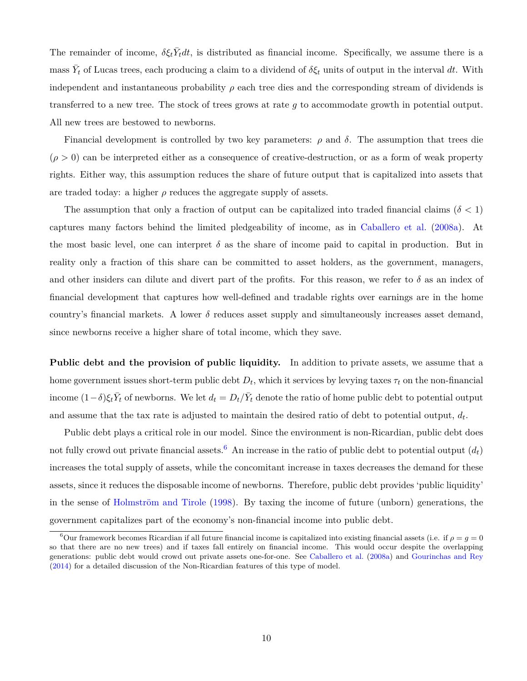The remainder of income,  $\delta \xi_t \bar{Y}_t dt$ , is distributed as financial income. Specifically, we assume there is a  $\overline{Y}_t$  of Lucas trees, each producing a claim to a dividend of  $\delta \xi_t$  units of output in the interval dt. With independent and instantaneous probability  $\rho$  each tree dies and the corresponding stream of dividends is transferred to a new tree. The stock of trees grows at rate *g* to accommodate growth in potential output. All new trees are bestowed to newborns.

Financial development is controlled by two key parameters:  $\rho$  and  $\delta$ . The assumption that trees die  $(\rho > 0)$  can be interpreted either as a consequence of creative-destruction, or as a form of weak property rights. Either way, this assumption reduces the share of future output that is capitalized into assets that are traded today: a higher  $\rho$  reduces the aggregate supply of assets.

The assumption that only a fraction of output can be capitalized into traded financial claims ( $\delta$  < 1) captures many factors behind the limited pledgeability of income, as in [Caballero et al.](#page-48-0) [\(2008a\)](#page-48-0). At the most basic level, one can interpret  $\delta$  as the share of income paid to capital in production. But in reality only a fraction of this share can be committed to asset holders, as the government, managers, and other insiders can dilute and divert part of the profits. For this reason, we refer to  $\delta$  as an index of financial development that captures how well-defined and tradable rights over earnings are in the home country's financial markets. A lower  $\delta$  reduces asset supply and simultaneously increases asset demand, since newborns receive a higher share of total income, which they save.

**Public debt and the provision of public liquidity.** In addition to private assets, we assume that a home government issues short-term public debt  $D_t$ , which it services by levying taxes  $\tau_t$  on the non-financial income  $(1-\delta)\xi_t\bar{Y}_t$  of newborns. We let  $d_t = D_t/\bar{Y}_t$  denote the ratio of home public debt to potential output and assume that the tax rate is adjusted to maintain the desired ratio of debt to potential output, *d<sup>t</sup>* .

Public debt plays a critical role in our model. Since the environment is non-Ricardian, public debt does not fully crowd out private financial assets.<sup>6</sup> An increase in the ratio of public debt to potential output  $(d_t)$ increases the total supply of assets, while the concomitant increase in taxes decreases the demand for these assets, since it reduces the disposable income of newborns. Therefore, public debt provides 'public liquidity' in the sense of [Holmström and Tirole](#page-50-15) ([1998\)](#page-50-15). By taxing the income of future (unborn) generations, the government capitalizes part of the economy's non-financial income into public debt.

<sup>&</sup>lt;sup>6</sup>Our framework becomes Ricardian if all future financial income is capitalized into existing financial assets (i.e. if  $\rho = q = 0$ so that there are no new trees) and if taxes fall entirely on financial income. This would occur despite the overlapping generations: public debt would crowd out private assets one-for-one. See [Caballero et al.](#page-48-0) ([2008a\)](#page-48-0) and [Gourinchas and Rey](#page-49-16) [\(2014\)](#page-49-16) for a detailed discussion of the Non-Ricardian features of this type of model.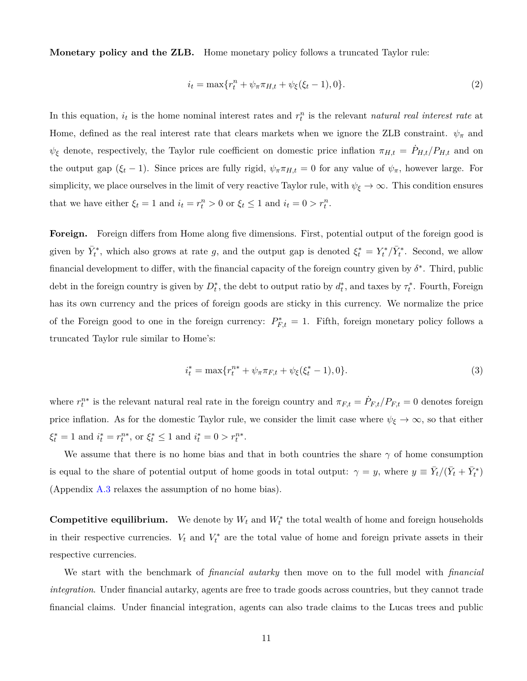**Monetary policy and the ZLB.** Home monetary policy follows a truncated Taylor rule:

<span id="page-11-0"></span>
$$
i_t = \max\{r_t^n + \psi_\pi \pi_{H,t} + \psi_\xi(\xi_t - 1), 0\}.
$$
\n(2)

In this equation,  $i_t$  is the home nominal interest rates and  $r_t^n$  is the relevant *natural real interest rate* at Home, defined as the real interest rate that clears markets when we ignore the ZLB constraint.  $\psi_{\pi}$  and  $\psi_{\xi}$  denote, respectively, the Taylor rule coefficient on domestic price inflation  $\pi_{H,t} = \dot{P}_{H,t}/P_{H,t}$  and on the output gap ( $\xi_t$  – 1). Since prices are fully rigid,  $\psi_{\pi} \pi_{H,t} = 0$  for any value of  $\psi_{\pi}$ , however large. For simplicity, we place ourselves in the limit of very reactive Taylor rule, with  $\psi_{\xi} \to \infty$ . This condition ensures that we have either  $\xi_t = 1$  and  $i_t = r_t^n > 0$  or  $\xi_t \le 1$  and  $i_t = 0 > r_t^n$ .

**Foreign.** Foreign differs from Home along five dimensions. First, potential output of the foreign good is given by  $\bar{Y}_t^*$ , which also grows at rate *g*, and the output gap is denoted  $\xi_t^* = Y_t^* / \bar{Y}_t^*$ . Second, we allow financial development to differ, with the financial capacity of the foreign country given by *δ ∗* . Third, public debt in the foreign country is given by  $D_t^*$ , the debt to output ratio by  $d_t^*$ , and taxes by  $\tau_t^*$ . Fourth, Foreign has its own currency and the prices of foreign goods are sticky in this currency. We normalize the price of the Foreign good to one in the foreign currency:  $P_{F,t}^* = 1$ . Fifth, foreign monetary policy follows a truncated Taylor rule similar to Home's:

<span id="page-11-1"></span>
$$
i_t^* = \max\{r_t^{n*} + \psi_\pi \pi_{F,t} + \psi_\xi(\xi_t^* - 1), 0\}.
$$
\n(3)

where  $r_t^{n*}$  is the relevant natural real rate in the foreign country and  $\pi_{F,t} = \dot{P}_{F,t}/P_{F,t} = 0$  denotes foreign price inflation. As for the domestic Taylor rule, we consider the limit case where  $\psi_{\xi} \to \infty$ , so that either  $\xi_t^* = 1$  and  $i_t^* = r_t^{n*}$ , or  $\xi_t^* \le 1$  and  $i_t^* = 0 > r_t^{n*}$ .

We assume that there is no home bias and that in both countries the share  $\gamma$  of home consumption is equal to the share of potential output of home goods in total output:  $\gamma = y$ , where  $y \equiv \bar{Y}_t/(\bar{Y}_t + \bar{Y}_t^*)$ (Appendix [A.3](#page-56-0) relaxes the assumption of no home bias).

**Competitive equilibrium.** We denote by  $W_t$  and  $W_t^*$  the total wealth of home and foreign households in their respective currencies.  $V_t$  and  $V_t^*$  are the total value of home and foreign private assets in their respective currencies.

We start with the benchmark of *financial autarky* then move on to the full model with *financial integration*. Under financial autarky, agents are free to trade goods across countries, but they cannot trade financial claims. Under financial integration, agents can also trade claims to the Lucas trees and public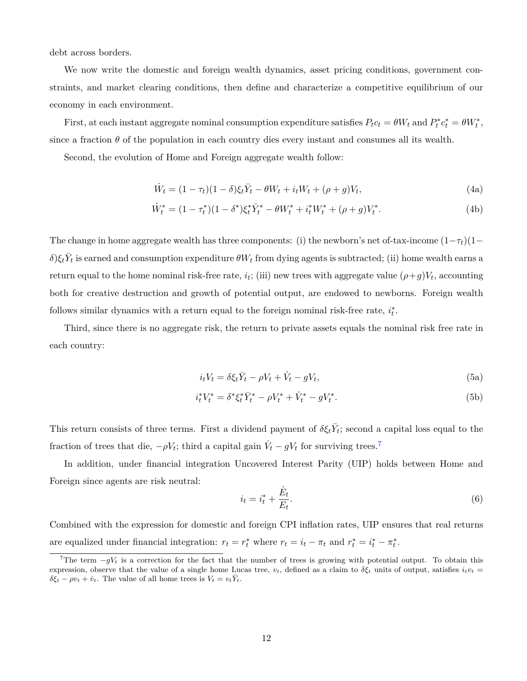debt across borders.

We now write the domestic and foreign wealth dynamics, asset pricing conditions, government constraints, and market clearing conditions, then define and characterize a competitive equilibrium of our economy in each environment.

First, at each instant aggregate nominal consumption expenditure satisfies  $P_t c_t = \theta W_t$  and  $P_t^* c_t^* = \theta W_t^*$ , since a fraction  $\theta$  of the population in each country dies every instant and consumes all its wealth.

Second, the evolution of Home and Foreign aggregate wealth follow:

<span id="page-12-4"></span><span id="page-12-0"></span>
$$
\dot{W}_t = (1 - \tau_t)(1 - \delta)\xi_t \bar{Y}_t - \theta W_t + i_t W_t + (\rho + g) V_t,
$$
\n(4a)

$$
\dot{W}_t^* = (1 - \tau_t^*)(1 - \delta^*)\xi_t^* \bar{Y}_t^* - \theta W_t^* + i_t^* W_t^* + (\rho + g) V_t^*.
$$
\n(4b)

The change in home aggregate wealth has three components: (i) the newborn's net of-tax-income  $(1-\tau_t)(1-\tau_t)$  $\delta$ ) $\xi_t$ *V*<sub>t</sub> is earned and consumption expenditure  $\theta W_t$  from dying agents is subtracted; (ii) home wealth earns a return equal to the home nominal risk-free rate,  $i_t$ ; (iii) new trees with aggregate value  $(\rho + g)V_t$ , accounting both for creative destruction and growth of potential output, are endowed to newborns. Foreign wealth follows similar dynamics with a return equal to the foreign nominal risk-free rate,  $i_t^*$ .

<span id="page-12-1"></span>Third, since there is no aggregate risk, the return to private assets equals the nominal risk free rate in each country:

$$
i_t V_t = \delta \xi_t \overline{Y}_t - \rho V_t + \dot{V}_t - gV_t,
$$
\n(5a)

$$
i_t^* V_t^* = \delta^* \xi_t^* \bar{Y}_t^* - \rho V_t^* + \dot{V}_t^* - g V_t^*.
$$
\n(5b)

This return consists of three terms. First a dividend payment of  $\delta \xi_t \bar{Y}_t$ ; second a capital loss equal to the fraction of trees that die,  $-\rho V_t$ ; third a capital gain  $\dot{V}_t - gV_t$  for surviving trees.<sup>7</sup>

In addition, under financial integration Uncovered Interest Parity (UIP) holds between Home and Foreign since agents are risk neutral:

<span id="page-12-3"></span><span id="page-12-2"></span>
$$
i_t = i_t^* + \frac{\dot{E}_t}{E_t}.\tag{6}
$$

Combined with the expression for domestic and foreign CPI inflation rates, UIP ensures that real returns are equalized under financial integration:  $r_t = r_t^*$  where  $r_t = i_t - \pi_t$  and  $r_t^* = i_t^* - \pi_t^*$ .

<sup>7</sup>The term *<sup>−</sup>gV<sup>t</sup>* is a correction for the fact that the number of trees is growing with potential output. To obtain this expression, observe that the value of a single home Lucas tree,  $v_t$ , defined as a claim to  $\delta \xi_t$  units of output, satisfies  $i_t v_t$  $\delta \xi_t - \rho v_t + \dot{v}_t$ . The value of all home trees is  $V_t = v_t \overline{Y}_t$ .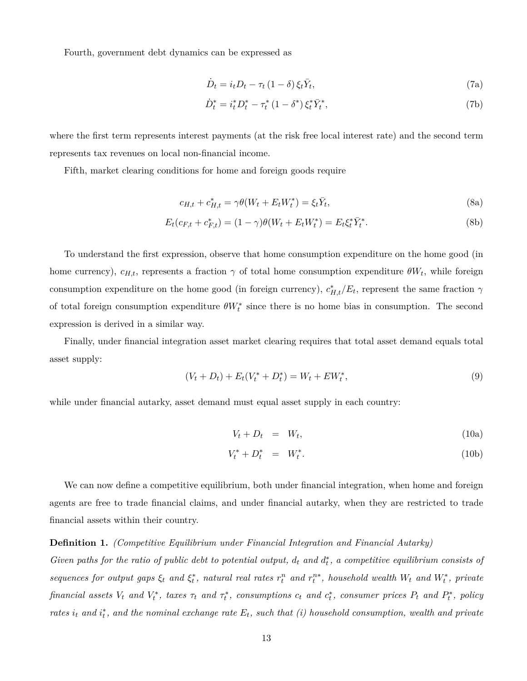Fourth, government debt dynamics can be expressed as

<span id="page-13-6"></span><span id="page-13-0"></span>
$$
\dot{D}_t = i_t D_t - \tau_t (1 - \delta) \xi_t \bar{Y}_t,\tag{7a}
$$

<span id="page-13-5"></span><span id="page-13-4"></span><span id="page-13-1"></span>
$$
\dot{D}_t^* = i_t^* D_t^* - \tau_t^* (1 - \delta^*) \xi_t^* \bar{Y}_t^*,\tag{7b}
$$

where the first term represents interest payments (at the risk free local interest rate) and the second term represents tax revenues on local non-financial income.

Fifth, market clearing conditions for home and foreign goods require

$$
c_{H,t} + c_{H,t}^* = \gamma \theta (W_t + E_t W_t^*) = \xi_t \overline{Y}_t,\tag{8a}
$$

$$
E_t(c_{F,t} + c_{F,t}^*) = (1 - \gamma)\theta(W_t + E_t W_t^*) = E_t \xi_t^* \overline{Y}_t^*.
$$
\n(8b)

To understand the first expression, observe that home consumption expenditure on the home good (in home currency),  $c_{H,t}$ , represents a fraction  $\gamma$  of total home consumption expenditure  $\theta W_t$ , while foreign consumption expenditure on the home good (in foreign currency),  $c_{H,t}^*/E_t$ , represent the same fraction  $\gamma$ of total foreign consumption expenditure  $\theta W_t^*$  since there is no home bias in consumption. The second expression is derived in a similar way.

Finally, under financial integration asset market clearing requires that total asset demand equals total asset supply:

<span id="page-13-2"></span>
$$
(V_t + D_t) + E_t(V_t^* + D_t^*) = W_t + EW_t^*,
$$
\n(9)

while under financial autarky, asset demand must equal asset supply in each country:

<span id="page-13-3"></span>
$$
V_t + D_t = W_t, \t\t(10a)
$$

$$
V_t^* + D_t^* = W_t^*.
$$
 (10b)

We can now define a competitive equilibrium, both under financial integration, when home and foreign agents are free to trade financial claims, and under financial autarky, when they are restricted to trade financial assets within their country.

#### **Definition 1.** *(Competitive Equilibrium under Financial Integration and Financial Autarky)*

*Given paths for the ratio of public debt to potential output,*  $d_t$  and  $d_t^*$ , a competitive equilibrium consists of sequences for output gaps  $\xi_t$  and  $\xi_t^*$ , natural real rates  $r_t^n$  and  $r_t^{n*}$ , household wealth  $W_t$  and  $W_t^*$ , private financial assets  $V_t$  and  $V_t^*$ , taxes  $\tau_t$  and  $\tau_t^*$ , consumptions  $c_t$  and  $c_t^*$ , consumer prices  $P_t$  and  $P_t^*$ , policy *rates*  $i_t$  and  $i_t^*$ , and the nominal exchange rate  $E_t$ , such that (i) household consumption, wealth and private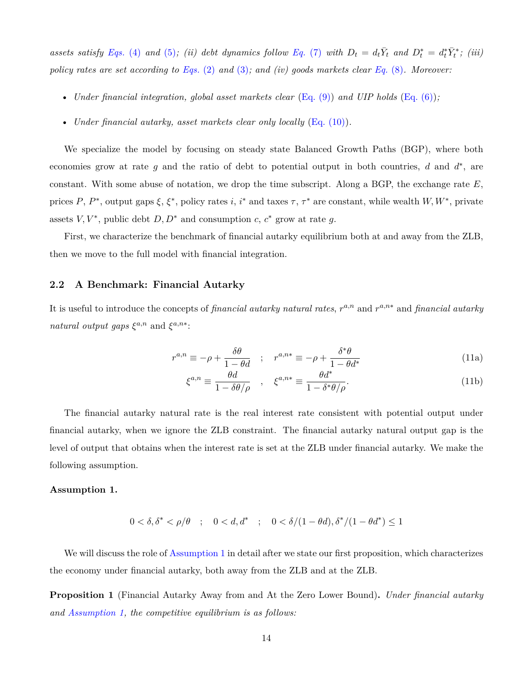assets satisfy [Eqs.](#page-12-0) (4) and [\(5\)](#page-12-1); (ii) debt dynamics follow [Eq.](#page-13-0) (7) with  $D_t = d_t \overline{Y}_t$  and  $D_t^* = d_t^* \overline{Y}_t^*$ ; (iii) *policy rates are set according to [Eqs.](#page-11-0)* (2) *and* [\(3\)](#page-11-1)*; and (iv) goods markets clear [Eq.](#page-13-1)* (8)*. Moreover:*

- *Under financial integration, global asset markets clear* ([Eq. \(9\)](#page-13-2)) *and UIP holds* ([Eq. \(6\)](#page-12-2))*;*
- *Under financial autarky, asset markets clear only locally* ([Eq. \(10\)](#page-13-3)).

We specialize the model by focusing on steady state Balanced Growth Paths (BGP), where both economies grow at rate *g* and the ratio of debt to potential output in both countries, *d* and *d ∗* , are constant. With some abuse of notation, we drop the time subscript. Along a BGP, the exchange rate *E*, prices *P*,  $P^*$ , output gaps  $\xi$ ,  $\xi^*$ , policy rates *i*, *i*<sup>\*</sup> and taxes  $\tau$ ,  $\tau^*$  are constant, while wealth *W*, *W*<sup>\*</sup>, private assets  $V, V^*$ , public debt  $D, D^*$  and consumption  $c, c^*$  grow at rate  $g$ .

First, we characterize the benchmark of financial autarky equilibrium both at and away from the ZLB, then we move to the full model with financial integration.

### **2.2 A Benchmark: Financial Autarky**

It is useful to introduce the concepts of *financial autarky natural rates*,  $r^{a,n}$  and  $r^{a,n*}$  and *financial autarky natural output gaps*  $\xi^{a,n}$  and  $\xi^{a,n*}$ :

$$
r^{a,n} \equiv -\rho + \frac{\delta\theta}{1 - \theta d} \quad ; \quad r^{a,n*} \equiv -\rho + \frac{\delta^*\theta}{1 - \theta d^*} \tag{11a}
$$

<span id="page-14-2"></span><span id="page-14-1"></span>
$$
\xi^{a,n} \equiv \frac{\theta d}{1 - \delta \theta / \rho} \quad , \quad \xi^{a,n*} \equiv \frac{\theta d^*}{1 - \delta^* \theta / \rho}. \tag{11b}
$$

The financial autarky natural rate is the real interest rate consistent with potential output under financial autarky, when we ignore the ZLB constraint. The financial autarky natural output gap is the level of output that obtains when the interest rate is set at the ZLB under financial autarky. We make the following assumption.

#### <span id="page-14-0"></span>**Assumption 1.**

$$
0 < \delta, \delta^* < \rho/\theta \quad ; \quad 0 < d, d^* \quad ; \quad 0 < \delta/(1 - \theta d), \delta^*/(1 - \theta d^*) \le 1
$$

We will discuss the role of [Assumption 1](#page-14-0) in detail after we state our first proposition, which characterizes the economy under financial autarky, both away from the ZLB and at the ZLB.

<span id="page-14-3"></span>**Proposition 1** (Financial Autarky Away from and At the Zero Lower Bound)**.** *Under financial autarky and [Assumption 1,](#page-14-0) the competitive equilibrium is as follows:*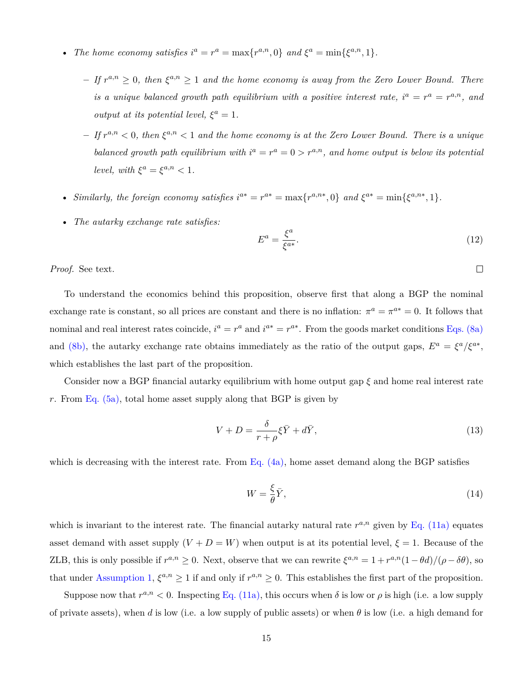- *The home economy satisfies*  $i^a = r^a = \max\{r^{a,n}, 0\}$  *and*  $\xi^a = \min\{\xi^{a,n}, 1\}$ *.* 
	- $-$  *If*  $r^{a,n} \geq 0$ , then  $\xi^{a,n} \geq 1$  and the home economy is away from the Zero Lower Bound. There *is a unique balanced growth path equilibrium with a positive interest rate,*  $i^a = r^a = r^{a,n}$ , and *output at its potential level,*  $\xi^a = 1$ *.*
	- $-$  *If*  $r^{a,n}$   $<$  0, then  $\xi^{a,n}$   $<$  1 and the home economy is at the Zero Lower Bound. There is a unique *balanced growth path equilibrium with*  $i^a = r^a = 0 > r^{a,n}$ , and home output is below its potential *level, with*  $\xi^a = \xi^{a,n} < 1$ *.*
- Similarly, the foreign economy satisfies  $i^{a*} = r^{a*} = \max\{r^{a,n*}, 0\}$  and  $\xi^{a*} = \min\{\xi^{a,n*}, 1\}.$
- *The autarky exchange rate satisfies:*

<span id="page-15-2"></span>
$$
E^a = \frac{\xi^a}{\xi^{a*}}.\tag{12}
$$

 $\Box$ 

*Proof.* See text.

To understand the economics behind this proposition, observe first that along a BGP the nominal exchange rate is constant, so all prices are constant and there is no inflation:  $\pi^a = \pi^{a*} = 0$ . It follows that nominal and real interest rates coincide,  $i^a = r^a$  and  $i^{a*} = r^{a*}$ . From the goods market conditions [Eqs. \(8a\)](#page-13-4) and [\(8b\)](#page-13-5), the autarky exchange rate obtains immediately as the ratio of the output gaps,  $E^a = \xi^a/\xi^{a*}$ , which establishes the last part of the proposition.

Consider now a BGP financial autarky equilibrium with home output gap *ξ* and home real interest rate *r*. From [Eq. \(5a\),](#page-12-3) total home asset supply along that BGP is given by

<span id="page-15-1"></span>
$$
V + D = \frac{\delta}{r + \rho} \xi \bar{Y} + d\bar{Y},\tag{13}
$$

which is decreasing with the interest rate. From Eq.  $(4a)$ , home asset demand along the BGP satisfies

<span id="page-15-0"></span>
$$
W = \frac{\xi}{\theta} \bar{Y},\tag{14}
$$

which is invariant to the interest rate. The financial autarky natural rate  $r^{a,n}$  given by [Eq. \(11a\)](#page-14-1) equates asset demand with asset supply  $(V + D = W)$  when output is at its potential level,  $\xi = 1$ . Because of the ZLB, this is only possible if  $r^{a,n} \ge 0$ . Next, observe that we can rewrite  $\xi^{a,n} = 1 + r^{a,n}(1 - \theta d)/(\rho - \delta \theta)$ , so that under [Assumption 1,](#page-14-0)  $\xi^{a,n} \geq 1$  if and only if  $r^{a,n} \geq 0$ . This establishes the first part of the proposition.

Suppose now that  $r^{a,n} < 0$ . Inspecting [Eq. \(11a\)](#page-14-1), this occurs when  $\delta$  is low or  $\rho$  is high (i.e. a low supply of private assets), when *d* is low (i.e. a low supply of public assets) or when *θ* is low (i.e. a high demand for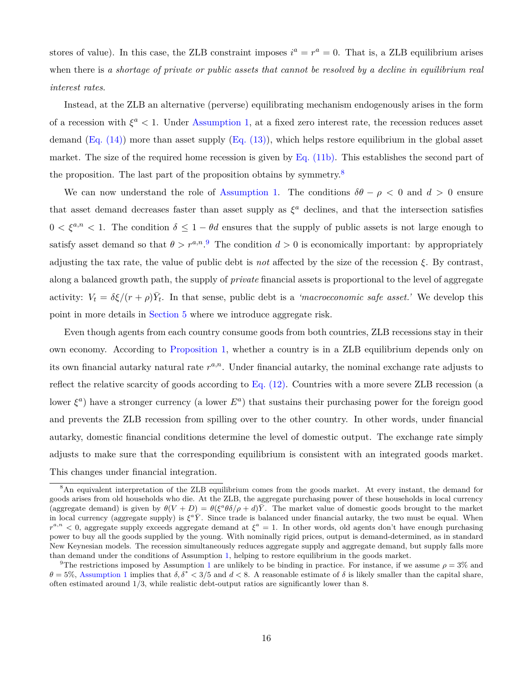stores of value). In this case, the ZLB constraint imposes  $i^a = r^a = 0$ . That is, a ZLB equilibrium arises when there is *a shortage of private or public assets that cannot be resolved by a decline in equilibrium real interest rates*.

Instead, at the ZLB an alternative (perverse) equilibrating mechanism endogenously arises in the form of a recession with  $\xi^a$  < 1. Under [Assumption 1,](#page-14-0) at a fixed zero interest rate, the recession reduces asset demand  $(Eq. (14))$  more than asset supply  $(Eq. (13))$ , which helps restore equilibrium in the global asset market. The size of the required home recession is given by [Eq. \(11b\).](#page-14-2) This establishes the second part of the proposition. The last part of the proposition obtains by symmetry.<sup>8</sup>

We can now understand the role of [Assumption 1.](#page-14-0) The conditions  $\delta\theta - \rho < 0$  and  $d > 0$  ensure that asset demand decreases faster than asset supply as  $\xi^a$  declines, and that the intersection satisfies  $0 < \xi^{a,n} < 1$ . The condition  $\delta \leq 1 - \theta d$  ensures that the supply of public assets is not large enough to satisfy asset demand so that  $\theta > r^{a,n}$ . The condition  $d > 0$  is economically important: by appropriately adjusting the tax rate, the value of public debt is *not* affected by the size of the recession *ξ*. By contrast, along a balanced growth path, the supply of *private* financial assets is proportional to the level of aggregate activity:  $V_t = \delta \xi / (r + \rho) \bar{Y}_t$ . In that sense, public debt is a *'macroeconomic safe asset.'* We develop this point in more details in [Section 5](#page-37-0) where we introduce aggregate risk.

Even though agents from each country consume goods from both countries, ZLB recessions stay in their own economy. According to [Proposition 1,](#page-14-3) whether a country is in a ZLB equilibrium depends only on its own financial autarky natural rate  $r^{a,n}$ . Under financial autarky, the nominal exchange rate adjusts to reflect the relative scarcity of goods according to Eq.  $(12)$ . Countries with a more severe ZLB recession (a lower  $\xi^a$ ) have a stronger currency (a lower  $E^a$ ) that sustains their purchasing power for the foreign good and prevents the ZLB recession from spilling over to the other country. In other words, under financial autarky, domestic financial conditions determine the level of domestic output. The exchange rate simply adjusts to make sure that the corresponding equilibrium is consistent with an integrated goods market. This changes under financial integration.

<sup>8</sup>An equivalent interpretation of the ZLB equilibrium comes from the goods market. At every instant, the demand for goods arises from old households who die. At the ZLB, the aggregate purchasing power of these households in local currency (aggregate demand) is given by  $\theta(V+D) = \theta(\xi^a\theta\delta/\rho+d)\overline{Y}$ . The market value of domestic goods brought to the market in local currency (aggregate supply) is  $\xi^a \overline{Y}$ . Since trade is balanced under financial autarky, the two must be equal. When  $r^{a,n}$  < 0, aggregate supply exceeds aggregate demand at  $\xi^a = 1$ . In other words, old agents don't have enough purchasing power to buy all the goods supplied by the young. With nominally rigid prices, output is demand-determined, as in standard New Keynesian models. The recession simultaneously reduces aggregate supply and aggregate demand, but supply falls more than demand under the conditions of Assumption [1](#page-14-0), helping to restore equilibrium in the goods market.

<sup>&</sup>lt;sup>9</sup>The restrictions imposed by Assumption [1](#page-14-0) are unlikely to be binding in practice. For instance, if we assume  $\rho = 3\%$  and *θ* = 5%, [Assumption 1](#page-14-0) implies that *δ, δ<sup>∗</sup> <* 3*/*5 and *d <* 8. A reasonable estimate of *δ* is likely smaller than the capital share, often estimated around 1*/*3, while realistic debt-output ratios are significantly lower than 8.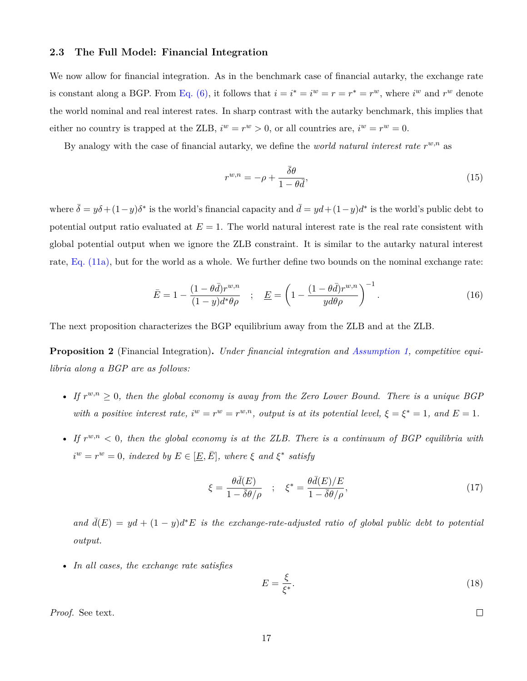### **2.3 The Full Model: Financial Integration**

We now allow for financial integration. As in the benchmark case of financial autarky, the exchange rate is constant along a BGP. From [Eq. \(6\),](#page-12-2) it follows that  $i = i^* = i^w = r = r^* = r^w$ , where  $i^w$  and  $r^w$  denote the world nominal and real interest rates. In sharp contrast with the autarky benchmark, this implies that either no country is trapped at the ZLB,  $i^w = r^w > 0$ , or all countries are,  $i^w = r^w = 0$ .

By analogy with the case of financial autarky, we define the *world natural interest rate*  $r^{w,n}$  as

<span id="page-17-1"></span>
$$
r^{w,n} = -\rho + \frac{\bar{\delta}\theta}{1 - \theta\bar{d}},\tag{15}
$$

where  $\bar{\delta} = y\delta + (1-y)\delta^*$  is the world's financial capacity and  $\bar{d} = yd + (1-y)d^*$  is the world's public debt to potential output ratio evaluated at  $E = 1$ . The world natural interest rate is the real rate consistent with global potential output when we ignore the ZLB constraint. It is similar to the autarky natural interest rate, [Eq. \(11a\)](#page-14-1), but for the world as a whole. We further define two bounds on the nominal exchange rate:

<span id="page-17-3"></span>
$$
\bar{E} = 1 - \frac{(1 - \theta \bar{d})r^{w,n}}{(1 - y)d^*\theta\rho} \quad ; \quad \underline{E} = \left(1 - \frac{(1 - \theta \bar{d})r^{w,n}}{yd\theta\rho}\right)^{-1}.
$$
\n(16)

<span id="page-17-4"></span>The next proposition characterizes the BGP equilibrium away from the ZLB and at the ZLB.

**Proposition 2** (Financial Integration)**.** *Under financial integration and [Assumption 1](#page-14-0), competitive equilibria along a BGP are as follows:*

- *If*  $r^{w,n} \geq 0$ , then the global economy is away from the Zero Lower Bound. There is a unique BGP *with a positive interest rate,*  $i^w = r^w = r^{w,n}$ , *output is at its potential level,*  $\xi = \xi^* = 1$ *, and*  $E = 1$ *.*
- If  $r^{w,n} < 0$ , then the global economy is at the ZLB. There is a continuum of BGP equilibria with  $i^w = r^w = 0$ *, indexed by*  $E \in [\underline{E}, \overline{E}]$ *, where*  $\xi$  *and*  $\xi^*$  *satisfy*

$$
\xi = \frac{\theta \bar{d}(E)}{1 - \bar{\delta}\theta/\rho} \quad ; \quad \xi^* = \frac{\theta \bar{d}(E)/E}{1 - \bar{\delta}\theta/\rho}, \tag{17}
$$

 $and \bar{d}(E) = yd + (1 - y)dE$  *is the exchange-rate-adjusted ratio of global public debt to potential output.*

• *In all cases, the exchange rate satisfies*

<span id="page-17-0"></span>
$$
E = \frac{\xi}{\xi^*}.\tag{18}
$$

*Proof.* See text.

<span id="page-17-2"></span> $\Box$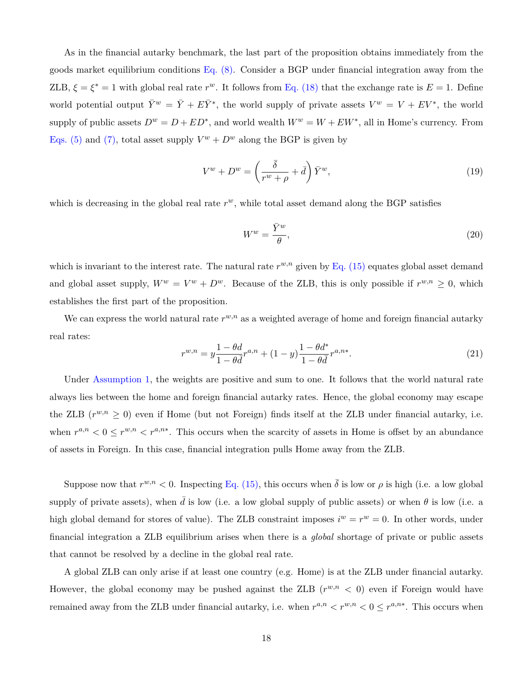As in the financial autarky benchmark, the last part of the proposition obtains immediately from the goods market equilibrium conditions  $Eq. (8)$ . Consider a BGP under financial integration away from the ZLB,  $\xi = \xi^* = 1$  with global real rate  $r^w$ . It follows from [Eq. \(18\)](#page-17-0) that the exchange rate is  $E = 1$ . Define world potential output  $\bar{Y}^w = \bar{Y} + E\bar{Y}^*$ , the world supply of private assets  $V^w = V + EV^*$ , the world supply of public assets  $D^w = D + ED^*$ , and world wealth  $W^w = W + EW^*$ , all in Home's currency. From [Eqs. \(5\)](#page-12-1) and [\(7\)](#page-13-0), total asset supply  $V^w + D^w$  along the BGP is given by

<span id="page-18-1"></span>
$$
V^w + D^w = \left(\frac{\bar{\delta}}{r^w + \rho} + \bar{d}\right) \bar{Y}^w,\tag{19}
$$

which is decreasing in the global real rate  $r^w$ , while total asset demand along the BGP satisfies

<span id="page-18-2"></span>
$$
W^w = \frac{\bar{Y}^w}{\theta},\tag{20}
$$

which is invariant to the interest rate. The natural rate  $r^{w,n}$  given by [Eq. \(15\)](#page-17-1) equates global asset demand and global asset supply,  $W^w = V^w + D^w$ . Because of the ZLB, this is only possible if  $r^{w,n} \geq 0$ , which establishes the first part of the proposition.

We can express the world natural rate  $r^{w,n}$  as a weighted average of home and foreign financial autarky real rates:

<span id="page-18-0"></span>
$$
r^{w,n} = y \frac{1 - \theta d}{1 - \theta \bar{d}} r^{a,n} + (1 - y) \frac{1 - \theta d^*}{1 - \theta \bar{d}} r^{a,n*}.
$$
\n(21)

Under [Assumption](#page-14-0) 1, the weights are positive and sum to one. It follows that the world natural rate always lies between the home and foreign financial autarky rates. Hence, the global economy may escape the ZLB  $(r^{w,n} \geq 0)$  even if Home (but not Foreign) finds itself at the ZLB under financial autarky, i.e. when  $r^{a,n} < 0 \leq r^{w,n} < r^{a,n*}$ . This occurs when the scarcity of assets in Home is offset by an abundance of assets in Foreign. In this case, financial integration pulls Home away from the ZLB.

Suppose now that  $r^{w,n} < 0$ . Inspecting [Eq. \(15\)](#page-17-1), this occurs when  $\bar{\delta}$  is low or  $\rho$  is high (i.e. a low global supply of private assets), when  $\bar{d}$  is low (i.e. a low global supply of public assets) or when  $\theta$  is low (i.e. a high global demand for stores of value). The ZLB constraint imposes  $i^w = r^w = 0$ . In other words, under financial integration a ZLB equilibrium arises when there is a *global* shortage of private or public assets that cannot be resolved by a decline in the global real rate.

A global ZLB can only arise if at least one country (e.g. Home) is at the ZLB under financial autarky. However, the global economy may be pushed against the ZLB  $(r^{w,n} < 0)$  even if Foreign would have remained away from the ZLB under financial autarky, i.e. when  $r^{a,n} < r^{w,n} < 0 \le r^{a,n*}$ . This occurs when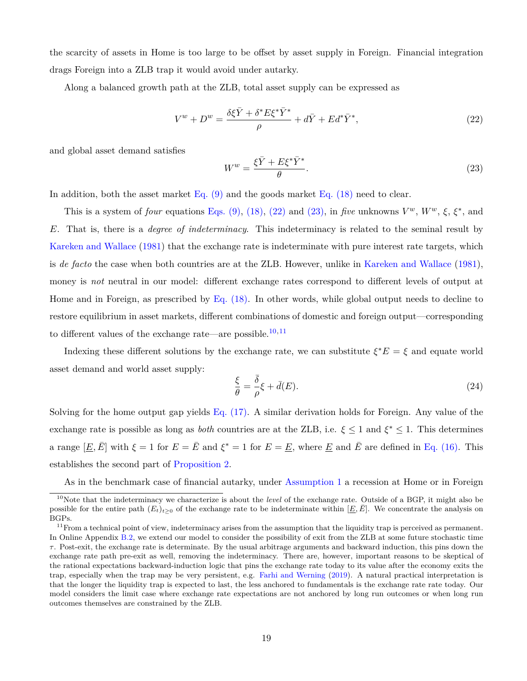the scarcity of assets in Home is too large to be offset by asset supply in Foreign. Financial integration drags Foreign into a ZLB trap it would avoid under autarky.

Along a balanced growth path at the ZLB, total asset supply can be expressed as

<span id="page-19-0"></span>
$$
V^w + D^w = \frac{\delta \xi \bar{Y} + \delta^* E \xi^* \bar{Y}^*}{\rho} + d\bar{Y} + Ed^* \bar{Y}^*,
$$
\n(22)

and global asset demand satisfies

<span id="page-19-1"></span>
$$
W^w = \frac{\xi \bar{Y} + E\xi^* \bar{Y}^*}{\theta}.
$$
\n(23)

In addition, both the asset market [Eq. \(9\)](#page-13-2) and the goods market [Eq. \(18\)](#page-17-0) need to clear.

This is a system of *four* equations [Eqs. \(9\),](#page-13-2) [\(18\),](#page-17-0) [\(22\)](#page-19-0) and [\(23\),](#page-19-1) in *five* unknowns  $V^w$ ,  $W^w$ ,  $\xi$ ,  $\xi^*$ , and *E*. That is, there is a *degree of indeterminacy*. This indeterminacy is related to the seminal result by [Kareken and Wallace](#page-50-0) ([1981](#page-50-0)) that the exchange rate is indeterminate with pure interest rate targets, which is *de facto* the case when both countries are at the ZLB. However, unlike in [Kareken and Wallace](#page-50-0) ([1981](#page-50-0)), money is *not* neutral in our model: different exchange rates correspond to different levels of output at Home and in Foreign, as prescribed by [Eq. \(18\).](#page-17-0) In other words, while global output needs to decline to restore equilibrium in asset markets, different combinations of domestic and foreign output—corresponding to different values of the exchange rate—are possible.10*,*<sup>11</sup>

Indexing these different solutions by the exchange rate, we can substitute  $\xi^* E = \xi$  and equate world asset demand and world asset supply:

<span id="page-19-2"></span>
$$
\frac{\xi}{\theta} = \frac{\bar{\delta}}{\rho} \xi + \bar{d}(E). \tag{24}
$$

Solving for the home output gap yields [Eq. \(17\)](#page-17-2). A similar derivation holds for Foreign. Any value of the exchange rate is possible as long as *both* countries are at the ZLB, i.e.  $\xi \leq 1$  and  $\xi^* \leq 1$ . This determines a range  $[\underline{E}, \overline{E}]$  with  $\xi = 1$  for  $E = \overline{E}$  and  $\xi^* = 1$  for  $E = \underline{E}$ , where  $\underline{E}$  and  $\overline{E}$  are defined in [Eq. \(16\)](#page-17-3). This establishes the second part of [Proposition 2.](#page-17-4)

As in the benchmark case of financial autarky, under [Assumption 1](#page-14-0) a recession at Home or in Foreign

<sup>10</sup>Note that the indeterminacy we characterize is about the *level* of the exchange rate. Outside of a BGP, it might also be possible for the entire path  $(E_t)_{t>0}$  of the exchange rate to be indeterminate within  $[E,\bar{E}]$ . We concentrate the analysis on BGPs.

 $11$  From a technical point of view, indeterminacy arises from the assumption that the liquidity trap is perceived as permanent. In Online Appendix [B.2](#page-67-0), we extend our model to consider the possibility of exit from the ZLB at some future stochastic time *τ* . Post-exit, the exchange rate is determinate. By the usual arbitrage arguments and backward induction, this pins down the exchange rate path pre-exit as well, removing the indeterminacy. There are, however, important reasons to be skeptical of the rational expectations backward-induction logic that pins the exchange rate today to its value after the economy exits the trap, especially when the trap may be very persistent, e.g. [Farhi and Werning](#page-49-17) [\(2019\)](#page-49-17). A natural practical interpretation is that the longer the liquidity trap is expected to last, the less anchored to fundamentals is the exchange rate rate today. Our model considers the limit case where exchange rate expectations are not anchored by long run outcomes or when long run outcomes themselves are constrained by the ZLB.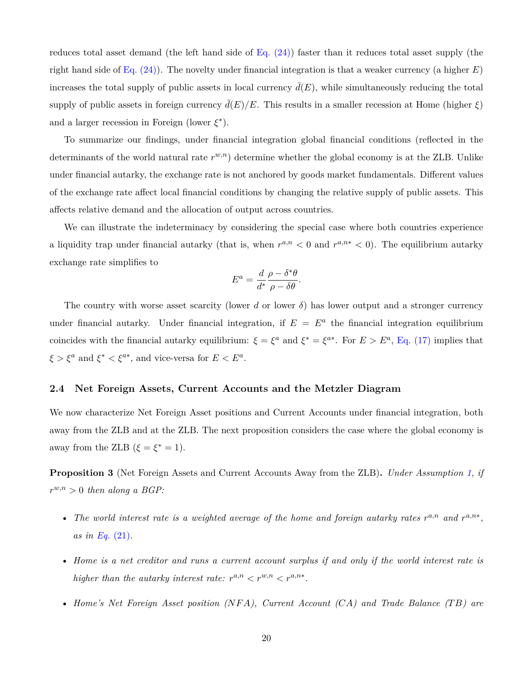reduces total asset demand (the left hand side of [Eq. \(24\)\)](#page-19-2) faster than it reduces total asset supply (the right hand side of [Eq. \(24\)](#page-19-2)). The novelty under financial integration is that a weaker currency (a higher *E*) increases the total supply of public assets in local currency  $\bar{d}(E)$ , while simultaneously reducing the total supply of public assets in foreign currency  $\bar{d}(E)/E$ . This results in a smaller recession at Home (higher  $\xi$ ) and a larger recession in Foreign (lower *ξ ∗* ).

To summarize our findings, under financial integration global financial conditions (reflected in the determinants of the world natural rate  $r^{w,n}$ ) determine whether the global economy is at the ZLB. Unlike under financial autarky, the exchange rate is not anchored by goods market fundamentals. Different values of the exchange rate affect local financial conditions by changing the relative supply of public assets. This affects relative demand and the allocation of output across countries.

We can illustrate the indeterminacy by considering the special case where both countries experience a liquidity trap under financial autarky (that is, when  $r^{a,n} < 0$  and  $r^{a,n*} < 0$ ). The equilibrium autarky exchange rate simplifies to

$$
E^a = \frac{d}{d^*} \frac{\rho - \delta^* \theta}{\rho - \delta \theta}.
$$

The country with worse asset scarcity (lower *d* or lower  $\delta$ ) has lower output and a stronger currency under financial autarky. Under financial integration, if  $E = E^a$  the financial integration equilibrium coincides with the financial autarky equilibrium:  $\xi = \xi^a$  and  $\xi^* = \xi^{a*}$ . For  $E > E^a$ , [Eq. \(17\)](#page-17-2) implies that  $\xi > \xi^a$  and  $\xi^* < \xi^{a*}$ , and vice-versa for  $E < E^a$ .

### **2.4 Net Foreign Assets, Current Accounts and the Metzler Diagram**

We now characterize Net Foreign Asset positions and Current Accounts under financial integration, both away from the ZLB and at the ZLB. The next proposition considers the case where the global economy is away from the ZLB  $(\xi = \xi^* = 1)$ .

<span id="page-20-0"></span>**Proposition 3** (Net Foreign Assets and Current Accounts Away from the ZLB)**.** *Under Assumption [1,](#page-14-0) if*  $r^{w,n} > 0$  *then along a BGP*:

- The world interest rate is a weighted average of the home and foreign autarky rates  $r^{a,n}$  and  $r^{a,n*}$ , *as in Eq.* [\(21\)](#page-18-0)*.*
- *Home is a net creditor and runs a current account surplus if and only if the world interest rate is higher than the autarky interest rate:*  $r^{a,n} < r^{w,n} < r^{a,n*}$ .
- *Home's Net Foreign Asset position (NF A), Current Account (CA) and Trade Balance (T B) are*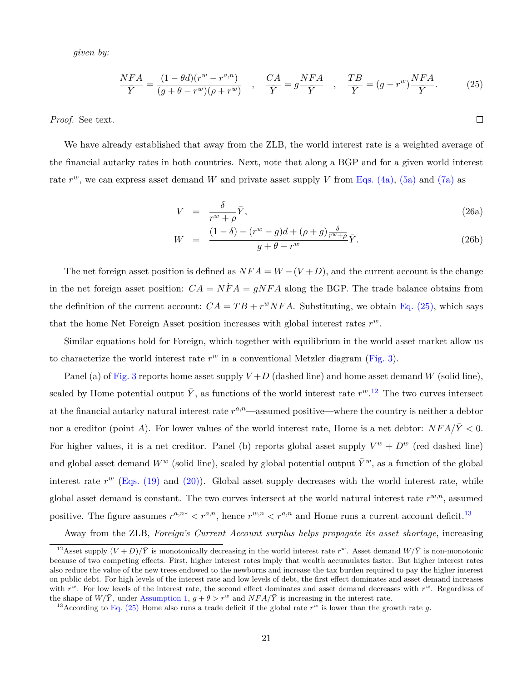*given by:*

$$
\frac{NFA}{\bar{Y}} = \frac{(1 - \theta d)(r^w - r^{a,n})}{(g + \theta - r^w)(\rho + r^w)}, \quad \frac{CA}{\bar{Y}} = g\frac{NFA}{\bar{Y}}, \quad \frac{TB}{\bar{Y}} = (g - r^w)\frac{NFA}{\bar{Y}}.
$$
 (25)

*Proof.* See text.

We have already established that away from the ZLB, the world interest rate is a weighted average of the financial autarky rates in both countries. Next, note that along a BGP and for a given world interest rate  $r^w$ , we can express asset demand *W* and private asset supply *V* from [Eqs. \(4a\),](#page-12-4) [\(5a\)](#page-12-3) and [\(7a\)](#page-13-6) as

<span id="page-21-1"></span>
$$
V = \frac{\delta}{r^w + \rho} \bar{Y},\tag{26a}
$$

<span id="page-21-0"></span> $\Box$ 

$$
W = \frac{(1-\delta) - (r^w - g)d + (\rho + g)\frac{\delta}{r^w + \rho}}{g + \theta - r^w}\bar{Y}.
$$
\n(26b)

The net foreign asset position is defined as  $NFA = W - (V + D)$ , and the current account is the change in the net foreign asset position:  $CA = NFA = qNFA$  along the BGP. The trade balance obtains from the definition of the current account:  $CA = TB + r^w NFA$ . Substituting, we obtain [Eq. \(25\),](#page-21-0) which says that the home Net Foreign Asset position increases with global interest rates *r w.*

Similar equations hold for Foreign, which together with equilibrium in the world asset market allow us to characterize the world interest rate  $r^w$  in a conventional Metzler diagram ([Fig. 3](#page-22-0)).

Panel (a) of [Fig. 3](#page-22-0) reports home asset supply  $V+D$  (dashed line) and home asset demand *W* (solid line), scaled by Home potential output  $\bar{Y}$ , as functions of the world interest rate  $r^w$ .<sup>12</sup> The two curves intersect at the financial autarky natural interest rate  $r^{a,n}$ —assumed positive—where the country is neither a debtor nor a creditor (point *A*). For lower values of the world interest rate, Home is a net debtor:  $NFA/\bar{Y} < 0$ . For higher values, it is a net creditor. Panel (b) reports global asset supply  $V^w + D^w$  (red dashed line) and global asset demand  $W^w$  (solid line), scaled by global potential output  $\bar{Y}^w$ , as a function of the global interest rate  $r^w$  ([Eqs. \(19\)](#page-18-1) and [\(20\)\)](#page-18-2). Global asset supply decreases with the world interest rate, while global asset demand is constant. The two curves intersect at the world natural interest rate  $r^{w,n}$ , assumed positive. The figure assumes  $r^{a,n*} < r^{a,n}$ , hence  $r^{w,n} < r^{a,n}$  and Home runs a current account deficit.<sup>13</sup>

Away from the ZLB, *Foreign's Current Account surplus helps propagate its asset shortage*, increasing

<sup>&</sup>lt;sup>12</sup>Asset supply  $(V+D)/\bar{Y}$  is monotonically decreasing in the world interest rate  $r^w$ . Asset demand  $W/\bar{Y}$  is non-monotonic because of two competing effects. First, higher interest rates imply that wealth accumulates faster. But higher interest rates also reduce the value of the new trees endowed to the newborns and increase the tax burden required to pay the higher interest on public debt. For high levels of the interest rate and low levels of debt, the first effect dominates and asset demand increases with  $r^w$ . For low levels of the interest rate, the second effect dominates and asset demand decreases with  $r^w$ . Regardless of the shape of  $W/\bar{Y}$ , under [Assumption 1](#page-14-0),  $g + \theta > r^w$  and  $NFA/\bar{Y}$  is increasing in the interest rate.

<sup>&</sup>lt;sup>13</sup> According to [Eq. \(25\)](#page-21-0) Home also runs a trade deficit if the global rate  $r^w$  is lower than the growth rate g.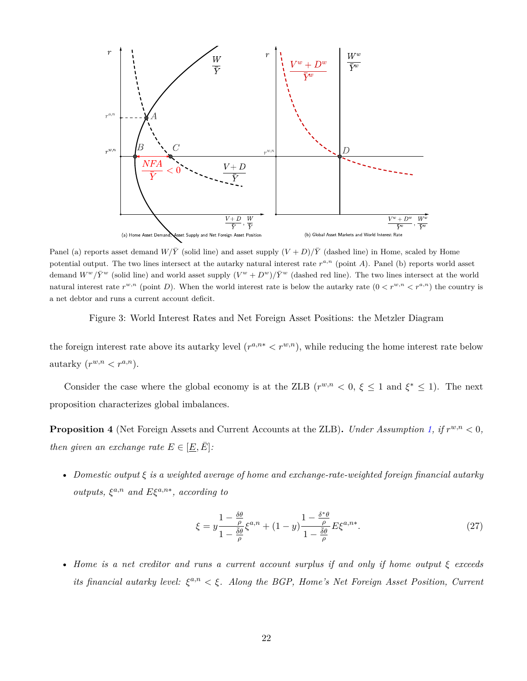

Panel (a) reports asset demand  $W/\bar{Y}$  (solid line) and asset supply  $(V+D)/\bar{Y}$  (dashed line) in Home, scaled by Home potential output. The two lines intersect at the autarky natural interest rate  $r^{a,n}$  (point  $A$ ). Panel (b) reports world asset demand  $W^{w}/\bar{Y}^{w}$  (solid line) and world asset supply  $(V^{w} + D^{w})/\bar{Y}^{w}$  (dashed red line). The two lines intersect at the world natural interest rate  $r^{w,n}$  (point *D*). When the world interest rate is below the autarky rate  $(0 < r^{w,n} < r^{a,n})$  the country is a net debtor and runs a current account deficit.

<span id="page-22-0"></span>Figure 3: World Interest Rates and Net Foreign Asset Positions: the Metzler Diagram

the foreign interest rate above its autarky level  $(r^{a,n*} < r^{w,n})$ , while reducing the home interest rate below autarky  $(r^{w,n} < r^{a,n}).$ 

Consider the case where the global economy is at the ZLB  $(r^{w,n} < 0, \xi \leq 1 \text{ and } \xi^* \leq 1)$ . The next proposition characterizes global imbalances.

<span id="page-22-1"></span>**Proposition 4** (Net Foreign Assets and Current Accounts at the ZLB)**.** *Under Assumption [1,](#page-14-0) if r w,n <* 0*, then given an exchange rate*  $E \in [\underline{E}, \overline{E}]$ :

• *Domestic output ξ is a weighted average of home and exchange-rate-weighted foreign financial autarky outputs,*  $\xi^{a,n}$  *and*  $E\xi^{a,n*}$ *, according to* 

$$
\xi = y \frac{1 - \frac{\delta \theta}{\rho}}{1 - \frac{\bar{\delta}\theta}{\rho}} \xi^{a,n} + (1 - y) \frac{1 - \frac{\delta^* \theta}{\rho}}{1 - \frac{\bar{\delta}\theta}{\rho}} E \xi^{a,n*}.
$$
\n(27)

• *Home is a net creditor and runs a current account surplus if and only if home output ξ exceeds its financial autarky level:*  $\xi^{a,n} < \xi$ . Along the BGP, Home's Net Foreign Asset Position, Current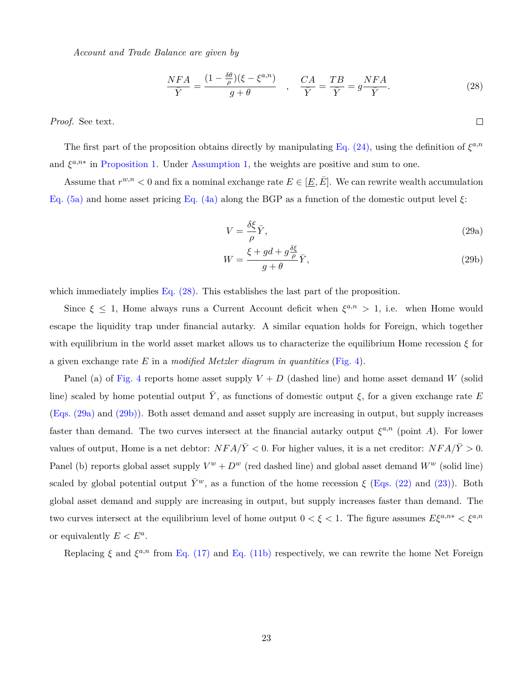*Account and Trade Balance are given by*

<span id="page-23-0"></span>
$$
\frac{NFA}{\bar{Y}} = \frac{(1 - \frac{\delta\theta}{\rho})(\xi - \xi^{a,n})}{g + \theta} \quad , \quad \frac{CA}{\bar{Y}} = \frac{TB}{\bar{Y}} = g\frac{NFA}{\bar{Y}}.
$$
\n(28)

*Proof.* See text.

The first part of the proposition obtains directly by manipulating [Eq. \(24\)](#page-19-2), using the definition of  $\xi^{a,n}$ and  $\xi^{a,n*}$  in [Proposition 1](#page-14-3). Under [Assumption 1](#page-14-0), the weights are positive and sum to one.

Assume that  $r^{w,n} < 0$  and fix a nominal exchange rate  $E \in [\underline{E}, \overline{E}]$ . We can rewrite wealth accumulation [Eq. \(5a\)](#page-12-3) and home asset pricing [Eq. \(4a\)](#page-12-4) along the BGP as a function of the domestic output level *ξ*:

$$
V = \frac{\delta \xi}{\rho} \bar{Y},\tag{29a}
$$

<span id="page-23-2"></span><span id="page-23-1"></span> $\Box$ 

$$
W = \frac{\xi + gd + g\frac{\delta\xi}{\rho}}{g + \theta}\bar{Y},\tag{29b}
$$

which immediately implies [Eq. \(28\)](#page-23-0). This establishes the last part of the proposition.

Since  $\xi \leq 1$ , Home always runs a Current Account deficit when  $\xi^{a,n} > 1$ , i.e. when Home would escape the liquidity trap under financial autarky. A similar equation holds for Foreign, which together with equilibrium in the world asset market allows us to characterize the equilibrium Home recession *ξ* for a given exchange rate *E* in a *modified Metzler diagram in quantities* ([Fig. 4\)](#page-24-0).

Panel (a) of [Fig. 4](#page-24-0) reports home asset supply  $V + D$  (dashed line) and home asset demand *W* (solid line) scaled by home potential output  $\bar{Y}$ , as functions of domestic output  $\xi$ , for a given exchange rate *E* ([Eqs. \(29a\)](#page-23-1) and [\(29b\)\)](#page-23-2). Both asset demand and asset supply are increasing in output, but supply increases faster than demand. The two curves intersect at the financial autarky output  $\xi^{a,n}$  (point A). For lower values of output, Home is a net debtor:  $NFA/\bar{Y} < 0$ . For higher values, it is a net creditor:  $NFA/\bar{Y} > 0$ . Panel (b) reports global asset supply  $V^w + D^w$  (red dashed line) and global asset demand  $W^w$  (solid line) scaled by global potential output  $\bar{Y}^w$ , as a function of the home recession  $\xi$  [\(Eqs. \(22\)](#page-19-0) and [\(23\)](#page-19-1)). Both global asset demand and supply are increasing in output, but supply increases faster than demand. The two curves intersect at the equilibrium level of home output  $0 < \xi < 1$ . The figure assumes  $E\xi^{a,n*} < \xi^{a,n}$ or equivalently  $E < E^a$ .

Replacing  $\xi$  and  $\xi^{a,n}$  from [Eq. \(17\)](#page-17-2) and [Eq. \(11b\)](#page-14-2) respectively, we can rewrite the home Net Foreign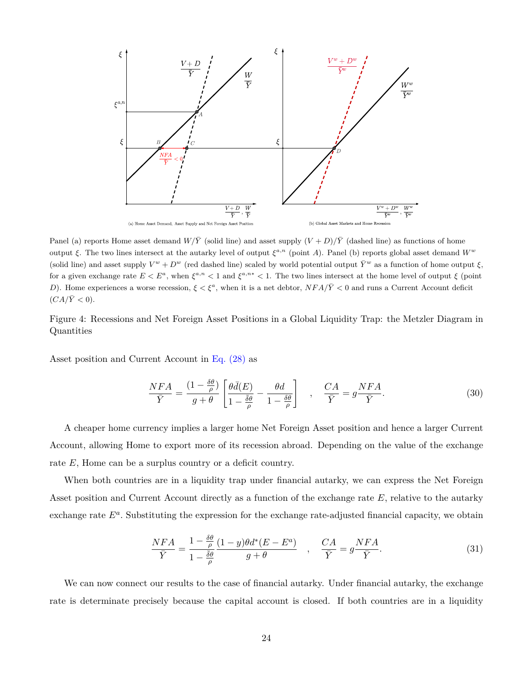

Panel (a) reports Home asset demand  $W/\overline{Y}$  (solid line) and asset supply  $(V+D)/\overline{Y}$  (dashed line) as functions of home output *ξ*. The two lines intersect at the autarky level of output *ξ a,n* (point *A*). Panel (b) reports global asset demand *W<sup>w</sup>* (solid line) and asset supply  $V^w + D^w$  (red dashed line) scaled by world potential output  $\bar{Y}^w$  as a function of home output  $\xi$ , for a given exchange rate  $E < E^a$ , when  $\xi^{a,n} < 1$  and  $\xi^{a,n*} < 1$ . The two lines intersect at the home level of output  $\xi$  (point *D*). Home experiences a worse recession,  $\xi < \xi^a$ , when it is a net debtor,  $NFA/\bar{Y}$  < 0 and runs a Current Account deficit  $(CA/\overline{Y} < 0).$ 

<span id="page-24-0"></span>Figure 4: Recessions and Net Foreign Asset Positions in a Global Liquidity Trap: the Metzler Diagram in Quantities

Asset position and Current Account in [Eq. \(28\)](#page-23-0) as

<span id="page-24-1"></span>
$$
\frac{NFA}{\bar{Y}} = \frac{(1 - \frac{\delta\theta}{\rho})}{g + \theta} \left[ \frac{\theta\bar{d}(E)}{1 - \frac{\bar{\delta}\theta}{\rho}} - \frac{\theta d}{1 - \frac{\delta\theta}{\rho}} \right] , \quad \frac{CA}{\bar{Y}} = g\frac{NFA}{\bar{Y}}.
$$
 (30)

A cheaper home currency implies a larger home Net Foreign Asset position and hence a larger Current Account, allowing Home to export more of its recession abroad. Depending on the value of the exchange rate *E*, Home can be a surplus country or a deficit country.

When both countries are in a liquidity trap under financial autarky, we can express the Net Foreign Asset position and Current Account directly as a function of the exchange rate E, relative to the autarky exchange rate  $E^a$ . Substituting the expression for the exchange rate-adjusted financial capacity, we obtain

$$
\frac{NFA}{\bar{Y}} = \frac{1 - \frac{\delta\theta}{\rho}}{1 - \frac{\bar{\delta}\theta}{\rho}} \frac{(1 - y)\theta d^*(E - E^a)}{g + \theta} \quad , \quad \frac{CA}{\bar{Y}} = g\frac{NFA}{\bar{Y}}.
$$
\n(31)

We can now connect our results to the case of financial autarky. Under financial autarky, the exchange rate is determinate precisely because the capital account is closed. If both countries are in a liquidity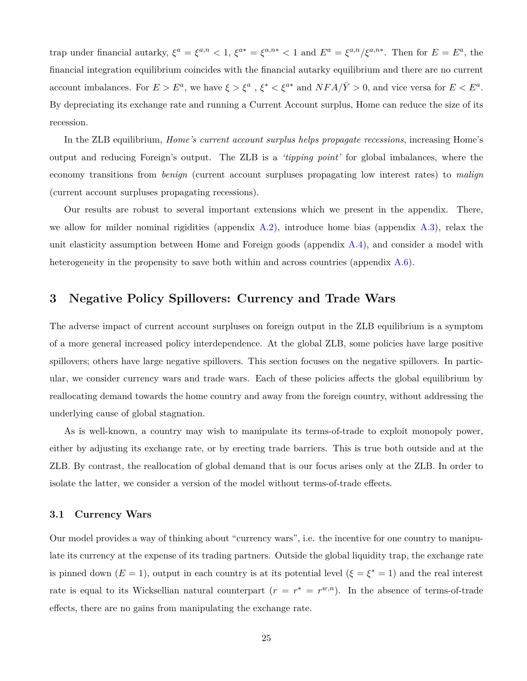trap under financial autarky,  $\xi^a = \xi^{a,n} < 1$ ,  $\xi^{a*} = \xi^{a,n*} < 1$  and  $E^a = \xi^{a,n}/\xi^{a,n*}$ . Then for  $E = E^a$ , the financial integration equilibrium coincides with the financial autarky equilibrium and there are no current account imbalances. For  $E > E^a$ , we have  $\xi > \xi^a$ ,  $\xi^* < \xi^{a*}$  and  $NFA/\overline{Y} > 0$ , and vice versa for  $E < E^a$ . By depreciating its exchange rate and running a Current Account surplus, Home can reduce the size of its recession.

In the ZLB equilibrium, *Home's current account surplus helps propagate recessions*, increasing Home's output and reducing Foreign's output. The ZLB is a *'tipping point'* for global imbalances, where the economy transitions from *benign* (current account surpluses propagating low interest rates) to *malign* (current account surpluses propagating recessions).

Our results are robust to several important extensions which we present in the appendix. There, we allow for milder nominal rigidities (appendix  $(A.2)$  $(A.2)$  $(A.2)$ , introduce home bias (appendix  $(A.3)$  $(A.3)$  $(A.3)$ , relax the unit elasticity assumption between Home and Foreign goods (appendix [A.4\)](#page-57-0), and consider a model with heterogeneity in the propensity to save both within and across countries (appendix  $A.6$ ).

### <span id="page-25-0"></span>**3 Negative Policy Spillovers: Currency and Trade Wars**

The adverse impact of current account surpluses on foreign output in the ZLB equilibrium is a symptom of a more general increased policy interdependence. At the global ZLB, some policies have large positive spillovers; others have large negative spillovers. This section focuses on the negative spillovers. In particular, we consider currency wars and trade wars. Each of these policies affects the global equilibrium by reallocating demand towards the home country and away from the foreign country, without addressing the underlying cause of global stagnation.

As is well-known, a country may wish to manipulate its terms-of-trade to exploit monopoly power, either by adjusting its exchange rate, or by erecting trade barriers. This is true both outside and at the ZLB. By contrast, the reallocation of global demand that is our focus arises only at the ZLB. In order to isolate the latter, we consider a version of the model without terms-of-trade effects.

### <span id="page-25-1"></span>**3.1 Currency Wars**

Our model provides a way of thinking about "currency wars", i.e. the incentive for one country to manipulate its currency at the expense of its trading partners. Outside the global liquidity trap, the exchange rate is pinned down  $(E = 1)$ , output in each country is at its potential level  $(\xi = \xi^* = 1)$  and the real interest rate is equal to its Wicksellian natural counterpart  $(r = r^* = r^{w,n})$ . In the absence of terms-of-trade effects, there are no gains from manipulating the exchange rate.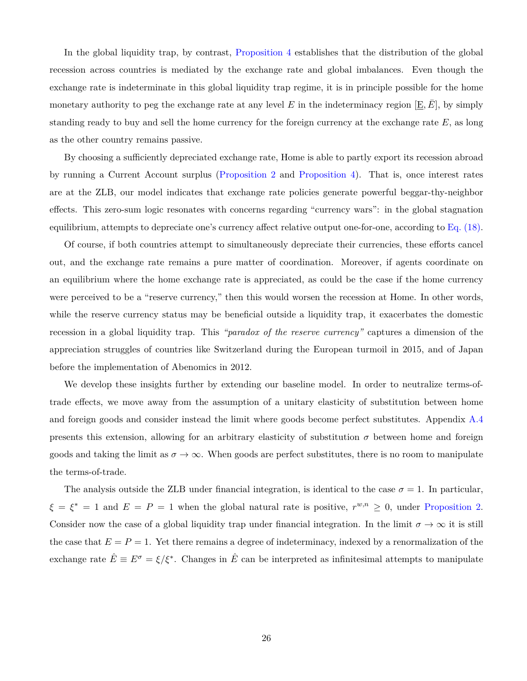In the global liquidity trap, by contrast, [Proposition 4](#page-22-1) establishes that the distribution of the global recession across countries is mediated by the exchange rate and global imbalances. Even though the exchange rate is indeterminate in this global liquidity trap regime, it is in principle possible for the home monetary authority to peg the exchange rate at any level  $E$  in the indeterminacy region  $[E, E]$ , by simply standing ready to buy and sell the home currency for the foreign currency at the exchange rate *E*, as long as the other country remains passive.

By choosing a sufficiently depreciated exchange rate, Home is able to partly export its recession abroad by running a Current Account surplus ([Proposition 2](#page-17-4) and [Proposition 4\)](#page-22-1). That is, once interest rates are at the ZLB, our model indicates that exchange rate policies generate powerful beggar-thy-neighbor effects. This zero-sum logic resonates with concerns regarding "currency wars": in the global stagnation equilibrium, attempts to depreciate one's currency affect relative output one-for-one, according to [Eq. \(18\).](#page-17-0)

Of course, if both countries attempt to simultaneously depreciate their currencies, these efforts cancel out, and the exchange rate remains a pure matter of coordination. Moreover, if agents coordinate on an equilibrium where the home exchange rate is appreciated, as could be the case if the home currency were perceived to be a "reserve currency," then this would worsen the recession at Home. In other words, while the reserve currency status may be beneficial outside a liquidity trap, it exacerbates the domestic recession in a global liquidity trap. This *"paradox of the reserve currency"* captures a dimension of the appreciation struggles of countries like Switzerland during the European turmoil in 2015, and of Japan before the implementation of Abenomics in 2012.

We develop these insights further by extending our baseline model. In order to neutralize terms-oftrade effects, we move away from the assumption of a unitary elasticity of substitution between home and foreign goods and consider instead the limit where goods become perfect substitutes. Appendix [A.4](#page-57-0) presents this extension, allowing for an arbitrary elasticity of substitution  $\sigma$  between home and foreign goods and taking the limit as  $\sigma \to \infty$ . When goods are perfect substitutes, there is no room to manipulate the terms-of-trade.

The analysis outside the ZLB under financial integration, is identical to the case  $\sigma = 1$ . In particular,  $\xi = \xi^* = 1$  and  $E = P = 1$  when the global natural rate is positive,  $r^{w,n} \geq 0$ , under [Proposition 2.](#page-17-4) Consider now the case of a global liquidity trap under financial integration. In the limit  $\sigma \to \infty$  it is still the case that  $E = P = 1$ . Yet there remains a degree of indeterminacy, indexed by a renormalization of the exchange rate  $\hat{E} \equiv E^{\sigma} = \xi/\xi^*$ . Changes in  $\hat{E}$  can be interpreted as infinitesimal attempts to manipulate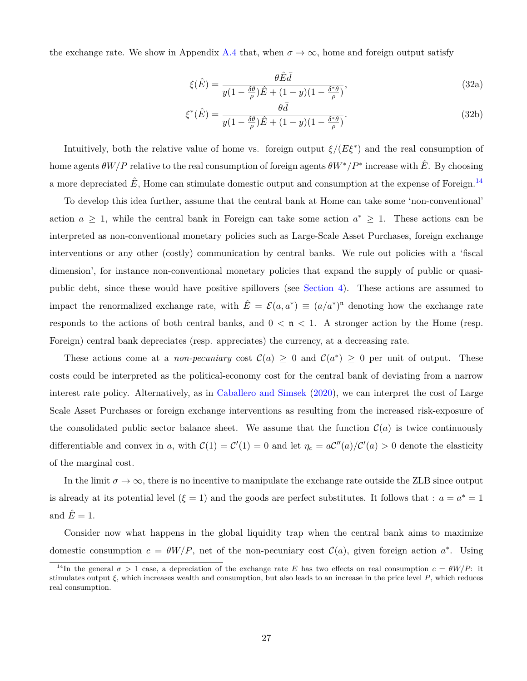the exchange rate. We show in Appendix [A.4](#page-57-0) that, when  $\sigma \to \infty$ , home and foreign output satisfy

<span id="page-27-2"></span><span id="page-27-1"></span><span id="page-27-0"></span>
$$
\xi(\hat{E}) = \frac{\theta \hat{E}\bar{d}}{y(1 - \frac{\delta\theta}{\rho})\hat{E} + (1 - y)(1 - \frac{\delta^*\theta}{\rho})},\tag{32a}
$$

$$
\xi^*(\hat{E}) = \frac{\theta \bar{d}}{y(1 - \frac{\delta \theta}{\rho})\hat{E} + (1 - y)(1 - \frac{\delta^* \theta}{\rho})}.
$$
\n(32b)

Intuitively, both the relative value of home vs. foreign output  $\xi/(E\xi^*)$  and the real consumption of home agents  $\theta W/P$  relative to the real consumption of foreign agents  $\theta W^*/P^*$  increase with  $\hat{E}$ . By choosing a more depreciated  $E$ , Home can stimulate domestic output and consumption at the expense of Foreign.<sup>14</sup>

To develop this idea further, assume that the central bank at Home can take some 'non-conventional' action  $a \geq 1$ , while the central bank in Foreign can take some action  $a^* \geq 1$ . These actions can be interpreted as non-conventional monetary policies such as Large-Scale Asset Purchases, foreign exchange interventions or any other (costly) communication by central banks. We rule out policies with a 'fiscal dimension', for instance non-conventional monetary policies that expand the supply of public or quasipublic debt, since these would have positive spillovers (see [Section 4\)](#page-34-0). These actions are assumed to impact the renormalized exchange rate, with  $\hat{E} = \mathcal{E}(a, a^*) \equiv (a/a^*)^n$  denoting how the exchange rate responds to the actions of both central banks, and  $0 < n < 1$ . A stronger action by the Home (resp. Foreign) central bank depreciates (resp. appreciates) the currency, at a decreasing rate.

These actions come at a *non-pecuniary* cost  $C(a) \geq 0$  and  $C(a^*) \geq 0$  per unit of output. These costs could be interpreted as the political-economy cost for the central bank of deviating from a narrow interest rate policy. Alternatively, as in [Caballero and Simsek](#page-48-15) [\(2020](#page-48-15)), we can interpret the cost of Large Scale Asset Purchases or foreign exchange interventions as resulting from the increased risk-exposure of the consolidated public sector balance sheet. We assume that the function  $\mathcal{C}(a)$  is twice continuously differentiable and convex in *a*, with  $C(1) = C'(1) = 0$  and let  $\eta_c = aC''(a)/C'(a) > 0$  denote the elasticity of the marginal cost.

In the limit  $\sigma \to \infty$ , there is no incentive to manipulate the exchange rate outside the ZLB since output is already at its potential level  $(\xi = 1)$  and the goods are perfect substitutes. It follows that :  $a = a^* = 1$ and  $\hat{E}=1$ .

Consider now what happens in the global liquidity trap when the central bank aims to maximize domestic consumption  $c = \theta W/P$ , net of the non-pecuniary cost  $\mathcal{C}(a)$ , given foreign action  $a^*$ . Using

<sup>&</sup>lt;sup>14</sup>In the general  $\sigma > 1$  case, a depreciation of the exchange rate *E* has two effects on real consumption  $c = \theta W/P$ : it stimulates output *ξ*, which increases wealth and consumption, but also leads to an increase in the price level *P*, which reduces real consumption.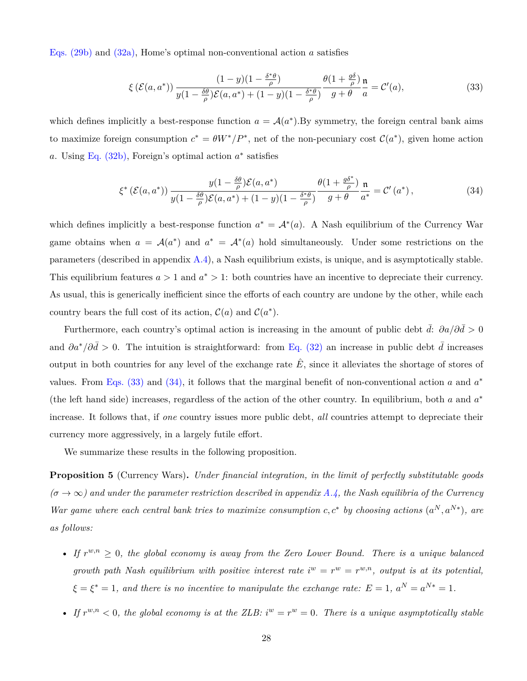Eqs. [\(29b\)](#page-23-2) and [\(32a\),](#page-27-0) Home's optimal non-conventional action *a* satisfies

<span id="page-28-0"></span>
$$
\xi\left(\mathcal{E}(a,a^*)\right) \frac{(1-y)(1-\frac{\delta^*\theta}{\rho})}{y(1-\frac{\delta\theta}{\rho})\mathcal{E}(a,a^*)+(1-y)(1-\frac{\delta^*\theta}{\rho})} \frac{\theta(1+\frac{g\delta}{\rho})}{g+\theta} \frac{\mathfrak{n}}{a} = \mathcal{C}'(a),\tag{33}
$$

which defines implicitly a best-response function  $a = \mathcal{A}(a^*)$ . By symmetry, the foreign central bank aims to maximize foreign consumption  $c^* = \theta W^*/P^*$ , net of the non-pecuniary cost  $\mathcal{C}(a^*)$ , given home action *a*. Using [Eq. \(32b\)](#page-27-1), Foreign's optimal action *a ∗* satisfies

<span id="page-28-1"></span>
$$
\xi^* \left( \mathcal{E}(a, a^*) \right) \frac{y(1 - \frac{\delta \theta}{\rho}) \mathcal{E}(a, a^*)}{y(1 - \frac{\delta \theta}{\rho}) \mathcal{E}(a, a^*) + (1 - y)(1 - \frac{\delta^* \theta}{\rho})} \frac{\theta(1 + \frac{g \delta^*}{\rho})}{g + \theta} \frac{\mathfrak{n}}{a^*} = \mathcal{C}'(a^*),
$$
\n(34)

which defines implicitly a best-response function  $a^* = A^*(a)$ . A Nash equilibrium of the Currency War game obtains when  $a = \mathcal{A}(a^*)$  and  $a^* = \mathcal{A}^*(a)$  hold simultaneously. Under some restrictions on the parameters (described in appendix [A.4](#page-57-0)), a Nash equilibrium exists, is unique, and is asymptotically stable. This equilibrium features  $a > 1$  and  $a^* > 1$ : both countries have an incentive to depreciate their currency. As usual, this is generically inefficient since the efforts of each country are undone by the other, while each country bears the full cost of its action,  $C(a)$  and  $C(a^*)$ .

Furthermore, each country's optimal action is increasing in the amount of public debt  $d$ :  $\partial a/\partial d > 0$ and  $\partial a^*/\partial \bar{d} > 0$ . The intuition is straightforward: from [Eq. \(32\)](#page-27-2) an increase in public debt  $\bar{d}$  increases output in both countries for any level of the exchange rate  $\hat{E}$ , since it alleviates the shortage of stores of values. From Eqs.  $(33)$  and  $(34)$ , it follows that the marginal benefit of non-conventional action *a* and  $a^*$ (the left hand side) increases, regardless of the action of the other country. In equilibrium, both *a* and *a ∗* increase. It follows that, if *one* country issues more public debt, *all* countries attempt to depreciate their currency more aggressively, in a largely futile effort.

We summarize these results in the following proposition.

<span id="page-28-2"></span>**Proposition 5** (Currency Wars)**.** *Under financial integration, in the limit of perfectly substitutable goods*  $(\sigma \to \infty)$  and under the parameter restriction described in appendix [A.4](#page-57-0), the Nash equilibria of the Currency *War game where each central bank tries to maximize consumption*  $c, c^*$  by choosing actions  $(a^N, a^{N*})$ , are *as follows:*

- *If*  $r^{w,n} \geq 0$ , the global economy is away from the Zero Lower Bound. There is a unique balanced *growth path Nash equilibrium with positive interest rate*  $i^w = r^w = r^{w,n}$ , *output is at its potential*,  $\xi = \xi^* = 1$ , and there is no incentive to manipulate the exchange rate:  $E = 1$ ,  $a^N = a^{N*} = 1$ .
- If  $r^{w,n} < 0$ , the global economy is at the ZLB:  $i^w = r^w = 0$ . There is a unique asymptotically stable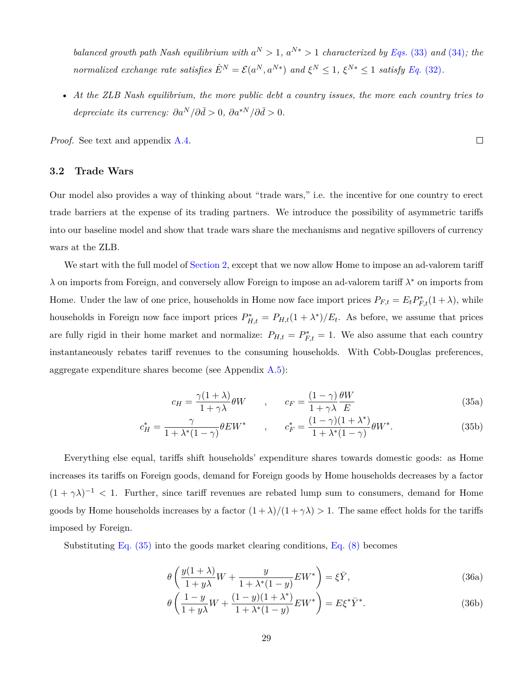*balanced growth path Nash equilibrium with*  $a^N > 1$ ,  $a^{N*} > 1$  *characterized by [Eqs.](#page-28-0)* (33) *and* [\(34\)](#page-28-1)*; the* normalized exchange rate satisfies  $\hat{E}^N = \mathcal{E}(a^N, a^{N*})$  and  $\xi^N \le 1$ ,  $\xi^{N*} \le 1$  satisfy Eq. [\(32\)](#page-27-2).

• *At the ZLB Nash equilibrium, the more public debt a country issues, the more each country tries to depreciate its currency:*  $\partial a^N / \partial \bar{d} > 0$ ,  $\partial a^{*N} / \partial \bar{d} > 0$ .

*Proof.* See text and appendix [A.4](#page-57-0).

### **3.2 Trade Wars**

Our model also provides a way of thinking about "trade wars," i.e. the incentive for one country to erect trade barriers at the expense of its trading partners. We introduce the possibility of asymmetric tariffs into our baseline model and show that trade wars share the mechanisms and negative spillovers of currency wars at the ZLB.

We start with the full model of [Section 2,](#page-8-0) except that we now allow Home to impose an ad-valorem tariff *λ* on imports from Foreign, and conversely allow Foreign to impose an ad-valorem tariff *λ <sup>∗</sup>* on imports from Home. Under the law of one price, households in Home now face import prices  $P_{F,t} = E_t P_{F,t}^*(1 + \lambda)$ , while households in Foreign now face import prices  $P_{H,t}^* = P_{H,t}(1 + \lambda^*)/E_t$ . As before, we assume that prices are fully rigid in their home market and normalize:  $P_{H,t} = P_{F,t}^* = 1$ . We also assume that each country instantaneously rebates tariff revenues to the consuming households. With Cobb-Douglas preferences, aggregate expenditure shares become (see Appendix  $A.5$ ):

<span id="page-29-0"></span>
$$
c_H = \frac{\gamma(1+\lambda)}{1+\gamma\lambda}\theta W \qquad , \qquad c_F = \frac{(1-\gamma)}{1+\gamma\lambda}\frac{\theta W}{E} \tag{35a}
$$

$$
c_H^* = \frac{\gamma}{1 + \lambda^*(1 - \gamma)} \theta E W^* \qquad , \qquad c_F^* = \frac{(1 - \gamma)(1 + \lambda^*)}{1 + \lambda^*(1 - \gamma)} \theta W^* . \tag{35b}
$$

Everything else equal, tariffs shift households' expenditure shares towards domestic goods: as Home increases its tariffs on Foreign goods, demand for Foreign goods by Home households decreases by a factor  $(1 + \gamma \lambda)^{-1}$  < 1. Further, since tariff revenues are rebated lump sum to consumers, demand for Home goods by Home households increases by a factor  $(1 + \lambda)/(1 + \gamma \lambda) > 1$ . The same effect holds for the tariffs imposed by Foreign.

Substituting [Eq. \(35\)](#page-29-0) into the goods market clearing conditions, [Eq. \(8\)](#page-13-1) becomes

*θ*

<span id="page-29-1"></span>
$$
\theta \left( \frac{y(1+\lambda)}{1+y\lambda} W + \frac{y}{1+\lambda^*(1-y)} EW^* \right) = \xi \bar{Y},\tag{36a}
$$

$$
\theta \left( \frac{1 - y}{1 + y\lambda} W + \frac{(1 - y)(1 + \lambda^*)}{1 + \lambda^*(1 - y)} EW^* \right) = E \xi^* \bar{Y}^*.
$$
\n(36b)

 $\Box$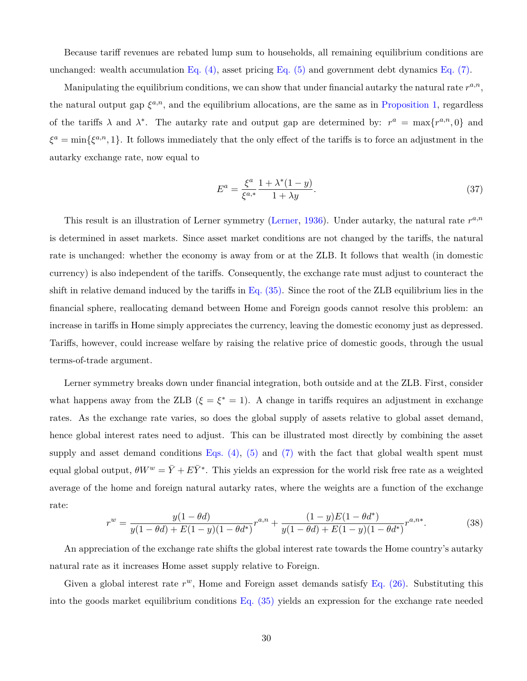Because tariff revenues are rebated lump sum to households, all remaining equilibrium conditions are unchanged: wealth accumulation Eq.  $(4)$ , asset pricing Eq.  $(5)$  and government debt dynamics Eq.  $(7)$ .

Manipulating the equilibrium conditions, we can show that under financial autarky the natural rate  $r^{a,n}$ , the natural output gap  $\xi^{a,n}$ , and the equilibrium allocations, are the same as in [Proposition 1,](#page-14-3) regardless of the tariffs  $\lambda$  and  $\lambda^*$ . The autarky rate and output gap are determined by:  $r^a = \max\{r^{a,n}, 0\}$  and  $\xi^a = \min\{\xi^{a,n}, 1\}$ . It follows immediately that the only effect of the tariffs is to force an adjustment in the autarky exchange rate, now equal to

<span id="page-30-1"></span>
$$
E^{a} = \frac{\xi^{a}}{\xi^{a,*}} \frac{1 + \lambda^{*}(1 - y)}{1 + \lambda y}.
$$
\n(37)

This result is an illustration of Lerner symmetry [\(Lerner,](#page-50-16) [1936](#page-50-16)). Under autarky, the natural rate  $r^{a,n}$ is determined in asset markets. Since asset market conditions are not changed by the tariffs, the natural rate is unchanged: whether the economy is away from or at the ZLB. It follows that wealth (in domestic currency) is also independent of the tariffs. Consequently, the exchange rate must adjust to counteract the shift in relative demand induced by the tariffs in  $Eq. (35)$ . Since the root of the ZLB equilibrium lies in the financial sphere, reallocating demand between Home and Foreign goods cannot resolve this problem: an increase in tariffs in Home simply appreciates the currency, leaving the domestic economy just as depressed. Tariffs, however, could increase welfare by raising the relative price of domestic goods, through the usual terms-of-trade argument.

Lerner symmetry breaks down under financial integration, both outside and at the ZLB. First, consider what happens away from the ZLB  $(\xi = \xi^* = 1)$ . A change in tariffs requires an adjustment in exchange rates. As the exchange rate varies, so does the global supply of assets relative to global asset demand, hence global interest rates need to adjust. This can be illustrated most directly by combining the asset supply and asset demand conditions Eqs.  $(4)$ ,  $(5)$  and  $(7)$  with the fact that global wealth spent must equal global output,  $\theta W^w = \bar{Y} + E\bar{Y}^*$ . This yields an expression for the world risk free rate as a weighted average of the home and foreign natural autarky rates, where the weights are a function of the exchange rate:

<span id="page-30-0"></span>
$$
r^{w} = \frac{y(1 - \theta d)}{y(1 - \theta d) + E(1 - y)(1 - \theta d^{*})} r^{a, n} + \frac{(1 - y)E(1 - \theta d^{*})}{y(1 - \theta d) + E(1 - y)(1 - \theta d^{*})} r^{a, n*}.
$$
 (38)

An appreciation of the exchange rate shifts the global interest rate towards the Home country's autarky natural rate as it increases Home asset supply relative to Foreign.

Given a global interest rate  $r^w$ , Home and Foreign asset demands satisfy [Eq. \(26\).](#page-21-1) Substituting this into the goods market equilibrium conditions [Eq. \(35\)](#page-29-0) yields an expression for the exchange rate needed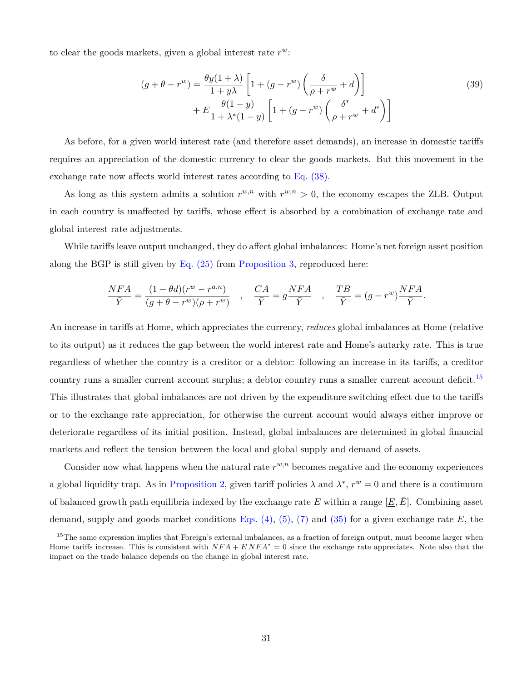to clear the goods markets, given a global interest rate *r w*:

$$
(g + \theta - r^{w}) = \frac{\theta y(1+\lambda)}{1+y\lambda} \left[ 1 + (g - r^{w}) \left( \frac{\delta}{\rho + r^{w}} + d \right) \right]
$$
  
+ 
$$
E \frac{\theta(1-y)}{1+\lambda^{*}(1-y)} \left[ 1 + (g - r^{w}) \left( \frac{\delta^{*}}{\rho + r^{w}} + d^{*} \right) \right]
$$
(39)

As before, for a given world interest rate (and therefore asset demands), an increase in domestic tariffs requires an appreciation of the domestic currency to clear the goods markets. But this movement in the exchange rate now affects world interest rates according to [Eq. \(38\).](#page-30-0)

As long as this system admits a solution  $r^{w,n}$  with  $r^{w,n} > 0$ , the economy escapes the ZLB. Output in each country is unaffected by tariffs, whose effect is absorbed by a combination of exchange rate and global interest rate adjustments.

While tariffs leave output unchanged, they do affect global imbalances: Home's net foreign asset position along the BGP is still given by Eq.  $(25)$  from [Proposition 3,](#page-20-0) reproduced here:

$$
\frac{NFA}{\bar{Y}}=\frac{(1-\theta d)(r^w-r^{a,n})}{(g+\theta-r^w)(\rho+r^w)}\quad ,\quad \frac{CA}{\bar{Y}}=g\frac{NFA}{\bar{Y}}\quad ,\quad \frac{TB}{\bar{Y}}=(g-r^w)\frac{NFA}{\bar{Y}}.
$$

An increase in tariffs at Home, which appreciates the currency, *reduces* global imbalances at Home (relative to its output) as it reduces the gap between the world interest rate and Home's autarky rate. This is true regardless of whether the country is a creditor or a debtor: following an increase in its tariffs, a creditor country runs a smaller current account surplus; a debtor country runs a smaller current account deficit.<sup>15</sup> This illustrates that global imbalances are not driven by the expenditure switching effect due to the tariffs or to the exchange rate appreciation, for otherwise the current account would always either improve or deteriorate regardless of its initial position. Instead, global imbalances are determined in global financial markets and reflect the tension between the local and global supply and demand of assets.

Consider now what happens when the natural rate  $r^{w,n}$  becomes negative and the economy experiences a global liquidity trap. As in [Proposition 2,](#page-17-4) given tariff policies  $\lambda$  and  $\lambda^*, r^w = 0$  and there is a continuum of balanced growth path equilibria indexed by the exchange rate *E* within a range  $[E, \overline{E}]$ . Combining asset demand, supply and goods market conditions Eqs.  $(4)$ ,  $(5)$ ,  $(7)$  and  $(35)$  for a given exchange rate E, the

<sup>&</sup>lt;sup>15</sup>The same expression implies that Foreign's external imbalances, as a fraction of foreign output, must become larger when Home tariffs increase. This is consistent with *NF A* + *E NF A<sup>∗</sup>* = 0 since the exchange rate appreciates. Note also that the impact on the trade balance depends on the change in global interest rate.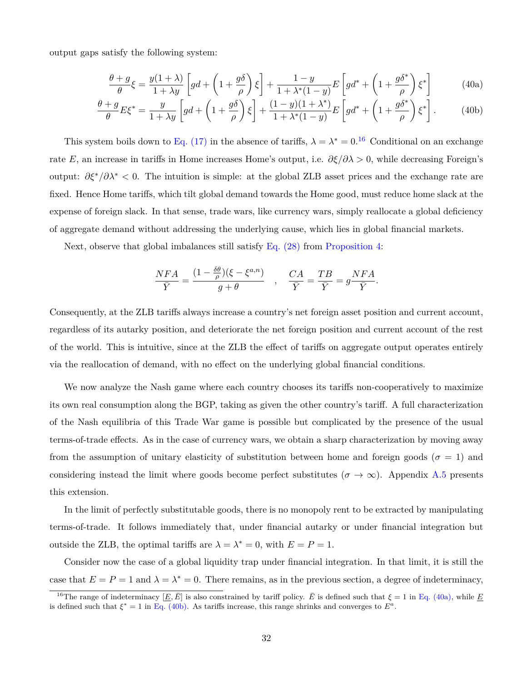output gaps satisfy the following system:

<span id="page-32-0"></span>
$$
\frac{\theta + g}{\theta} \xi = \frac{y(1 + \lambda)}{1 + \lambda y} \left[ g d + \left( 1 + \frac{g \delta}{\rho} \right) \xi \right] + \frac{1 - y}{1 + \lambda^*(1 - y)} E \left[ g d^* + \left( 1 + \frac{g \delta^*}{\rho} \right) \xi^* \right]
$$
(40a)

$$
\frac{\theta + g}{\theta} E \xi^* = \frac{y}{1 + \lambda y} \left[ g d + \left( 1 + \frac{g \delta}{\rho} \right) \xi \right] + \frac{(1 - y)(1 + \lambda^*)}{1 + \lambda^* (1 - y)} E \left[ g d^* + \left( 1 + \frac{g \delta^*}{\rho} \right) \xi^* \right].
$$
 (40b)

This system boils down to [Eq. \(17\)](#page-17-2) in the absence of tariffs,  $\lambda = \lambda^* = 0.16$  Conditional on an exchange rate *E*, an increase in tariffs in Home increases Home's output, i.e.  $\partial \xi/\partial \lambda > 0$ , while decreasing Foreign's output:  $\partial \xi^*/\partial \lambda^*$  < 0. The intuition is simple: at the global ZLB asset prices and the exchange rate are fixed. Hence Home tariffs, which tilt global demand towards the Home good, must reduce home slack at the expense of foreign slack. In that sense, trade wars, like currency wars, simply reallocate a global deficiency of aggregate demand without addressing the underlying cause, which lies in global financial markets.

Next, observe that global imbalances still satisfy [Eq. \(28\)](#page-23-0) from [Proposition 4:](#page-22-1)

<span id="page-32-1"></span>
$$
\frac{NFA}{\bar{Y}} = \frac{(1 - \frac{\delta \theta}{\rho})(\xi - \xi^{a,n})}{g + \theta} , \quad \frac{CA}{\bar{Y}} = \frac{TB}{\bar{Y}} = g\frac{NFA}{\bar{Y}}.
$$

Consequently, at the ZLB tariffs always increase a country's net foreign asset position and current account, regardless of its autarky position, and deteriorate the net foreign position and current account of the rest of the world. This is intuitive, since at the ZLB the effect of tariffs on aggregate output operates entirely via the reallocation of demand, with no effect on the underlying global financial conditions.

We now analyze the Nash game where each country chooses its tariffs non-cooperatively to maximize its own real consumption along the BGP, taking as given the other country's tariff. A full characterization of the Nash equilibria of this Trade War game is possible but complicated by the presence of the usual terms-of-trade effects. As in the case of currency wars, we obtain a sharp characterization by moving away from the assumption of unitary elasticity of substitution between home and foreign goods ( $\sigma = 1$ ) and considering instead the limit where goods become perfect substitutes ( $\sigma \to \infty$ ). Appendix [A.5](#page-60-0) presents this extension.

In the limit of perfectly substitutable goods, there is no monopoly rent to be extracted by manipulating terms-of-trade. It follows immediately that, under financial autarky or under financial integration but outside the ZLB, the optimal tariffs are  $\lambda = \lambda^* = 0$ , with  $E = P = 1$ .

Consider now the case of a global liquidity trap under financial integration. In that limit, it is still the case that  $E = P = 1$  and  $\lambda = \lambda^* = 0$ . There remains, as in the previous section, a degree of indeterminacy,

<sup>&</sup>lt;sup>16</sup>The range of indeterminacy  $[E, \overline{E}]$  is also constrained by tariff policy.  $\overline{E}$  is defined such that  $\xi = 1$  in [Eq. \(40a\)](#page-32-0), while <u>E</u> is defined such that  $\xi^* = 1$  in [Eq. \(40b\)](#page-32-1). As tariffs increase, this range shrinks and converges to  $E^a$ .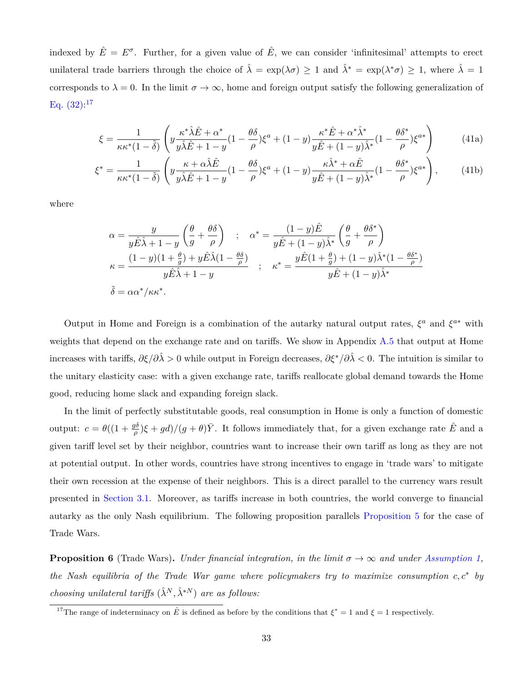indexed by  $\hat{E} = E^{\sigma}$ . Further, for a given value of  $\hat{E}$ , we can consider 'infinitesimal' attempts to erect unilateral trade barriers through the choice of  $\hat{\lambda} = \exp(\lambda \sigma) \ge 1$  and  $\hat{\lambda}^* = \exp(\lambda^* \sigma) \ge 1$ , where  $\hat{\lambda} = 1$ corresponds to  $\lambda = 0$ . In the limit  $\sigma \to \infty$ , home and foreign output satisfy the following generalization of Eq.  $(32)^{17}$ 

<span id="page-33-0"></span>
$$
\xi = \frac{1}{\kappa \kappa^* (1 - \tilde{\delta})} \left( y \frac{\kappa^* \hat{\lambda} \hat{E} + \alpha^*}{y \hat{\lambda} \hat{E} + 1 - y} (1 - \frac{\theta \delta}{\rho}) \xi^a + (1 - y) \frac{\kappa^* \hat{E} + \alpha^* \hat{\lambda}^*}{y \hat{E} + (1 - y) \hat{\lambda}^*} (1 - \frac{\theta \delta^*}{\rho}) \xi^{a*} \right)
$$
(41a)

$$
\xi^* = \frac{1}{\kappa \kappa^* (1 - \tilde{\delta})} \left( y \frac{\kappa + \alpha \hat{\lambda} \hat{E}}{y \hat{\lambda} \hat{E} + 1 - y} (1 - \frac{\theta \delta}{\rho}) \xi^a + (1 - y) \frac{\kappa \hat{\lambda}^* + \alpha \hat{E}}{y \hat{E} + (1 - y) \hat{\lambda}^*} (1 - \frac{\theta \delta^*}{\rho}) \xi^{a*} \right), \tag{41b}
$$

where

$$
\alpha = \frac{y}{y\hat{E}\hat{\lambda} + 1 - y} \left(\frac{\theta}{g} + \frac{\theta\delta}{\rho}\right) \quad ; \quad \alpha^* = \frac{(1 - y)\hat{E}}{y\hat{E} + (1 - y)\hat{\lambda}^*} \left(\frac{\theta}{g} + \frac{\theta\delta^*}{\rho}\right)
$$

$$
\kappa = \frac{(1 - y)(1 + \frac{\theta}{g}) + y\hat{E}\hat{\lambda}(1 - \frac{\theta\delta}{\rho})}{y\hat{E}\hat{\lambda} + 1 - y} \quad ; \quad \kappa^* = \frac{y\hat{E}(1 + \frac{\theta}{g}) + (1 - y)\hat{\lambda}^*(1 - \frac{\theta\delta^*}{\rho})}{y\hat{E} + (1 - y)\hat{\lambda}^*}
$$

$$
\tilde{\delta} = \alpha\alpha^*/\kappa\kappa^*.
$$

Output in Home and Foreign is a combination of the autarky natural output rates,  $\xi^a$  and  $\xi^{a*}$  with weights that depend on the exchange rate and on tariffs. We show in Appendix [A.5](#page-60-0) that output at Home increases with tariffs,  $\partial \xi / \partial \hat{\lambda} > 0$  while output in Foreign decreases,  $\partial \xi^* / \partial \hat{\lambda} < 0$ . The intuition is similar to the unitary elasticity case: with a given exchange rate, tariffs reallocate global demand towards the Home good, reducing home slack and expanding foreign slack.

In the limit of perfectly substitutable goods, real consumption in Home is only a function of domestic output:  $c = \theta((1 + \frac{g\delta}{\rho})\xi + gd)/(g + \theta)\bar{Y}$ . It follows immediately that, for a given exchange rate  $\hat{E}$  and a given tariff level set by their neighbor, countries want to increase their own tariff as long as they are not at potential output. In other words, countries have strong incentives to engage in 'trade wars' to mitigate their own recession at the expense of their neighbors. This is a direct parallel to the currency wars result presented in [Section 3.1](#page-25-1). Moreover, as tariffs increase in both countries, the world converge to financial autarky as the only Nash equilibrium. The following proposition parallels [Proposition 5](#page-28-2) for the case of Trade Wars.

**Proposition 6** (Trade Wars). *Under financial integration, in the limit*  $\sigma \to \infty$  *and under [Assumption 1](#page-14-0)*, *the Nash equilibria of the Trade War game where policymakers try to maximize consumption c, c<sup>∗</sup> by choosing unilateral tariffs*  $(\hat{\lambda}^N, \hat{\lambda}^{*N})$  *are as follows:* 

<sup>&</sup>lt;sup>17</sup>The range of indeterminacy on  $\hat{E}$  is defined as before by the conditions that  $\xi^* = 1$  and  $\xi = 1$  respectively.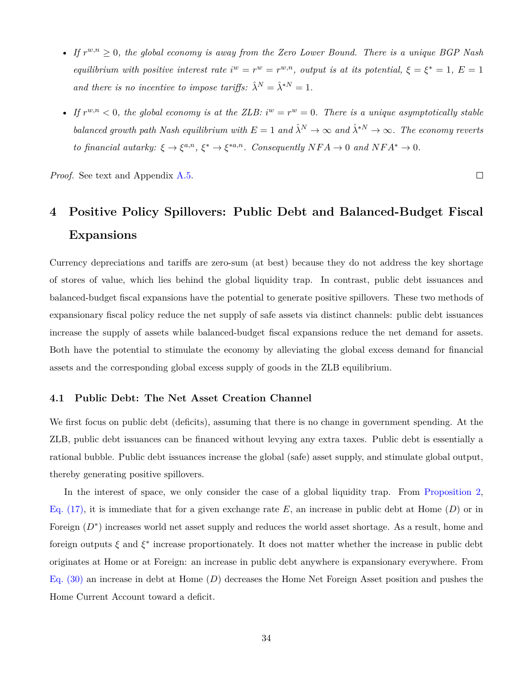- *If*  $r^{w,n} \geq 0$ , the global economy is away from the Zero Lower Bound. There is a unique BGP Nash *equilibrium with positive interest rate*  $i^w = r^w = r^{w,n}$ , *output is at its potential*,  $\xi = \xi^* = 1$ ,  $E = 1$ *and there is no incentive to impose tariffs:*  $\hat{\lambda}^N = \hat{\lambda}^{*N} = 1$ .
- If  $r^{w,n} < 0$ , the global economy is at the ZLB:  $i^w = r^w = 0$ . There is a unique asymptotically stable *balanced growth path Nash equilibrium with*  $E = 1$  *and*  $\hat{\lambda}^N \to \infty$  *and*  $\hat{\lambda}^{*N} \to \infty$ *. The economy reverts to financial autarky:*  $\xi \to \xi^{a,n}$ ,  $\xi^* \to \xi^{*a,n}$ *. Consequently*  $NFA \to 0$  *and*  $NFA^* \to 0$ *.*

*Proof.* See text and Appendix [A.5.](#page-60-0)

# <span id="page-34-0"></span>**4 Positive Policy Spillovers: Public Debt and Balanced-Budget Fiscal Expansions**

Currency depreciations and tariffs are zero-sum (at best) because they do not address the key shortage of stores of value, which lies behind the global liquidity trap. In contrast, public debt issuances and balanced-budget fiscal expansions have the potential to generate positive spillovers. These two methods of expansionary fiscal policy reduce the net supply of safe assets via distinct channels: public debt issuances increase the supply of assets while balanced-budget fiscal expansions reduce the net demand for assets. Both have the potential to stimulate the economy by alleviating the global excess demand for financial assets and the corresponding global excess supply of goods in the ZLB equilibrium.

### **4.1 Public Debt: The Net Asset Creation Channel**

We first focus on public debt (deficits), assuming that there is no change in government spending. At the ZLB, public debt issuances can be financed without levying any extra taxes. Public debt is essentially a rational bubble. Public debt issuances increase the global (safe) asset supply, and stimulate global output, thereby generating positive spillovers.

In the interest of space, we only consider the case of a global liquidity trap. From [Proposition 2,](#page-17-4) [Eq. \(17\)](#page-17-2), it is immediate that for a given exchange rate *E*, an increase in public debt at Home (*D*) or in Foreign  $(D^*)$  increases world net asset supply and reduces the world asset shortage. As a result, home and foreign outputs *ξ* and *ξ ∗* increase proportionately. It does not matter whether the increase in public debt originates at Home or at Foreign: an increase in public debt anywhere is expansionary everywhere. From [Eq. \(30\)](#page-24-1) an increase in debt at Home (*D*) decreases the Home Net Foreign Asset position and pushes the Home Current Account toward a deficit.

 $\Box$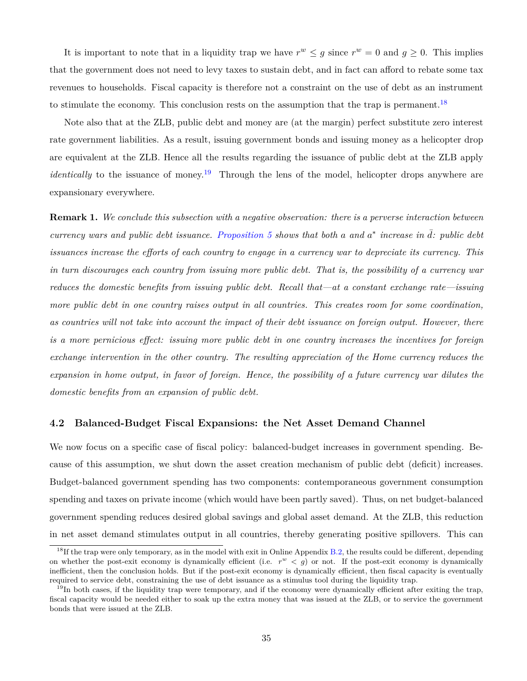It is important to note that in a liquidity trap we have  $r^w \leq g$  since  $r^w = 0$  and  $g \geq 0$ . This implies that the government does not need to levy taxes to sustain debt, and in fact can afford to rebate some tax revenues to households. Fiscal capacity is therefore not a constraint on the use of debt as an instrument to stimulate the economy. This conclusion rests on the assumption that the trap is permanent.<sup>18</sup>

Note also that at the ZLB, public debt and money are (at the margin) perfect substitute zero interest rate government liabilities. As a result, issuing government bonds and issuing money as a helicopter drop are equivalent at the ZLB. Hence all the results regarding the issuance of public debt at the ZLB apply *identically* to the issuance of money.<sup>19</sup> Through the lens of the model, helicopter drops anywhere are expansionary everywhere.

**Remark 1.** *We conclude this subsection with a negative observation: there is a perverse interaction between*  $c$ urrency wars and public debt issuance. [Proposition 5](#page-28-2) shows that both a and  $a^*$  increase in  $\overline{d}$ *:* public debt *issuances increase the efforts of each country to engage in a currency war to depreciate its currency. This in turn discourages each country from issuing more public debt. That is, the possibility of a currency war reduces the domestic benefits from issuing public debt. Recall that—at a constant exchange rate—issuing more public debt in one country raises output in all countries. This creates room for some coordination, as countries will not take into account the impact of their debt issuance on foreign output. However, there is a more pernicious effect: issuing more public debt in one country increases the incentives for foreign exchange intervention in the other country. The resulting appreciation of the Home currency reduces the expansion in home output, in favor of foreign. Hence, the possibility of a future currency war dilutes the domestic benefits from an expansion of public debt.*

### **4.2 Balanced-Budget Fiscal Expansions: the Net Asset Demand Channel**

We now focus on a specific case of fiscal policy: balanced-budget increases in government spending. Because of this assumption, we shut down the asset creation mechanism of public debt (deficit) increases. Budget-balanced government spending has two components: contemporaneous government consumption spending and taxes on private income (which would have been partly saved). Thus, on net budget-balanced government spending reduces desired global savings and global asset demand. At the ZLB, this reduction in net asset demand stimulates output in all countries, thereby generating positive spillovers. This can

<sup>&</sup>lt;sup>18</sup>If the trap were only temporary, as in the model with exit in Online Appendix [B.2](#page-67-0), the results could be different, depending on whether the post-exit economy is dynamically efficient (i.e.  $r^w < g$ ) or not. If the post-exit economy is dynamically inefficient, then the conclusion holds. But if the post-exit economy is dynamically efficient, then fiscal capacity is eventually required to service debt, constraining the use of debt issuance as a stimulus tool during the liquidity trap.

 $19$ In both cases, if the liquidity trap were temporary, and if the economy were dynamically efficient after exiting the trap, fiscal capacity would be needed either to soak up the extra money that was issued at the ZLB, or to service the government bonds that were issued at the ZLB.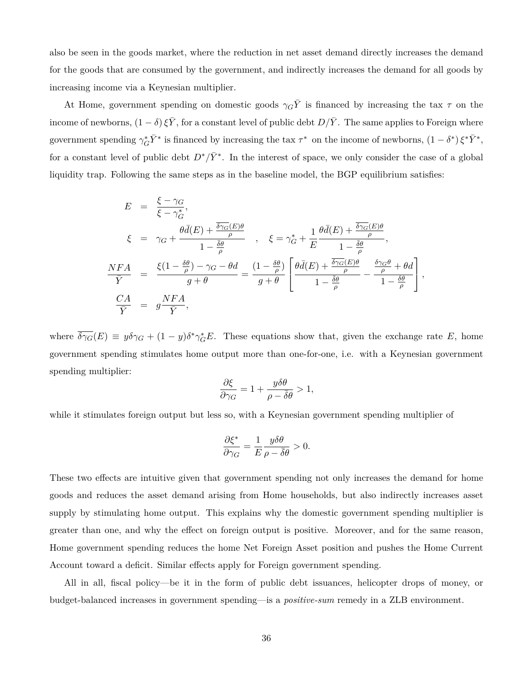also be seen in the goods market, where the reduction in net asset demand directly increases the demand for the goods that are consumed by the government, and indirectly increases the demand for all goods by increasing income via a Keynesian multiplier.

At Home, government spending on domestic goods  $\gamma_G \bar{Y}$  is financed by increasing the tax  $\tau$  on the income of newborns,  $(1 - \delta) \xi \overline{Y}$ , for a constant level of public debt  $D/\overline{Y}$ . The same applies to Foreign where government spending  $\gamma_G^* \bar{Y}^*$  is financed by increasing the tax  $\tau^*$  on the income of newborns,  $(1 - \delta^*) \xi^* \bar{Y}^*$ , for a constant level of public debt  $D^*/\bar{Y}^*$ . In the interest of space, we only consider the case of a global liquidity trap. Following the same steps as in the baseline model, the BGP equilibrium satisfies:

$$
E = \frac{\xi - \gamma_G}{\xi - \gamma_G^*},
$$
  
\n
$$
\xi = \gamma_G + \frac{\theta \bar{d}(E) + \frac{\bar{\delta}\gamma_G(E)\theta}{\rho}}{1 - \frac{\bar{\delta}\theta}{\rho}}, \quad \xi = \gamma_G^* + \frac{1}{E} \frac{\theta \bar{d}(E) + \frac{\bar{\delta}\gamma_G(E)\theta}{\rho}}{1 - \frac{\bar{\delta}\theta}{\rho}},
$$
  
\n
$$
\frac{NFA}{\bar{Y}} = \frac{\xi(1 - \frac{\delta\theta}{\rho}) - \gamma_G - \theta d}{g + \theta} = \frac{(1 - \frac{\delta\theta}{\rho})}{g + \theta} \left[ \frac{\theta \bar{d}(E) + \frac{\bar{\delta}\gamma_G(E)\theta}{\rho}}{1 - \frac{\bar{\delta}\theta}{\rho}} - \frac{\frac{\delta\gamma_G\theta}{\rho} + \theta d}{1 - \frac{\delta\theta}{\rho}} \right],
$$
  
\n
$$
\frac{CA}{\bar{Y}} = g\frac{NFA}{\bar{Y}},
$$

where  $\overline{\delta \gamma_G}(E) \equiv y \delta \gamma_G + (1 - y) \delta^* \gamma_G^* E$ . These equations show that, given the exchange rate *E*, home government spending stimulates home output more than one-for-one, i.e. with a Keynesian government spending multiplier:

$$
\frac{\partial \xi}{\partial \gamma_G} = 1 + \frac{y \delta \theta}{\rho - \bar{\delta} \theta} > 1,
$$

while it stimulates foreign output but less so, with a Keynesian government spending multiplier of

$$
\frac{\partial \xi^*}{\partial \gamma_G} = \frac{1}{E} \frac{y \delta \theta}{\rho - \bar{\delta} \theta} > 0.
$$

These two effects are intuitive given that government spending not only increases the demand for home goods and reduces the asset demand arising from Home households, but also indirectly increases asset supply by stimulating home output. This explains why the domestic government spending multiplier is greater than one, and why the effect on foreign output is positive. Moreover, and for the same reason, Home government spending reduces the home Net Foreign Asset position and pushes the Home Current Account toward a deficit. Similar effects apply for Foreign government spending.

All in all, fiscal policy—be it in the form of public debt issuances, helicopter drops of money, or budget-balanced increases in government spending—is a *positive-sum* remedy in a ZLB environment.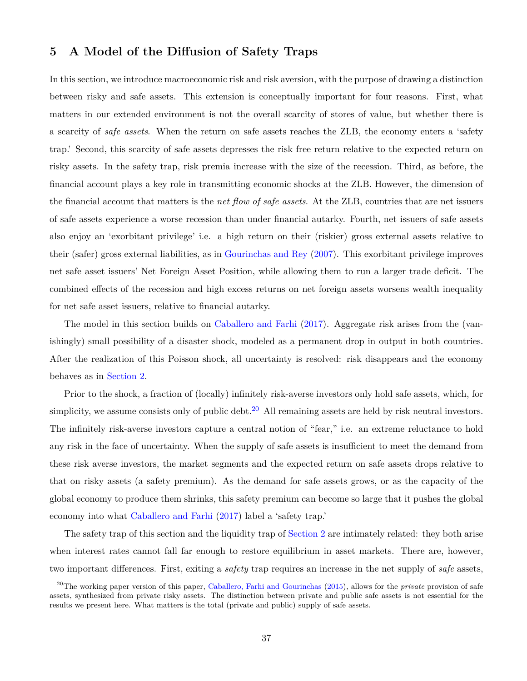### <span id="page-37-0"></span>**5 A Model of the Diffusion of Safety Traps**

In this section, we introduce macroeconomic risk and risk aversion, with the purpose of drawing a distinction between risky and safe assets. This extension is conceptually important for four reasons. First, what matters in our extended environment is not the overall scarcity of stores of value, but whether there is a scarcity of *safe assets*. When the return on safe assets reaches the ZLB, the economy enters a 'safety trap.' Second, this scarcity of safe assets depresses the risk free return relative to the expected return on risky assets. In the safety trap, risk premia increase with the size of the recession. Third, as before, the financial account plays a key role in transmitting economic shocks at the ZLB. However, the dimension of the financial account that matters is the *net flow of safe assets*. At the ZLB, countries that are net issuers of safe assets experience a worse recession than under financial autarky. Fourth, net issuers of safe assets also enjoy an 'exorbitant privilege' i.e. a high return on their (riskier) gross external assets relative to their (safer) gross external liabilities, as in [Gourinchas and Rey](#page-49-18) [\(2007\)](#page-49-18). This exorbitant privilege improves net safe asset issuers' Net Foreign Asset Position, while allowing them to run a larger trade deficit. The combined effects of the recession and high excess returns on net foreign assets worsens wealth inequality for net safe asset issuers, relative to financial autarky.

The model in this section builds on [Caballero and Farhi](#page-48-2) [\(2017](#page-48-2)). Aggregate risk arises from the (vanishingly) small possibility of a disaster shock, modeled as a permanent drop in output in both countries. After the realization of this Poisson shock, all uncertainty is resolved: risk disappears and the economy behaves as in [Section 2](#page-8-0).

Prior to the shock, a fraction of (locally) infinitely risk-averse investors only hold safe assets, which, for simplicity, we assume consists only of public debt.<sup>20</sup> All remaining assets are held by risk neutral investors. The infinitely risk-averse investors capture a central notion of "fear," i.e. an extreme reluctance to hold any risk in the face of uncertainty. When the supply of safe assets is insufficient to meet the demand from these risk averse investors, the market segments and the expected return on safe assets drops relative to that on risky assets (a safety premium). As the demand for safe assets grows, or as the capacity of the global economy to produce them shrinks, this safety premium can become so large that it pushes the global economy into what [Caballero and Farhi](#page-48-2) [\(2017\)](#page-48-2) label a 'safety trap.'

The safety trap of this section and the liquidity trap of [Section 2](#page-8-0) are intimately related: they both arise when interest rates cannot fall far enough to restore equilibrium in asset markets. There are, however, two important differences. First, exiting a *safety* trap requires an increase in the net supply of *safe* assets,

<sup>20</sup>The working paper version of this paper, [Caballero, Farhi and Gourinchas](#page-48-16) [\(2015\)](#page-48-16), allows for the *private* provision of safe assets, synthesized from private risky assets. The distinction between private and public safe assets is not essential for the results we present here. What matters is the total (private and public) supply of safe assets.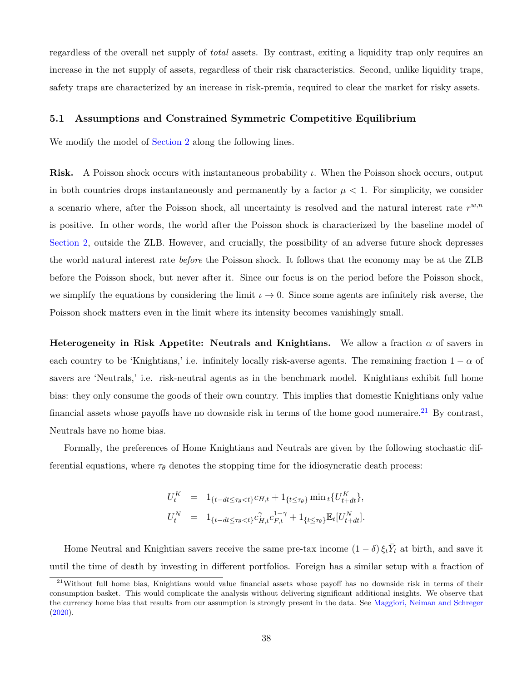regardless of the overall net supply of *total* assets. By contrast, exiting a liquidity trap only requires an increase in the net supply of assets, regardless of their risk characteristics. Second, unlike liquidity traps, safety traps are characterized by an increase in risk-premia, required to clear the market for risky assets.

### **5.1 Assumptions and Constrained Symmetric Competitive Equilibrium**

We modify the model of [Section 2](#page-8-0) along the following lines.

**Risk.** A Poisson shock occurs with instantaneous probability *ι*. When the Poisson shock occurs, output in both countries drops instantaneously and permanently by a factor  $\mu < 1$ . For simplicity, we consider a scenario where, after the Poisson shock, all uncertainty is resolved and the natural interest rate  $r^{w,n}$ is positive. In other words, the world after the Poisson shock is characterized by the baseline model of [Section 2,](#page-8-0) outside the ZLB. However, and crucially, the possibility of an adverse future shock depresses the world natural interest rate *before* the Poisson shock. It follows that the economy may be at the ZLB before the Poisson shock, but never after it. Since our focus is on the period before the Poisson shock, we simplify the equations by considering the limit  $\iota \to 0$ . Since some agents are infinitely risk averse, the Poisson shock matters even in the limit where its intensity becomes vanishingly small.

**Heterogeneity in Risk Appetite: Neutrals and Knightians.** We allow a fraction  $\alpha$  of savers in each country to be 'Knightians,' i.e. infinitely locally risk-averse agents. The remaining fraction  $1 - \alpha$  of savers are 'Neutrals,' i.e. risk-neutral agents as in the benchmark model. Knightians exhibit full home bias: they only consume the goods of their own country. This implies that domestic Knightians only value financial assets whose payoffs have no downside risk in terms of the home good numeraire.<sup>21</sup> By contrast, Neutrals have no home bias.

Formally, the preferences of Home Knightians and Neutrals are given by the following stochastic differential equations, where  $\tau_{\theta}$  denotes the stopping time for the idiosyncratic death process:

$$
U_t^K = 1_{\{t - dt \le \tau_\theta < t\}} c_{H,t} + 1_{\{t \le \tau_\theta\}} \min_t \{ U_{t+dt}^K \},
$$
\n
$$
U_t^N = 1_{\{t - dt \le \tau_\theta < t\}} c_{H,t}^{\gamma} c_{F,t}^{1 - \gamma} + 1_{\{t \le \tau_\theta\}} \mathbb{E}_t [U_{t+dt}^N].
$$

Home Neutral and Knightian savers receive the same pre-tax income  $(1 - \delta) \xi_t \overline{Y}_t$  at birth, and save it until the time of death by investing in different portfolios. Foreign has a similar setup with a fraction of

<sup>21</sup>Without full home bias, Knightians would value financial assets whose payoff has no downside risk in terms of their consumption basket. This would complicate the analysis without delivering significant additional insights. We observe that the currency home bias that results from our assumption is strongly present in the data. See [Maggiori, Neiman and Schreger](#page-50-17) [\(2020\)](#page-50-17).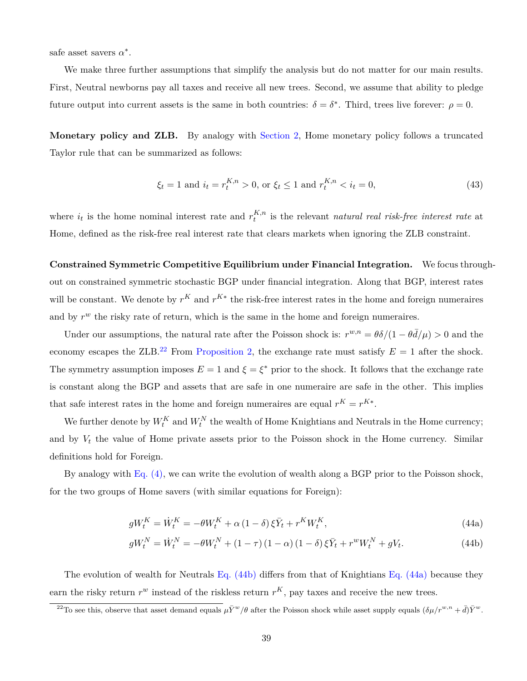safe asset savers  $\alpha^*$ .

We make three further assumptions that simplify the analysis but do not matter for our main results. First, Neutral newborns pay all taxes and receive all new trees. Second, we assume that ability to pledge future output into current assets is the same in both countries:  $\delta = \delta^*$ . Third, trees live forever:  $\rho = 0$ .

**Monetary policy and ZLB.** By analogy with [Section 2,](#page-8-0) Home monetary policy follows a truncated Taylor rule that can be summarized as follows:

<span id="page-39-3"></span>
$$
\xi_t = 1 \text{ and } i_t = r_t^{K,n} > 0, \text{ or } \xi_t \le 1 \text{ and } r_t^{K,n} < i_t = 0,
$$
\n(43)

where  $i_t$  is the home nominal interest rate and  $r_t^{K,n}$ *t* is the relevant *natural real risk-free interest rate* at Home, defined as the risk-free real interest rate that clears markets when ignoring the ZLB constraint.

**Constrained Symmetric Competitive Equilibrium under Financial Integration.** We focus throughout on constrained symmetric stochastic BGP under financial integration. Along that BGP, interest rates will be constant. We denote by  $r^K$  and  $r^{K*}$  the risk-free interest rates in the home and foreign numeraires and by  $r^w$  the risky rate of return, which is the same in the home and foreign numeraires.

Under our assumptions, the natural rate after the Poisson shock is:  $r^{w,n} = \theta \delta / (1 - \theta \bar{d}/\mu) > 0$  and the economy escapes the ZLB.<sup>22</sup> From [Proposition 2,](#page-17-4) the exchange rate must satisfy  $E = 1$  after the shock. The symmetry assumption imposes  $E = 1$  and  $\xi = \xi^*$  prior to the shock. It follows that the exchange rate is constant along the BGP and assets that are safe in one numeraire are safe in the other. This implies that safe interest rates in the home and foreign numeraires are equal  $r^K = r^{K*}$ .

We further denote by  $W_t^K$  and  $W_t^N$  the wealth of Home Knightians and Neutrals in the Home currency; and by  $V_t$  the value of Home private assets prior to the Poisson shock in the Home currency. Similar definitions hold for Foreign.

By analogy with [Eq. \(4\)](#page-12-0), we can write the evolution of wealth along a BGP prior to the Poisson shock, for the two groups of Home savers (with similar equations for Foreign):

<span id="page-39-2"></span><span id="page-39-1"></span><span id="page-39-0"></span>
$$
gW_t^K = \dot{W}_t^K = -\theta W_t^K + \alpha \left(1 - \delta\right) \xi \bar{Y}_t + r^K W_t^K, \tag{44a}
$$

$$
gW_t^N = \dot{W}_t^N = -\theta W_t^N + (1 - \tau)(1 - \alpha)(1 - \delta)\xi \bar{Y}_t + r^w W_t^N + gV_t.
$$
 (44b)

The evolution of wealth for Neutrals [Eq. \(44b\)](#page-39-0) differs from that of Knightians [Eq. \(44a\)](#page-39-1) because they earn the risky return  $r^w$  instead of the riskless return  $r^K$ , pay taxes and receive the new trees.

<sup>&</sup>lt;sup>22</sup>To see this, observe that asset demand equals  $\mu \bar{Y}^w / \theta$  after the Poisson shock while asset supply equals  $(\delta \mu / r^{w,n} + \bar{d}) \bar{Y}^w$ .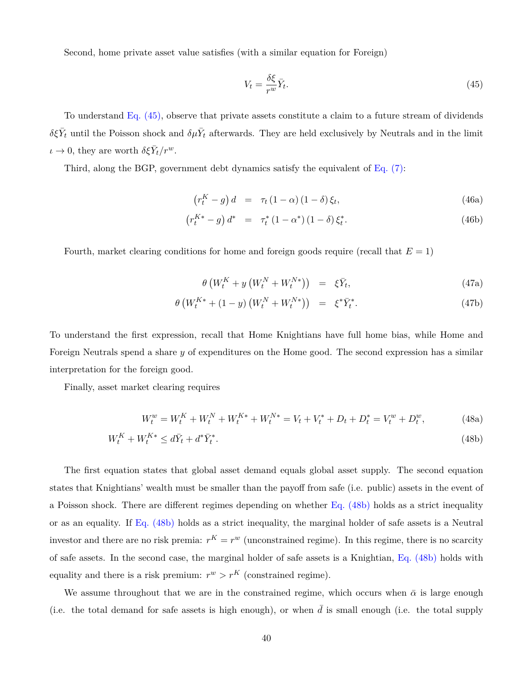Second, home private asset value satisfies (with a similar equation for Foreign)

<span id="page-40-0"></span>
$$
V_t = \frac{\delta \xi}{r^w} \bar{Y}_t.
$$
\n(45)

To understand [Eq. \(45\),](#page-40-0) observe that private assets constitute a claim to a future stream of dividends  $\delta \xi \bar{Y}_t$  until the Poisson shock and  $\delta \mu \bar{Y}_t$  afterwards. They are held exclusively by Neutrals and in the limit  $\iota \to 0$ , they are worth  $\delta \xi \bar{Y}_t / r^w$ .

Third, along the BGP, government debt dynamics satisfy the equivalent of  $Eq. (7)$ :

<span id="page-40-2"></span>
$$
\left(r_t^K - g\right)d = \tau_t \left(1 - \alpha\right)\left(1 - \delta\right)\xi_t,\tag{46a}
$$

$$
\left(r_t^{K*} - g\right) d^* = \tau_t^* \left(1 - \alpha^*\right) \left(1 - \delta\right) \xi_t^*.
$$
\n(46b)

Fourth, market clearing conditions for home and foreign goods require (recall that *E* = 1)

<span id="page-40-4"></span><span id="page-40-3"></span><span id="page-40-1"></span>
$$
\theta \left( W_t^K + y \left( W_t^N + W_t^{N*} \right) \right) = \xi \bar{Y}_t, \tag{47a}
$$

$$
\theta \left( W_t^{K*} + (1 - y) \left( W_t^N + W_t^{N*} \right) \right) = \xi^* \bar{Y}_t^*.
$$
\n(47b)

To understand the first expression, recall that Home Knightians have full home bias, while Home and Foreign Neutrals spend a share *y* of expenditures on the Home good. The second expression has a similar interpretation for the foreign good.

Finally, asset market clearing requires

$$
W_t^w = W_t^K + W_t^N + W_t^{K*} + W_t^{N*} = V_t + V_t^* + D_t + D_t^* = V_t^w + D_t^w,
$$
\n(48a)

$$
W_t^K + W_t^{K*} \le d\bar{Y}_t + d^*\bar{Y}_t^*.
$$
\n
$$
(48b)
$$

The first equation states that global asset demand equals global asset supply. The second equation states that Knightians' wealth must be smaller than the payoff from safe (i.e. public) assets in the event of a Poisson shock. There are different regimes depending on whether [Eq. \(48b\)](#page-40-1) holds as a strict inequality or as an equality. If [Eq. \(48b\)](#page-40-1) holds as a strict inequality, the marginal holder of safe assets is a Neutral investor and there are no risk premia:  $r^K = r^w$  (unconstrained regime). In this regime, there is no scarcity of safe assets. In the second case, the marginal holder of safe assets is a Knightian, [Eq. \(48b\)](#page-40-1) holds with equality and there is a risk premium:  $r^w > r^K$  (constrained regime).

We assume throughout that we are in the constrained regime, which occurs when  $\bar{\alpha}$  is large enough (i.e. the total demand for safe assets is high enough), or when  $\bar{d}$  is small enough (i.e. the total supply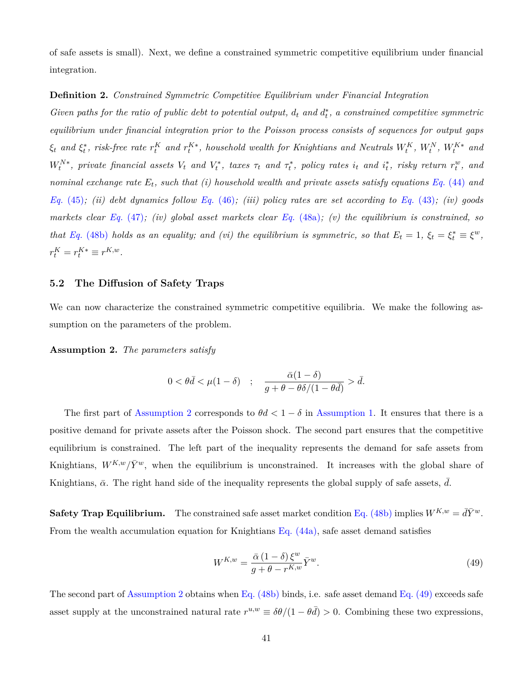of safe assets is small). Next, we define a constrained symmetric competitive equilibrium under financial integration.

### **Definition 2.** *Constrained Symmetric Competitive Equilibrium under Financial Integration*

*Given paths for the ratio of public debt to potential output,*  $d_t$  *and*  $d_t^*$ *, a constrained competitive symmetric equilibrium under financial integration prior to the Poisson process consists of sequences for output gaps*  $\xi_t$  and  $\xi_t^*$ , risk-free rate  $r_t^K$  and  $r_t^{K*}$ , household wealth for Knightians and Neutrals  $W_t^K,~W_t^N,~W_t^{K*}$  and  $W_t^{N*},$  private financial assets  $V_t$  and  $V_t^*$ , taxes  $\tau_t$  and  $\tau_t^*$ , policy rates  $i_t$  and  $i_t^*$ , risky return  $r_t^w$ , and *nominal exchange rate Et, such that (i) household wealth and private assets satisfy equations Eq.* [\(44\)](#page-39-2) *and Eq.* [\(45\)](#page-40-0)*; (ii) debt dynamics follow Eq.* [\(46\)](#page-40-2)*; (iii) policy rates are set according to Eq.* [\(43\)](#page-39-3)*; (iv) goods markets clear Eq.* [\(47\)](#page-40-3)*; (iv) global asset markets clear Eq.* [\(48a\)](#page-40-4)*; (v) the equilibrium is constrained, so that Eq.* [\(48b\)](#page-40-1) *holds as an equality; and (vi) the equilibrium is symmetric, so that*  $E_t = 1$ ,  $\xi_t = \xi_t^* \equiv \xi^w$ ,  $r_t^K = r_t^{K*} \equiv r^{K,w}.$ 

### **5.2 The Diffusion of Safety Traps**

We can now characterize the constrained symmetric competitive equilibria. We make the following assumption on the parameters of the problem.

<span id="page-41-0"></span>**Assumption 2.** *The parameters satisfy*

$$
0 < \theta \bar{d} < \mu (1 - \delta) \quad ; \quad \frac{\bar{\alpha} (1 - \delta)}{g + \theta - \theta \delta / (1 - \theta \bar{d})} > \bar{d}.
$$

The first part of [Assumption 2](#page-41-0) corresponds to  $\theta d < 1 - \delta$  in [Assumption 1.](#page-14-0) It ensures that there is a positive demand for private assets after the Poisson shock. The second part ensures that the competitive equilibrium is constrained. The left part of the inequality represents the demand for safe assets from Knightians,  $W^{K,w}/\bar{Y}^w$ , when the equilibrium is unconstrained. It increases with the global share of Knightians,  $\bar{\alpha}$ . The right hand side of the inequality represents the global supply of safe assets,  $\bar{d}$ .

**Safety Trap Equilibrium.** The constrained safe asset market condition [Eq. \(48b\)](#page-40-1) implies  $W^{K,w} = d\overline{Y}^w$ . From the wealth accumulation equation for Knightians [Eq. \(44a\)](#page-39-1), safe asset demand satisfies

<span id="page-41-1"></span>
$$
W^{K,w} = \frac{\bar{\alpha} \left(1 - \delta\right) \xi^w}{g + \theta - r^{K,w}} \bar{Y}^w.
$$
\n<sup>(49)</sup>

The second part of [Assumption 2](#page-41-0) obtains when Eq.  $(48b)$  binds, i.e. safe asset demand Eq.  $(49)$  exceeds safe asset supply at the unconstrained natural rate  $r^{u,w} \equiv \delta\theta/(1-\theta\bar{d}) > 0$ . Combining these two expressions,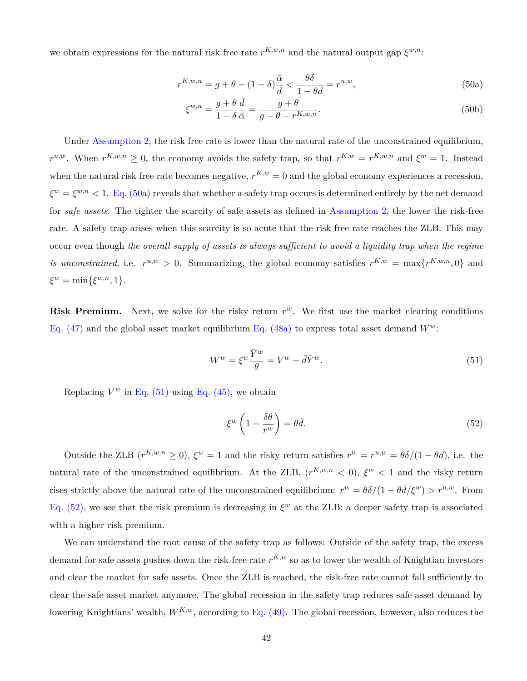we obtain expressions for the natural risk free rate  $r^{K,w,n}$  and the natural output gap  $\xi^{w,n}$ :

$$
r^{K,w,n} = g + \theta - (1 - \delta) \frac{\bar{\alpha}}{\bar{d}} < \frac{\theta \delta}{1 - \theta \bar{d}} = r^{u,w},\tag{50a}
$$

<span id="page-42-0"></span>
$$
\xi^{w,n} = \frac{g+\theta}{1-\delta} \frac{\bar{d}}{\bar{\alpha}} = \frac{g+\theta}{g+\theta - r^{K,w,n}}.
$$
\n(50b)

Under [Assumption 2,](#page-41-0) the risk free rate is lower than the natural rate of the unconstrained equilibrium,  $r^{u,w}$ . When  $r^{K,w,n} \geq 0$ , the economy avoids the safety trap, so that  $r^{K,w} = r^{K,w,n}$  and  $\xi^w = 1$ . Instead when the natural risk free rate becomes negative,  $r^{K,w} = 0$  and the global economy experiences a recession,  $\xi^w = \xi^{w,n} < 1$ . [Eq. \(50a\)](#page-42-0) reveals that whether a safety trap occurs is determined entirely by the net demand for *safe assets*. The tighter the scarcity of safe assets as defined in [Assumption 2](#page-41-0), the lower the risk-free rate. A safety trap arises when this scarcity is so acute that the risk free rate reaches the ZLB. This may occur even though *the overall supply of assets is always sufficient to avoid a liquidity trap when the regime is unconstrained*, i.e.  $r^{u,w} > 0$ . Summarizing, the global economy satisfies  $r^{K,w} = \max\{r^{K,w,n},0\}$  and  $\xi^w = \min{\{\xi^{w,n}, 1\}}$ .

**Risk Premium.** Next, we solve for the risky return  $r^w$ . We first use the market clearing conditions [Eq. \(47\)](#page-40-3) and the global asset market equilibrium [Eq. \(48a\)](#page-40-4) to express total asset demand  $W^w$ :

<span id="page-42-1"></span>
$$
W^w = \xi^w \frac{\bar{Y}^w}{\theta} = V^w + d\bar{Y}^w.
$$
\n(51)

Replacing  $V^w$  in Eq. [\(51\)](#page-42-1) using [Eq. \(45\),](#page-40-0) we obtain

<span id="page-42-2"></span>
$$
\xi^w \left( 1 - \frac{\delta \theta}{r^w} \right) = \theta \bar{d}.\tag{52}
$$

Outside the ZLB  $(r^{K,w,n} \ge 0)$ ,  $\xi^w = 1$  and the risky return satisfies  $r^w = r^{u,w} = \theta \delta / (1 - \theta \bar{d})$ , i.e. the natural rate of the unconstrained equilibrium. At the ZLB,  $(r^{K,w,n} < 0)$ ,  $\xi^w < 1$  and the risky return rises strictly above the natural rate of the unconstrained equilibrium:  $r^w = \theta \delta / (1 - \theta \bar{d}/\xi^w) > r^{u,w}$ . From [Eq. \(52\)](#page-42-2), we see that the risk premium is decreasing in  $\xi^w$  at the ZLB: a deeper safety trap is associated with a higher risk premium.

We can understand the root cause of the safety trap as follows: Outside of the safety trap, the excess demand for safe assets pushes down the risk-free rate  $r^{K,w}$  so as to lower the wealth of Knightian investors and clear the market for safe assets. Once the ZLB is reached, the risk-free rate cannot fall sufficiently to clear the safe asset market anymore. The global recession in the safety trap reduces safe asset demand by lowering Knightians' wealth,  $W^{K,w}$ , according to [Eq. \(49\).](#page-41-1) The global recession, however, also reduces the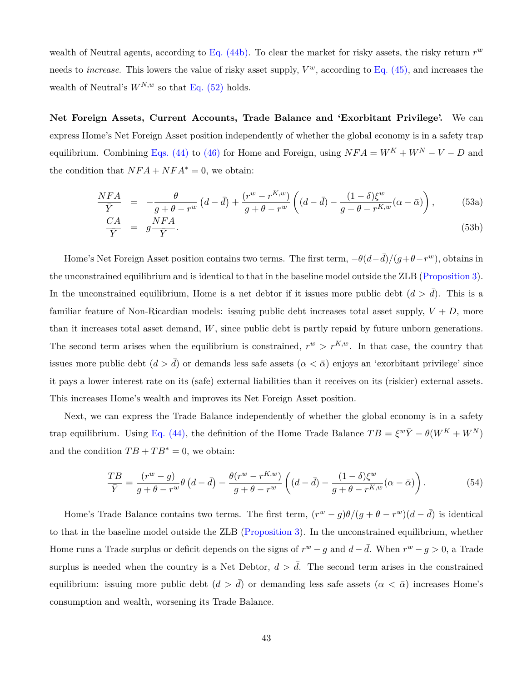wealth of Neutral agents, according to [Eq. \(44b\)](#page-39-0). To clear the market for risky assets, the risky return *r w* needs to *increase*. This lowers the value of risky asset supply, *V <sup>w</sup>*, according to [Eq. \(45\),](#page-40-0) and increases the wealth of Neutral's  $W^{N,w}$  so that [Eq. \(52\)](#page-42-2) holds.

**Net Foreign Assets, Current Accounts, Trade Balance and 'Exorbitant Privilege'.** We can express Home's Net Foreign Asset position independently of whether the global economy is in a safety trap equilibrium. Combining [Eqs. \(44\)](#page-39-2) to [\(46\)](#page-40-2) for Home and Foreign, using  $NFA = W^K + W^N - V - D$  and the condition that  $NFA + NFA^* = 0$ , we obtain:

$$
\frac{NFA}{\bar{Y}} = -\frac{\theta}{g+\theta-r^w} \left( d - \bar{d} \right) + \frac{(r^w-r^{K,w})}{g+\theta-r^w} \left( (d - \bar{d}) - \frac{(1-\delta)\xi^w}{g+\theta-r^{K,w}} (\alpha - \bar{\alpha}) \right),\tag{53a}
$$

$$
\frac{CA}{\bar{Y}} = g\frac{NFA}{\bar{Y}}.\tag{53b}
$$

Home's Net Foreign Asset position contains two terms. The first term,  $-\theta(d-\bar{d})/(g+\theta-r^w)$ , obtains in the unconstrained equilibrium and is identical to that in the baseline model outside the ZLB [\(Proposition 3](#page-20-0)). In the unconstrained equilibrium, Home is a net debtor if it issues more public debt  $(d > d)$ . This is a familiar feature of Non-Ricardian models: issuing public debt increases total asset supply,  $V + D$ , more than it increases total asset demand, *W*, since public debt is partly repaid by future unborn generations. The second term arises when the equilibrium is constrained,  $r^w > r^{K,w}$ . In that case, the country that issues more public debt  $(d > d)$  or demands less safe assets  $(\alpha < \bar{\alpha})$  enjoys an 'exorbitant privilege' since it pays a lower interest rate on its (safe) external liabilities than it receives on its (riskier) external assets. This increases Home's wealth and improves its Net Foreign Asset position.

Next, we can express the Trade Balance independently of whether the global economy is in a safety trap equilibrium. Using [Eq. \(44\)](#page-39-2), the definition of the Home Trade Balance  $TB = \xi^w \bar{Y} - \theta(W^K + W^N)$ and the condition  $TB + TB^* = 0$ , we obtain:

$$
\frac{TB}{\bar{Y}} = \frac{(r^w - g)}{g + \theta - r^w} \theta \left( d - \bar{d} \right) - \frac{\theta(r^w - r^{K,w})}{g + \theta - r^w} \left( (d - \bar{d}) - \frac{(1 - \delta)\xi^w}{g + \theta - r^{K,w}} (\alpha - \bar{\alpha}) \right). \tag{54}
$$

Home's Trade Balance contains two terms. The first term,  $(r^w - g)\theta/(g + \theta - r^w)(d - \bar{d})$  is identical to that in the baseline model outside the ZLB ([Proposition 3](#page-20-0)). In the unconstrained equilibrium, whether Home runs a Trade surplus or deficit depends on the signs of  $r^w - g$  and  $d - \bar{d}$ . When  $r^w - g > 0$ , a Trade surplus is needed when the country is a Net Debtor,  $d > d$ . The second term arises in the constrained equilibrium: issuing more public debt  $(d > d)$  or demanding less safe assets  $(\alpha < \bar{\alpha})$  increases Home's consumption and wealth, worsening its Trade Balance.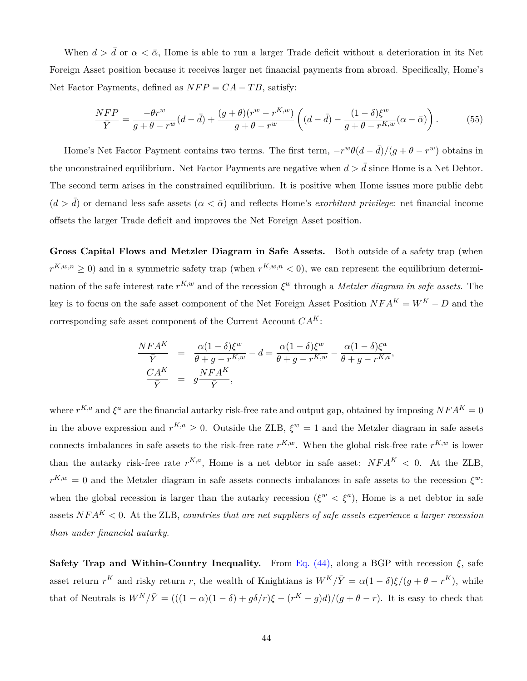When  $d > d$  or  $\alpha < \bar{\alpha}$ , Home is able to run a larger Trade deficit without a deterioration in its Net Foreign Asset position because it receives larger net financial payments from abroad. Specifically, Home's Net Factor Payments, defined as  $NFP = CA - TB$ , satisfy:

$$
\frac{NFP}{\bar{Y}} = \frac{-\theta r^w}{g + \theta - r^w} (d - \bar{d}) + \frac{(g + \theta)(r^w - r^{K,w})}{g + \theta - r^w} \left( (d - \bar{d}) - \frac{(1 - \delta)\xi^w}{g + \theta - r^{K,w}} (\alpha - \bar{\alpha}) \right). \tag{55}
$$

Home's Net Factor Payment contains two terms. The first term,  $-r^w\theta(d-\bar{d})/(g+\theta-r^w)$  obtains in the unconstrained equilibrium. Net Factor Payments are negative when  $d > d$  since Home is a Net Debtor. The second term arises in the constrained equilibrium. It is positive when Home issues more public debt  $(d > d)$  or demand less safe assets  $(a < \bar{\alpha})$  and reflects Home's *exorbitant privilege*: net financial income offsets the larger Trade deficit and improves the Net Foreign Asset position.

**Gross Capital Flows and Metzler Diagram in Safe Assets.** Both outside of a safety trap (when  $r^{K,w,n} \geq 0$ ) and in a symmetric safety trap (when  $r^{K,w,n} < 0$ ), we can represent the equilibrium determination of the safe interest rate  $r^{K,w}$  and of the recession  $\xi^w$  through a *Metzler diagram in safe assets*. The key is to focus on the safe asset component of the Net Foreign Asset Position  $NFA^K = W^K - D$  and the corresponding safe asset component of the Current Account *CAK*:

$$
\frac{NFA^K}{\bar{Y}} = \frac{\alpha(1-\delta)\xi^w}{\theta+g-r^{K,w}} - d = \frac{\alpha(1-\delta)\xi^w}{\theta+g-r^{K,w}} - \frac{\alpha(1-\delta)\xi^a}{\theta+g-r^{K,a}},
$$
  

$$
\frac{CA^K}{\bar{Y}} = g\frac{NFA^K}{\bar{Y}},
$$

where  $r^{K,a}$  and  $\xi^a$  are the financial autarky risk-free rate and output gap, obtained by imposing  $NFA^K = 0$ in the above expression and  $r^{K,a} \geq 0$ . Outside the ZLB,  $\xi^w = 1$  and the Metzler diagram in safe assets connects imbalances in safe assets to the risk-free rate  $r^{K,w}$ . When the global risk-free rate  $r^{K,w}$  is lower than the autarky risk-free rate  $r^{K,a}$ , Home is a net debtor in safe asset:  $NFA^K < 0$ . At the ZLB,  $r^{K,w} = 0$  and the Metzler diagram in safe assets connects imbalances in safe assets to the recession  $\xi^w$ : when the global recession is larger than the autarky recession  $({\xi}^w < {\xi}^a)$ , Home is a net debtor in safe assets  $NFA<sup>K</sup> < 0$ . At the ZLB, *countries that are net suppliers of safe assets experience a larger recession than under financial autarky*.

**Safety Trap and Within-Country Inequality.** From [Eq. \(44\),](#page-39-2) along a BGP with recession  $\xi$ , safe asset return  $r^K$  and risky return *r*, the wealth of Knightians is  $W^K/\overline{Y} = \alpha(1-\delta)\xi/(g+\theta-r^K)$ , while that of Neutrals is  $W^N/\overline{Y} = (((1-\alpha)(1-\delta) + g\delta/r)\xi - (r^K - g)d)/(g + \theta - r)$ . It is easy to check that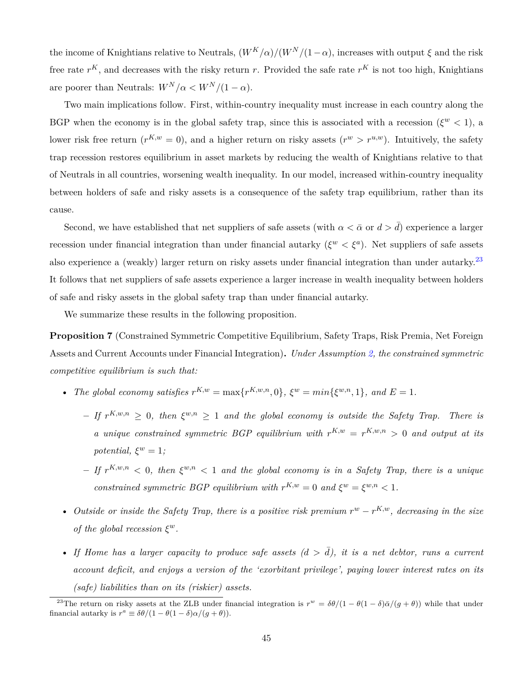the income of Knightians relative to Neutrals,  $(W^K/\alpha)/(W^N/(1-\alpha)$ , increases with output  $\xi$  and the risk free rate  $r^K$ , and decreases with the risky return r. Provided the safe rate  $r^K$  is not too high, Knightians are poorer than Neutrals:  $W^N/\alpha \lt W^N/(1-\alpha)$ .

Two main implications follow. First, within-country inequality must increase in each country along the BGP when the economy is in the global safety trap, since this is associated with a recession ( $\xi^w$  < 1), a lower risk free return  $(r^{K,w} = 0)$ , and a higher return on risky assets  $(r^w > r^{u,w})$ . Intuitively, the safety trap recession restores equilibrium in asset markets by reducing the wealth of Knightians relative to that of Neutrals in all countries, worsening wealth inequality. In our model, increased within-country inequality between holders of safe and risky assets is a consequence of the safety trap equilibrium, rather than its cause.

Second, we have established that net suppliers of safe assets (with  $\alpha < \bar{\alpha}$  or  $d > d$ ) experience a larger recession under financial integration than under financial autarky ( $\xi^w < \xi^a$ ). Net suppliers of safe assets also experience a (weakly) larger return on risky assets under financial integration than under autarky.<sup>23</sup> It follows that net suppliers of safe assets experience a larger increase in wealth inequality between holders of safe and risky assets in the global safety trap than under financial autarky.

We summarize these results in the following proposition.

**Proposition 7** (Constrained Symmetric Competitive Equilibrium, Safety Traps, Risk Premia, Net Foreign Assets and Current Accounts under Financial Integration)**.** *Under Assumption [2](#page-41-0), the constrained symmetric competitive equilibrium is such that:*

- The global economy satisfies  $r^{K,w} = \max\{r^{K,w,n},0\}$ ,  $\xi^w = \min\{\xi^{w,n},1\}$ , and  $E = 1$ .
	- $-$  *If*  $r^{K,w,n} \geq 0$ , then  $\xi^{w,n} \geq 1$  and the global economy is outside the Safety Trap. There is *a* unique constrained symmetric BGP equilibrium with  $r^{K,w} = r^{K,w,n} > 0$  and output at its *potential,*  $\xi^w = 1$ *;*
	- $-$  *If*  $r^{K,w,n}$   $\lt$  0, then  $\xi^{w,n}$   $\lt$  1 and the global economy is in a Safety Trap, there is a unique *constrained symmetric BGP equilibrium with*  $r^{K,w} = 0$  *and*  $\xi^w = \xi^{w,n} < 1$ .
- *Outside or inside the Safety Trap, there is a positive risk premium r <sup>w</sup> − r K,w, decreasing in the size of the global recession ξ w.*
- If Home has a larger capacity to produce safe assets  $(d > d)$ , it is a net debtor, runs a current *account deficit, and enjoys a version of the 'exorbitant privilege', paying lower interest rates on its (safe) liabilities than on its (riskier) assets.*

<sup>&</sup>lt;sup>23</sup>The return on risky assets at the ZLB under financial integration is  $r^w = \frac{\delta\theta}{(1 - \theta(1 - \delta)\bar{\alpha}/(g + \theta))}$  while that under financial autarky is  $r^a \equiv \delta\theta/(1-\theta(1-\delta)\alpha/(g+\theta)).$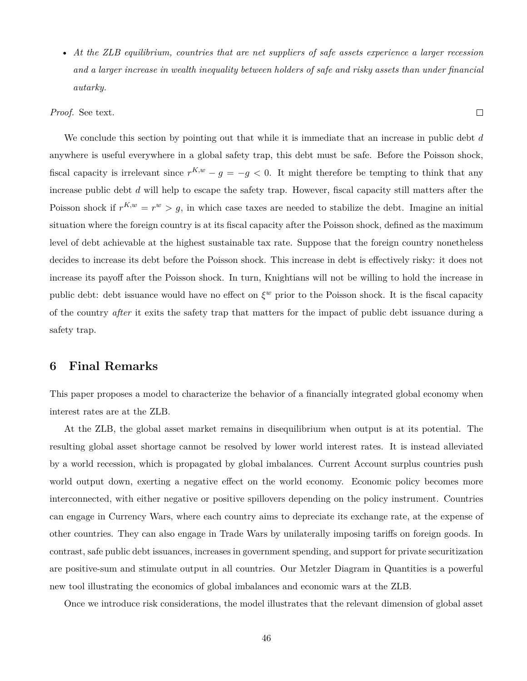• *At the ZLB equilibrium, countries that are net suppliers of safe assets experience a larger recession and a larger increase in wealth inequality between holders of safe and risky assets than under financial autarky.*

 $\Box$ 

*Proof.* See text.

We conclude this section by pointing out that while it is immediate that an increase in public debt *d* anywhere is useful everywhere in a global safety trap, this debt must be safe. Before the Poisson shock, fiscal capacity is irrelevant since  $r^{K,w} - g = -g < 0$ . It might therefore be tempting to think that any increase public debt *d* will help to escape the safety trap. However, fiscal capacity still matters after the Poisson shock if  $r^{K,w} = r^w > g$ , in which case taxes are needed to stabilize the debt. Imagine an initial situation where the foreign country is at its fiscal capacity after the Poisson shock, defined as the maximum level of debt achievable at the highest sustainable tax rate. Suppose that the foreign country nonetheless decides to increase its debt before the Poisson shock. This increase in debt is effectively risky: it does not increase its payoff after the Poisson shock. In turn, Knightians will not be willing to hold the increase in public debt: debt issuance would have no effect on *ξ <sup>w</sup>* prior to the Poisson shock. It is the fiscal capacity of the country *after* it exits the safety trap that matters for the impact of public debt issuance during a safety trap.

### **6 Final Remarks**

This paper proposes a model to characterize the behavior of a financially integrated global economy when interest rates are at the ZLB.

At the ZLB, the global asset market remains in disequilibrium when output is at its potential. The resulting global asset shortage cannot be resolved by lower world interest rates. It is instead alleviated by a world recession, which is propagated by global imbalances. Current Account surplus countries push world output down, exerting a negative effect on the world economy. Economic policy becomes more interconnected, with either negative or positive spillovers depending on the policy instrument. Countries can engage in Currency Wars, where each country aims to depreciate its exchange rate, at the expense of other countries. They can also engage in Trade Wars by unilaterally imposing tariffs on foreign goods. In contrast, safe public debt issuances, increases in government spending, and support for private securitization are positive-sum and stimulate output in all countries. Our Metzler Diagram in Quantities is a powerful new tool illustrating the economics of global imbalances and economic wars at the ZLB.

Once we introduce risk considerations, the model illustrates that the relevant dimension of global asset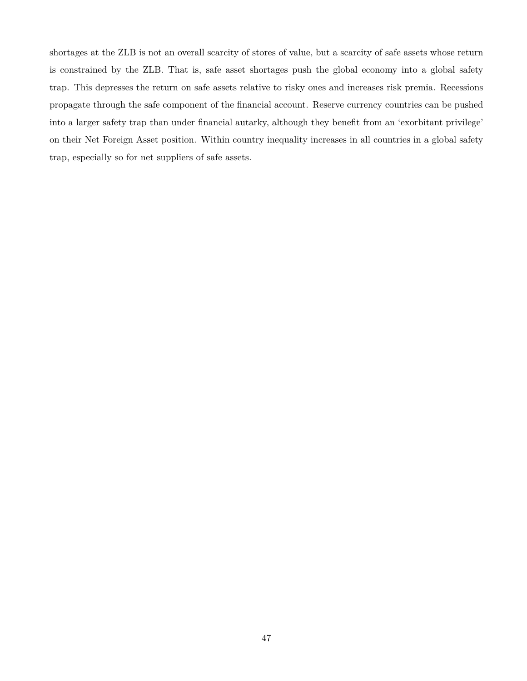shortages at the ZLB is not an overall scarcity of stores of value, but a scarcity of safe assets whose return is constrained by the ZLB. That is, safe asset shortages push the global economy into a global safety trap. This depresses the return on safe assets relative to risky ones and increases risk premia. Recessions propagate through the safe component of the financial account. Reserve currency countries can be pushed into a larger safety trap than under financial autarky, although they benefit from an 'exorbitant privilege' on their Net Foreign Asset position. Within country inequality increases in all countries in a global safety trap, especially so for net suppliers of safe assets.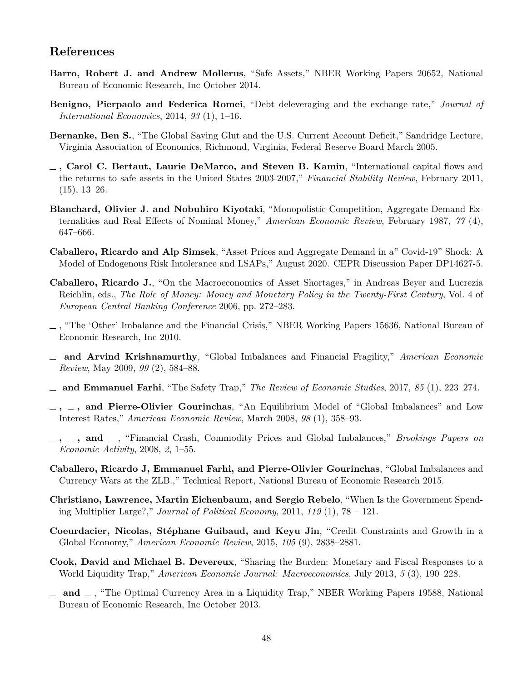### **References**

- <span id="page-48-9"></span>**Barro, Robert J. and Andrew Mollerus**, "Safe Assets," NBER Working Papers 20652, National Bureau of Economic Research, Inc October 2014.
- <span id="page-48-13"></span>**Benigno, Pierpaolo and Federica Romei**, "Debt deleveraging and the exchange rate," *Journal of International Economics*, 2014, *93* (1), 1–16.
- <span id="page-48-3"></span>**Bernanke, Ben S.**, "The Global Saving Glut and the U.S. Current Account Deficit," Sandridge Lecture, Virginia Association of Economics, Richmond, Virginia, Federal Reserve Board March 2005.
- <span id="page-48-7"></span>**, Carol C. Bertaut, Laurie DeMarco, and Steven B. Kamin**, "International capital flows and the returns to safe assets in the United States 2003-2007," *Financial Stability Review*, February 2011,  $(15), 13-26.$
- <span id="page-48-14"></span>**Blanchard, Olivier J. and Nobuhiro Kiyotaki**, "Monopolistic Competition, Aggregate Demand Externalities and Real Effects of Nominal Money," *American Economic Review*, February 1987, *77* (4), 647–666.
- <span id="page-48-15"></span>**Caballero, Ricardo and Alp Simsek**, "Asset Prices and Aggregate Demand in a" Covid-19" Shock: A Model of Endogenous Risk Intolerance and LSAPs," August 2020. CEPR Discussion Paper DP14627-5.
- <span id="page-48-4"></span>**Caballero, Ricardo J.**, "On the Macroeconomics of Asset Shortages," in Andreas Beyer and Lucrezia Reichlin, eds., *The Role of Money: Money and Monetary Policy in the Twenty-First Century*, Vol. 4 of *European Central Banking Conference* 2006, pp. 272–283.
- <span id="page-48-5"></span>, "The 'Other' Imbalance and the Financial Crisis," NBER Working Papers 15636, National Bureau of Economic Research, Inc 2010.
- <span id="page-48-6"></span>**and Arvind Krishnamurthy**, "Global Imbalances and Financial Fragility," *American Economic Review*, May 2009, *99* (2), 584–88.
- <span id="page-48-2"></span>**and Emmanuel Farhi**, "The Safety Trap," *The Review of Economic Studies*, 2017, *85* (1), 223–274.
- <span id="page-48-0"></span>**, , and Pierre-Olivier Gourinchas**, "An Equilibrium Model of "Global Imbalances" and Low Interest Rates," *American Economic Review*, March 2008, *98* (1), 358–93.
- <span id="page-48-1"></span>**, , and** , "Financial Crash, Commodity Prices and Global Imbalances," *Brookings Papers on Economic Activity*, 2008, *2*, 1–55.
- <span id="page-48-16"></span>**Caballero, Ricardo J, Emmanuel Farhi, and Pierre-Olivier Gourinchas**, "Global Imbalances and Currency Wars at the ZLB.," Technical Report, National Bureau of Economic Research 2015.
- <span id="page-48-10"></span>**Christiano, Lawrence, Martin Eichenbaum, and Sergio Rebelo**, "When Is the Government Spending Multiplier Large?," *Journal of Political Economy*, 2011, *119* (1), 78 – 121.
- <span id="page-48-8"></span>**Coeurdacier, Nicolas, Stéphane Guibaud, and Keyu Jin**, "Credit Constraints and Growth in a Global Economy," *American Economic Review*, 2015, *105* (9), 2838–2881.
- <span id="page-48-11"></span>**Cook, David and Michael B. Devereux**, "Sharing the Burden: Monetary and Fiscal Responses to a World Liquidity Trap," *American Economic Journal: Macroeconomics*, July 2013, *5* (3), 190–228.
- <span id="page-48-12"></span>**and** , "The Optimal Currency Area in a Liquidity Trap," NBER Working Papers 19588, National Bureau of Economic Research, Inc October 2013.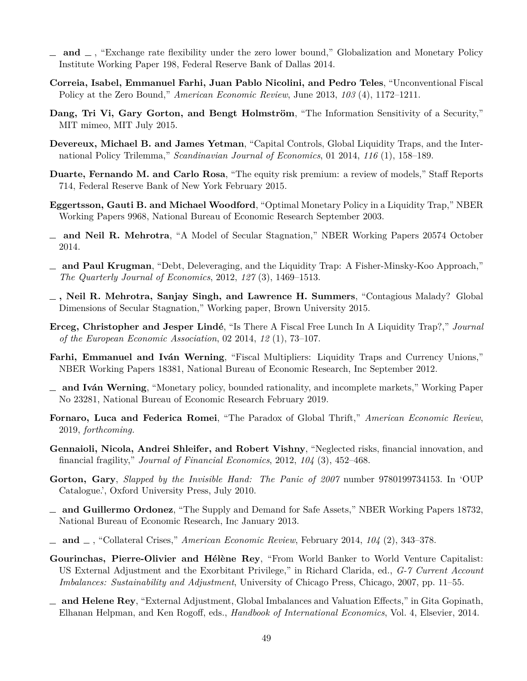- <span id="page-49-10"></span>**and** , "Exchange rate flexibility under the zero lower bound," Globalization and Monetary Policy Institute Working Paper 198, Federal Reserve Bank of Dallas 2014.
- <span id="page-49-8"></span>**Correia, Isabel, Emmanuel Farhi, Juan Pablo Nicolini, and Pedro Teles**, "Unconventional Fiscal Policy at the Zero Bound," *American Economic Review*, June 2013, *103* (4), 1172–1211.
- <span id="page-49-4"></span>**Dang, Tri Vi, Gary Gorton, and Bengt Holmström**, "The Information Sensitivity of a Security," MIT mimeo, MIT July 2015.
- <span id="page-49-11"></span>**Devereux, Michael B. and James Yetman**, "Capital Controls, Global Liquidity Traps, and the International Policy Trilemma," *Scandinavian Journal of Economics*, 01 2014, *116* (1), 158–189.
- <span id="page-49-0"></span>**Duarte, Fernando M. and Carlo Rosa**, "The equity risk premium: a review of models," Staff Reports 714, Federal Reserve Bank of New York February 2015.
- <span id="page-49-6"></span>**Eggertsson, Gauti B. and Michael Woodford**, "Optimal Monetary Policy in a Liquidity Trap," NBER Working Papers 9968, National Bureau of Economic Research September 2003.
- <span id="page-49-14"></span>**and Neil R. Mehrotra**, "A Model of Secular Stagnation," NBER Working Papers 20574 October 2014.
- <span id="page-49-7"></span>**and Paul Krugman**, "Debt, Deleveraging, and the Liquidity Trap: A Fisher-Minsky-Koo Approach," *The Quarterly Journal of Economics*, 2012, *127* (3), 1469–1513.
- <span id="page-49-15"></span>**, Neil R. Mehrotra, Sanjay Singh, and Lawrence H. Summers**, "Contagious Malady? Global Dimensions of Secular Stagnation," Working paper, Brown University 2015.
- <span id="page-49-12"></span>**Erceg, Christopher and Jesper Lindé**, "Is There A Fiscal Free Lunch In A Liquidity Trap?," *Journal of the European Economic Association*, 02 2014, *12* (1), 73–107.
- <span id="page-49-9"></span>**Farhi, Emmanuel and Iván Werning**, "Fiscal Multipliers: Liquidity Traps and Currency Unions," NBER Working Papers 18381, National Bureau of Economic Research, Inc September 2012.
- <span id="page-49-17"></span>**and Iván Werning**, "Monetary policy, bounded rationality, and incomplete markets," Working Paper No 23281, National Bureau of Economic Research February 2019.
- <span id="page-49-13"></span>**Fornaro, Luca and Federica Romei**, "The Paradox of Global Thrift," *American Economic Review*, 2019, *forthcoming.*
- <span id="page-49-5"></span>**Gennaioli, Nicola, Andrei Shleifer, and Robert Vishny**, "Neglected risks, financial innovation, and financial fragility," *Journal of Financial Economics*, 2012, *104* (3), 452–468.
- <span id="page-49-1"></span>**Gorton, Gary**, *Slapped by the Invisible Hand: The Panic of 2007* number 9780199734153. In 'OUP Catalogue.', Oxford University Press, July 2010.
- <span id="page-49-2"></span>**and Guillermo Ordonez**, "The Supply and Demand for Safe Assets," NBER Working Papers 18732, National Bureau of Economic Research, Inc January 2013.
- <span id="page-49-3"></span>**and** , "Collateral Crises," *American Economic Review*, February 2014, *104* (2), 343–378.
- <span id="page-49-18"></span>**Gourinchas, Pierre-Olivier and Hélène Rey**, "From World Banker to World Venture Capitalist: US External Adjustment and the Exorbitant Privilege," in Richard Clarida, ed., *G-7 Current Account Imbalances: Sustainability and Adjustment*, University of Chicago Press, Chicago, 2007, pp. 11–55.
- <span id="page-49-16"></span>**and Helene Rey**, "External Adjustment, Global Imbalances and Valuation Effects," in Gita Gopinath, Elhanan Helpman, and Ken Rogoff, eds., *Handbook of International Economics*, Vol. 4, Elsevier, 2014.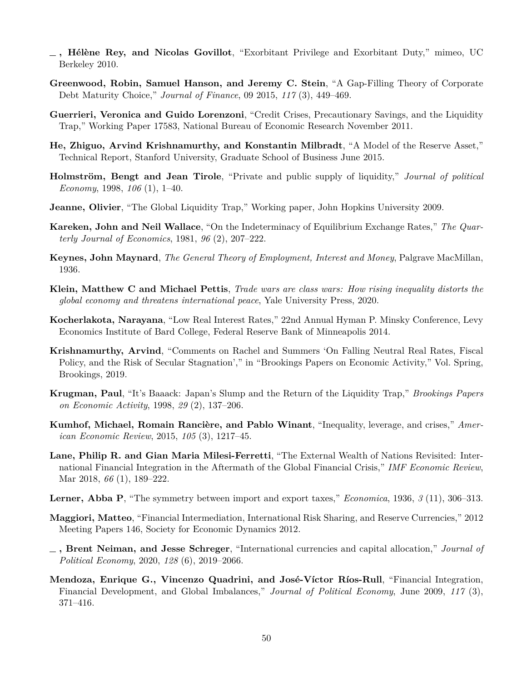- <span id="page-50-2"></span>**, Hélène Rey, and Nicolas Govillot**, "Exorbitant Privilege and Exorbitant Duty," mimeo, UC Berkeley 2010.
- <span id="page-50-6"></span>**Greenwood, Robin, Samuel Hanson, and Jeremy C. Stein**, "A Gap-Filling Theory of Corporate Debt Maturity Choice," *Journal of Finance*, 09 2015, *117* (3), 449–469.
- <span id="page-50-10"></span>**Guerrieri, Veronica and Guido Lorenzoni**, "Credit Crises, Precautionary Savings, and the Liquidity Trap," Working Paper 17583, National Bureau of Economic Research November 2011.
- <span id="page-50-7"></span>**He, Zhiguo, Arvind Krishnamurthy, and Konstantin Milbradt**, "A Model of the Reserve Asset," Technical Report, Stanford University, Graduate School of Business June 2015.
- <span id="page-50-15"></span>**Holmström, Bengt and Jean Tirole**, "Private and public supply of liquidity," *Journal of political Economy*, 1998, *106* (1), 1–40.
- <span id="page-50-11"></span>**Jeanne, Olivier**, "The Global Liquidity Trap," Working paper, John Hopkins University 2009.
- <span id="page-50-0"></span>**Kareken, John and Neil Wallace**, "On the Indeterminacy of Equilibrium Exchange Rates," *The Quarterly Journal of Economics*, 1981, *96* (2), 207–222.
- <span id="page-50-8"></span>**Keynes, John Maynard**, *The General Theory of Employment, Interest and Money*, Palgrave MacMillan, 1936.
- <span id="page-50-13"></span>**Klein, Matthew C and Michael Pettis**, *Trade wars are class wars: How rising inequality distorts the global economy and threatens international peace*, Yale University Press, 2020.
- <span id="page-50-14"></span>**Kocherlakota, Narayana**, "Low Real Interest Rates," 22nd Annual Hyman P. Minsky Conference, Levy Economics Institute of Bard College, Federal Reserve Bank of Minneapolis 2014.
- <span id="page-50-4"></span>**Krishnamurthy, Arvind**, "Comments on Rachel and Summers 'On Falling Neutral Real Rates, Fiscal Policy, and the Risk of Secular Stagnation'," in "Brookings Papers on Economic Activity," Vol. Spring, Brookings, 2019.
- <span id="page-50-9"></span>**Krugman, Paul**, "It's Baaack: Japan's Slump and the Return of the Liquidity Trap," *Brookings Papers on Economic Activity*, 1998, *29* (2), 137–206.
- <span id="page-50-12"></span>**Kumhof, Michael, Romain Rancière, and Pablo Winant**, "Inequality, leverage, and crises," *American Economic Review*, 2015, *105* (3), 1217–45.
- <span id="page-50-5"></span>**Lane, Philip R. and Gian Maria Milesi-Ferretti**, "The External Wealth of Nations Revisited: International Financial Integration in the Aftermath of the Global Financial Crisis," *IMF Economic Review*, Mar 2018, *66* (1), 189–222.
- <span id="page-50-16"></span>**Lerner, Abba P**, "The symmetry between import and export taxes," *Economica*, 1936, *3* (11), 306–313.
- <span id="page-50-3"></span>**Maggiori, Matteo**, "Financial Intermediation, International Risk Sharing, and Reserve Currencies," 2012 Meeting Papers 146, Society for Economic Dynamics 2012.
- <span id="page-50-17"></span>**, Brent Neiman, and Jesse Schreger**, "International currencies and capital allocation," *Journal of Political Economy*, 2020, *128* (6), 2019–2066.
- <span id="page-50-1"></span>**Mendoza, Enrique G., Vincenzo Quadrini, and José-Víctor Ríos-Rull**, "Financial Integration, Financial Development, and Global Imbalances," *Journal of Political Economy*, June 2009, *117* (3), 371–416.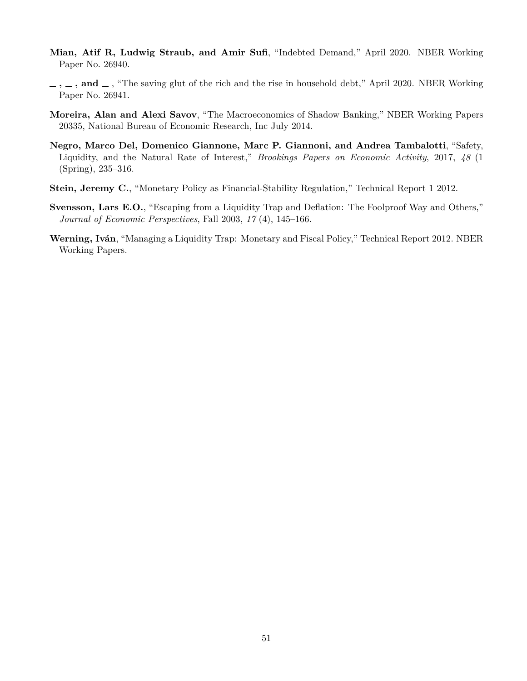- <span id="page-51-5"></span>**Mian, Atif R, Ludwig Straub, and Amir Sufi**, "Indebted Demand," April 2020. NBER Working Paper No. 26940.
- <span id="page-51-6"></span> $\ldots$ ,  $\ldots$ , and  $\ldots$ , "The saving glut of the rich and the rise in household debt," April 2020. NBER Working Paper No. 26941.
- <span id="page-51-2"></span>**Moreira, Alan and Alexi Savov**, "The Macroeconomics of Shadow Banking," NBER Working Papers 20335, National Bureau of Economic Research, Inc July 2014.
- <span id="page-51-0"></span>**Negro, Marco Del, Domenico Giannone, Marc P. Giannoni, and Andrea Tambalotti**, "Safety, Liquidity, and the Natural Rate of Interest," *Brookings Papers on Economic Activity*, 2017, *48* (1 (Spring), 235–316.
- <span id="page-51-1"></span>**Stein, Jeremy C.**, "Monetary Policy as Financial-Stability Regulation," Technical Report 1 2012.
- <span id="page-51-4"></span>**Svensson, Lars E.O.**, "Escaping from a Liquidity Trap and Deflation: The Foolproof Way and Others," *Journal of Economic Perspectives*, Fall 2003, *17* (4), 145–166.
- <span id="page-51-3"></span>**Werning, Iván**, "Managing a Liquidity Trap: Monetary and Fiscal Policy," Technical Report 2012. NBER Working Papers.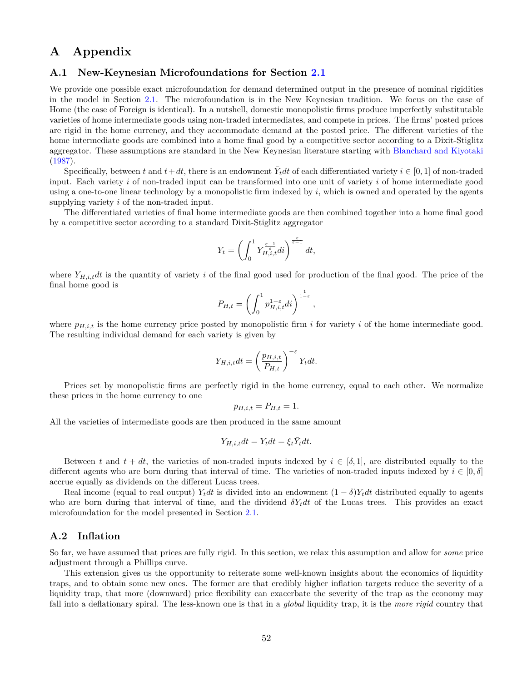### **A Appendix**

### <span id="page-52-1"></span>**A.1 New-Keynesian Microfoundations for Section [2.1](#page-8-1)**

We provide one possible exact microfoundation for demand determined output in the presence of nominal rigidities in the model in Section [2.1](#page-8-1). The microfoundation is in the New Keynesian tradition. We focus on the case of Home (the case of Foreign is identical). In a nutshell, domestic monopolistic firms produce imperfectly substitutable varieties of home intermediate goods using non-traded intermediates, and compete in prices. The firms' posted prices are rigid in the home currency, and they accommodate demand at the posted price. The different varieties of the home intermediate goods are combined into a home final good by a competitive sector according to a Dixit-Stiglitz aggregator. These assumptions are standard in the New Keynesian literature starting with [Blanchard and Kiyotaki](#page-48-14) [\(1987](#page-48-14)).

Specifically, between *t* and  $t + dt$ , there is an endowment  $\bar{Y}_t dt$  of each differentiated variety  $i \in [0, 1]$  of non-traded input. Each variety *i* of non-traded input can be transformed into one unit of variety *i* of home intermediate good using a one-to-one linear technology by a monopolistic firm indexed by *i*, which is owned and operated by the agents supplying variety *i* of the non-traded input.

The differentiated varieties of final home intermediate goods are then combined together into a home final good by a competitive sector according to a standard Dixit-Stiglitz aggregator

$$
Y_t=\left(\int_0^1 Y_{H,i,t}^{\frac{\varepsilon-1}{\varepsilon}} dt\right)^{\frac{\varepsilon}{\varepsilon-1}} dt,
$$

where  $Y_{H,i,t}dt$  is the quantity of variety *i* of the final good used for production of the final good. The price of the final home good is

$$
P_{H,t} = \left(\int_0^1 p_{H,i,t}^{1-\varepsilon} dt\right)^{\frac{1}{1-\varepsilon}},
$$

where  $p_{H,i,t}$  is the home currency price posted by monopolistic firm  $i$  for variety  $i$  of the home intermediate good. The resulting individual demand for each variety is given by

$$
Y_{H,i,t}dt = \left(\frac{p_{H,i,t}}{P_{H,t}}\right)^{-\varepsilon} Y_t dt.
$$

Prices set by monopolistic firms are perfectly rigid in the home currency, equal to each other. We normalize these prices in the home currency to one

$$
p_{H,i,t} = P_{H,t} = 1.
$$

All the varieties of intermediate goods are then produced in the same amount

$$
Y_{H,i,t}dt = Y_t dt = \xi_t \overline{Y}_t dt.
$$

Between *t* and  $t + dt$ , the varieties of non-traded inputs indexed by  $i \in [\delta, 1]$ , are distributed equally to the different agents who are born during that interval of time. The varieties of non-traded inputs indexed by  $i \in [0, \delta]$ accrue equally as dividends on the different Lucas trees.

Real income (equal to real output) *Y<sub>t</sub>dt* is divided into an endowment  $(1 - \delta)Y_t dt$  distributed equally to agents who are born during that interval of time, and the dividend  $\delta Y_t dt$  of the Lucas trees. This provides an exact microfoundation for the model presented in Section [2.1.](#page-8-1)

### <span id="page-52-0"></span>**A.2 Inflation**

So far, we have assumed that prices are fully rigid. In this section, we relax this assumption and allow for *some* price adjustment through a Phillips curve.

This extension gives us the opportunity to reiterate some well-known insights about the economics of liquidity traps, and to obtain some new ones. The former are that credibly higher inflation targets reduce the severity of a liquidity trap, that more (downward) price flexibility can exacerbate the severity of the trap as the economy may fall into a deflationary spiral. The less-known one is that in a *global* liquidity trap, it is the *more rigid* country that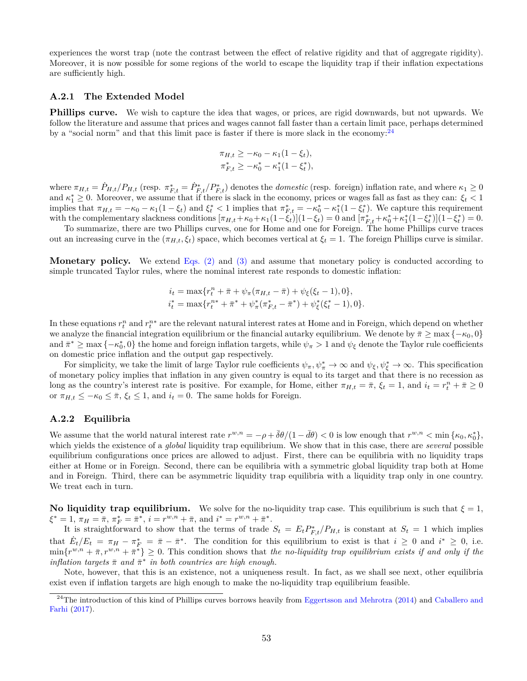experiences the worst trap (note the contrast between the effect of relative rigidity and that of aggregate rigidity). Moreover, it is now possible for some regions of the world to escape the liquidity trap if their inflation expectations are sufficiently high.

#### **A.2.1 The Extended Model**

**Phillips curve.** We wish to capture the idea that wages, or prices, are rigid downwards, but not upwards. We follow the literature and assume that prices and wages cannot fall faster than a certain limit pace, perhaps determined by a "social norm" and that this limit pace is faster if there is more slack in the economy: $^{24}$ 

$$
\pi_{H,t} \ge -\kappa_0 - \kappa_1 (1 - \xi_t),
$$
  
\n
$$
\pi_{F,t}^* \ge -\kappa_0^* - \kappa_1^* (1 - \xi_t^*),
$$

where  $\pi_{H,t} = \dot{P}_{H,t}/P_{H,t}$  (resp.  $\pi_{F,t}^* = \dot{P}_{F,t}^*/P_{F,t}^*$ ) denotes the *domestic* (resp. foreign) inflation rate, and where  $\kappa_1 \ge 0$ and  $\kappa_1^* \geq 0$ . Moreover, we assume that if there is slack in the economy, prices or wages fall as fast as they can:  $\xi_t < 1$ implies that  $\pi_{H,t} = -\kappa_0 - \kappa_1(1 - \xi_t)$  and  $\xi_t^* < 1$  implies that  $\pi_{F,t}^* = -\kappa_0^* - \kappa_1^*(1 - \xi_t^*)$ . We capture this requirement with the complementary slackness conditions  $[\pi_{H,t} + \kappa_0 + \kappa_1(1-\xi_t)](1-\xi_t) = 0$  and  $[\pi_{F,t}^* + \kappa_0^* + \kappa_1^*(1-\xi_t^*)](1-\xi_t^*) = 0$ .

To summarize, there are two Phillips curves, one for Home and one for Foreign. The home Phillips curve traces out an increasing curve in the  $(\pi_{H,t}, \xi_t)$  space, which becomes vertical at  $\xi_t = 1$ . The foreign Phillips curve is similar.

**Monetary policy.** We extend [Eqs. \(2\)](#page-11-0) and [\(3\)](#page-11-1) and assume that monetary policy is conducted according to simple truncated Taylor rules, where the nominal interest rate responds to domestic inflation:

$$
i_t = \max\{r_t^n + \bar{\pi} + \psi_\pi(\pi_{H,t} - \bar{\pi}) + \psi_\xi(\xi_t - 1), 0\},
$$
  

$$
i_t^* = \max\{r_t^{n*} + \bar{\pi}^* + \psi_\pi^*(\pi_{F,t}^* - \bar{\pi}^*) + \psi_\xi^*(\xi_t^* - 1), 0\}.
$$

In these equations  $r_t^n$  and  $r_t^{n*}$  are the relevant natural interest rates at Home and in Foreign, which depend on whether we analyze the financial integration equilibrium or the financial autarky equilibrium. We denote by  $\bar{\pi}$  ≥ max  $\{-\kappa_0, 0\}$  $\{a, a \in \mathbb{R}^* \text{ and } \pi^* \geq \max\{-\kappa_0^*, 0\}$  the home and foreign inflation targets, while  $\psi_\pi > 1$  and  $\psi_\xi$  denote the Taylor rule coefficients on domestic price inflation and the output gap respectively.

For simplicity, we take the limit of large Taylor rule coefficients  $\psi_{\pi}, \psi_{\pi}^* \to \infty$  and  $\psi_{\xi}, \psi_{\xi}^* \to \infty$ . This specification of monetary policy implies that inflation in any given country is equal to its target and that there is no recession as long as the country's interest rate is positive. For example, for Home, either  $\pi_{H,t} = \bar{\pi}, \xi_t = 1$ , and  $i_t = r_t^n + \bar{\pi} \ge 0$ or  $\pi_{H,t} \leq -\kappa_0 \leq \bar{\pi}, \xi_t \leq 1$ , and  $i_t = 0$ . The same holds for Foreign.

#### **A.2.2 Equilibria**

We assume that the world natural interest rate  $r^{w,n} = -\rho + \overline{\delta\theta}/(1 - \overline{d\theta}) < 0$  is low enough that  $r^{w,n} < \min{\{\kappa_0, \kappa_0^*\}}$ , which yields the existence of a *global* liquidity trap equilibrium. We show that in this case, there are *several* possible equilibrium configurations once prices are allowed to adjust. First, there can be equilibria with no liquidity traps either at Home or in Foreign. Second, there can be equilibria with a symmetric global liquidity trap both at Home and in Foreign. Third, there can be asymmetric liquidity trap equilibria with a liquidity trap only in one country. We treat each in turn.

**No liquidity trap equilibrium.** We solve for the no-liquidity trap case. This equilibrium is such that  $\xi = 1$ ,  $\xi^* = 1$ ,  $\pi_H = \bar{\pi}$ ,  $\pi_F^* = \bar{\pi}^*$ ,  $i = r^{w,n} + \bar{\pi}$ , and  $i^* = r^{w,n} + \bar{\pi}^*$ .

It is straightforward to show that the terms of trade  $S_t = E_t P_{F,t}^*/P_{H,t}$  is constant at  $S_t = 1$  which implies that  $\dot{E}_t/E_t = \pi_H - \pi_F^* = \bar{\pi} - \bar{\pi}^*$ . The condition for this equilibrium to exist is that  $i \geq 0$  and  $i^* \geq 0$ , i.e.  $\min\{r^{w,n} + \bar{\pi}, r^{w,n} + \bar{\pi}^*\} \geq 0$ . This condition shows that *the no-liquidity trap equilibrium exists if and only if the inflation targets*  $\bar{\pi}$  *and*  $\bar{\pi}^*$  *in both countries are high enough.* 

Note, however, that this is an existence, not a uniqueness result. In fact, as we shall see next, other equilibria exist even if inflation targets are high enough to make the no-liquidity trap equilibrium feasible.

 $^{24}$ The introduction of this kind of Phillips curves borrows heavily from [Eggertsson and Mehrotra](#page-49-14) ([2014](#page-49-14)) and [Caballero and](#page-48-2) [Farhi](#page-48-2) [\(2017\)](#page-48-2).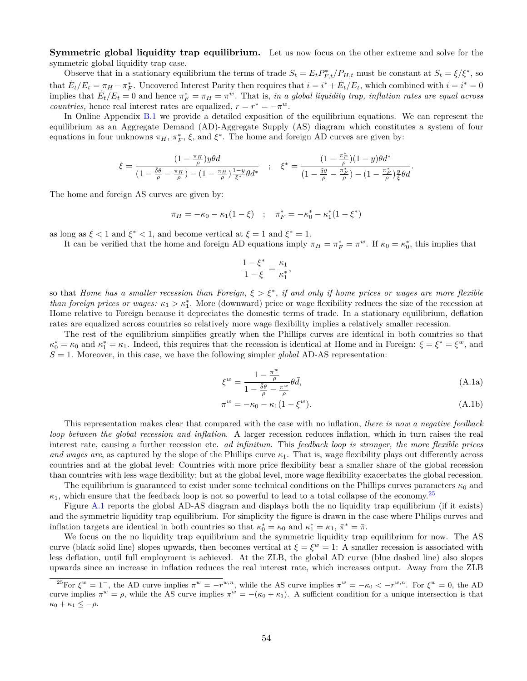**Symmetric global liquidity trap equilibrium.** Let us now focus on the other extreme and solve for the symmetric global liquidity trap case.

Observe that in a stationary equilibrium the terms of trade  $S_t = E_t P_{F,t}^*/P_{H,t}$  must be constant at  $S_t = \xi/\xi^*$ , so that  $\dot{E}_t/E_t = \pi_H - \pi_F^*$ . Uncovered Interest Parity then requires that  $i = i^* + \dot{E}_t/E_t$ , which combined with  $i = i^* = 0$ implies that  $E_t/E_t = 0$  and hence  $\pi_F^* = \pi_H = \pi^w$ . That is, *in a global liquidity trap, inflation rates are equal across countries,* hence real interest rates are equalized,  $r = r^* = -\pi^w$ .

In Online Appendix [B.1](#page-66-0) we provide a detailed exposition of the equilibrium equations. We can represent the equilibrium as an Aggregate Demand (AD)-Aggregate Supply (AS) diagram which constitutes a system of four equations in four unknowns  $\pi_H$ ,  $\pi_F^*$ ,  $\xi$ , and  $\xi^*$ . The home and foreign AD curves are given by:

$$
\xi = \frac{(1 - \frac{\pi_H}{\rho})y\theta d}{(1 - \frac{\bar{\delta}\theta}{\rho} - \frac{\pi_H}{\rho}) - (1 - \frac{\pi_H}{\rho})\frac{1 - y}{\xi^*}\theta d^*} \quad ; \quad \xi^* = \frac{(1 - \frac{\pi_F^*}{\rho})(1 - y)\theta d^*}{(1 - \frac{\bar{\delta}\theta}{\rho} - \frac{\pi_F^*}{\rho}) - (1 - \frac{\pi_F^*}{\rho})\frac{y}{\xi}\theta d}.
$$

The home and foreign AS curves are given by:

$$
\pi_H = -\kappa_0 - \kappa_1 (1 - \xi) \quad ; \quad \pi_F^* = -\kappa_0^* - \kappa_1^* (1 - \xi^*)
$$

as long as  $\xi < 1$  and  $\xi^* < 1$ , and become vertical at  $\xi = 1$  and  $\xi^* = 1$ .

It can be verified that the home and foreign AD equations imply  $\pi_H = \pi_F^* = \pi^w$ . If  $\kappa_0 = \kappa_0^*$ , this implies that

$$
\frac{1-\xi^*}{1-\xi} = \frac{\kappa_1}{\kappa_1^*},
$$

so that *Home has a smaller recession than Foreign, ξ > ξ<sup>∗</sup>* , *if and only if home prices or wages are more flexible than foreign prices or wages:*  $\kappa_1 > \kappa_1^*$ . More (downward) price or wage flexibility reduces the size of the recession at Home relative to Foreign because it depreciates the domestic terms of trade. In a stationary equilibrium, deflation rates are equalized across countries so relatively more wage flexibility implies a relatively smaller recession.

The rest of the equilibrium simplifies greatly when the Phillips curves are identical in both countries so that  $\kappa_0^* = \kappa_0$  and  $\kappa_1^* = \kappa_1$ . Indeed, this requires that the recession is identical at Home and in Foreign:  $\xi = \xi^* = \xi^w$ , and  $S = 1$ . Moreover, in this case, we have the following simpler *global* AD-AS representation:

<span id="page-54-0"></span>
$$
\xi^w = \frac{1 - \frac{\pi^w}{\rho}}{1 - \frac{\bar{\delta}\theta}{\rho} - \frac{\pi^w}{\rho}} \theta \bar{d},\tag{A.1a}
$$

$$
\pi^w = -\kappa_0 - \kappa_1 (1 - \xi^w). \tag{A.1b}
$$

This representation makes clear that compared with the case with no inflation, *there is now a negative feedback loop between the global recession and inflation*. A larger recession reduces inflation, which in turn raises the real interest rate, causing a further recession etc. *ad infinitum*. This *feedback loop is stronger, the more flexible prices and wages are*, as captured by the slope of the Phillips curve *κ*1. That is, wage flexibility plays out differently across countries and at the global level: Countries with more price flexibility bear a smaller share of the global recession than countries with less wage flexibility; but at the global level, more wage flexibility exacerbates the global recession.

The equilibrium is guaranteed to exist under some technical conditions on the Phillips curves parameters  $\kappa_0$  and  $\kappa_1$ , which ensure that the feedback loop is not so powerful to lead to a total collapse of the economy.<sup>25</sup>

Figure [A.1](#page-55-0) reports the global AD-AS diagram and displays both the no liquidity trap equilibrium (if it exists) and the symmetric liquidity trap equilibrium. For simplicity the figure is drawn in the case where Philips curves and inflation targets are identical in both countries so that  $\kappa_0^* = \kappa_0$  and  $\kappa_1^* = \kappa_1$ ,  $\bar{\pi}^* = \bar{\pi}$ .

We focus on the no liquidity trap equilibrium and the symmetric liquidity trap equilibrium for now. The AS curve (black solid line) slopes upwards, then becomes vertical at  $\xi = \xi^w = 1$ : A smaller recession is associated with less deflation, until full employment is achieved. At the ZLB, the global AD curve (blue dashed line) also slopes upwards since an increase in inflation reduces the real interest rate, which increases output. Away from the ZLB

<sup>&</sup>lt;sup>25</sup>For  $\xi^w = 1^-$ , the AD curve implies  $\pi^w = -r^{w,n}$ , while the AS curve implies  $\pi^w = -\kappa_0 < -r^{w,n}$ . For  $\xi^w = 0$ , the AD curve implies  $\pi^w = \rho$ , while the AS curve implies  $\pi^w = -(\kappa_0 + \kappa_1)$ . A sufficient condition for a unique intersection is that  $\kappa_0 + \kappa_1 \leq -\rho$ .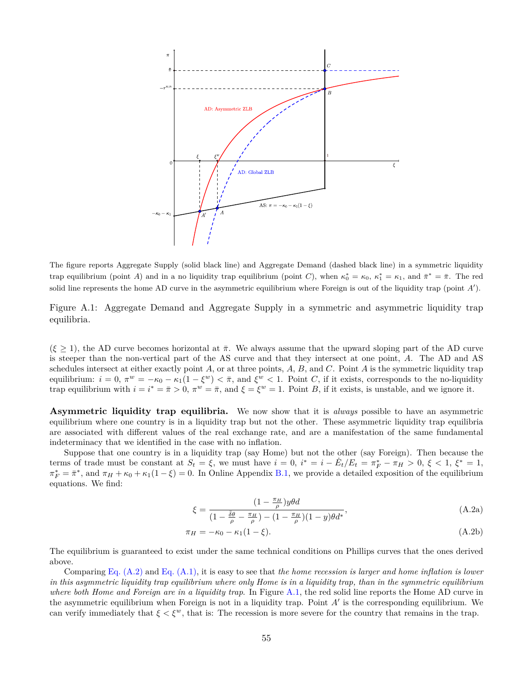

The figure reports Aggregate Supply (solid black line) and Aggregate Demand (dashed black line) in a symmetric liquidity trap equilibrium (point *A*) and in a no liquidity trap equilibrium (point *C*), when  $\kappa_0^* = \kappa_0$ ,  $\kappa_1^* = \kappa_1$ , and  $\bar{\pi}^* = \bar{\pi}$ . The red solid line represents the home AD curve in the asymmetric equilibrium where Foreign is out of the liquidity trap (point *A ′* ).

<span id="page-55-0"></span>Figure A.1: Aggregate Demand and Aggregate Supply in a symmetric and asymmetric liquidity trap equilibria.

 $(\xi \geq 1)$ , the AD curve becomes horizontal at  $\bar{\pi}$ . We always assume that the upward sloping part of the AD curve is steeper than the non-vertical part of the AS curve and that they intersect at one point, *A*. The AD and AS schedules intersect at either exactly point *A*, or at three points, *A*, *B*, and *C*. Point *A* is the symmetric liquidity trap equilibrium:  $i = 0$ ,  $\pi^w = -\kappa_0 - \kappa_1(1 - \xi^w) < \bar{\pi}$ , and  $\xi^w < 1$ . Point C, if it exists, corresponds to the no-liquidity trap equilibrium with  $i = i^* = \bar{\pi} > 0$ ,  $\pi^w = \bar{\pi}$ , and  $\xi = \xi^w = 1$ . Point *B*, if it exists, is unstable, and we ignore it.

**Asymmetric liquidity trap equilibria.** We now show that it is *always* possible to have an asymmetric equilibrium where one country is in a liquidity trap but not the other. These asymmetric liquidity trap equilibria are associated with different values of the real exchange rate, and are a manifestation of the same fundamental indeterminacy that we identified in the case with no inflation.

Suppose that one country is in a liquidity trap (say Home) but not the other (say Foreign). Then because the terms of trade must be constant at  $S_t = \xi$ , we must have  $i = 0$ ,  $i^* = i - \dot{E}_t/E_t = \pi_F^* - \pi_H > 0$ ,  $\xi < 1$ ,  $\xi^* = 1$ ,  $\pi_F^* = \bar{\pi}^*$ , and  $\pi_H + \kappa_0 + \kappa_1(1-\xi) = 0$ . In Online Appendix [B.1,](#page-66-0) we provide a detailed exposition of the equilibrium equations. We find:

<span id="page-55-1"></span>
$$
\xi = \frac{(1 - \frac{\pi_H}{\rho})y\theta d}{(1 - \frac{\bar{\delta}\theta}{\rho} - \frac{\pi_H}{\rho}) - (1 - \frac{\pi_H}{\rho})(1 - y)\theta d^*},\tag{A.2a}
$$

$$
\pi_H = -\kappa_0 - \kappa_1 (1 - \xi). \tag{A.2b}
$$

The equilibrium is guaranteed to exist under the same technical conditions on Phillips curves that the ones derived above.

Comparing [Eq. \(A.2\)](#page-55-1) and [Eq. \(A.1\)](#page-54-0), it is easy to see that *the home recession is larger and home inflation is lower in this asymmetric liquidity trap equilibrium where only Home is in a liquidity trap, than in the symmetric equilibrium where both Home and Foreign are in a liquidity trap*. In Figure [A.1](#page-55-0), the red solid line reports the Home AD curve in the asymmetric equilibrium when Foreign is not in a liquidity trap. Point *A′* is the corresponding equilibrium. We can verify immediately that  $\xi < \xi^w$ , that is: The recession is more severe for the country that remains in the trap.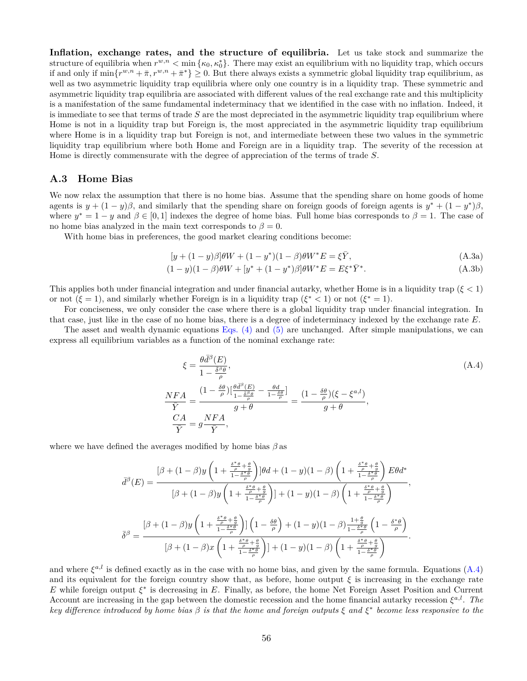**Inflation, exchange rates, and the structure of equilibria.** Let us take stock and summarize the structure of equilibria when  $r^{w,n} < \min{\{\kappa_0, \kappa_0^*\}}$ . There may exist an equilibrium with no liquidity trap, which occurs if and only if  $\min\{r^{w,n} + \bar{\pi}, r^{w,n} + \bar{\pi}^*\} \ge 0$ . But there always exists a symmetric global liquidity trap equilibrium, as well as two asymmetric liquidity trap equilibria where only one country is in a liquidity trap. These symmetric and asymmetric liquidity trap equilibria are associated with different values of the real exchange rate and this multiplicity is a manifestation of the same fundamental indeterminacy that we identified in the case with no inflation. Indeed, it is immediate to see that terms of trade *S* are the most depreciated in the asymmetric liquidity trap equilibrium where Home is not in a liquidity trap but Foreign is, the most appreciated in the asymmetric liquidity trap equilibrium where Home is in a liquidity trap but Foreign is not, and intermediate between these two values in the symmetric liquidity trap equilibrium where both Home and Foreign are in a liquidity trap. The severity of the recession at Home is directly commensurate with the degree of appreciation of the terms of trade *S*.

### <span id="page-56-0"></span>**A.3 Home Bias**

We now relax the assumption that there is no home bias. Assume that the spending share on home goods of home agents is  $y + (1 - y)\beta$ , and similarly that the spending share on foreign goods of foreign agents is  $y^* + (1 - y^*)\beta$ , where  $y^* = 1 - y$  and  $\beta \in [0,1]$  indexes the degree of home bias. Full home bias corresponds to  $\beta = 1$ . The case of no home bias analyzed in the main text corresponds to  $\beta = 0$ .

With home bias in preferences, the good market clearing conditions become:

<span id="page-56-3"></span><span id="page-56-2"></span>
$$
[y + (1 - y)\beta]\theta W + (1 - y^*)(1 - \beta)\theta W^* E = \xi \bar{Y}, \qquad (A.3a)
$$

$$
(1 - y)(1 - \beta)\theta W + [y^* + (1 - y^*)\beta]\theta W^* E = E\xi^*\bar{Y}^*.
$$
 (A.3b)

This applies both under financial integration and under financial autarky, whether Home is in a liquidity trap (*ξ <* 1) or not  $(\xi = 1)$ , and similarly whether Foreign is in a liquidity trap  $(\xi^* < 1)$  or not  $(\xi^* = 1)$ .

For conciseness, we only consider the case where there is a global liquidity trap under financial integration. In that case, just like in the case of no home bias, there is a degree of indeterminacy indexed by the exchange rate *E*.

The asset and wealth dynamic equations [Eqs. \(4\)](#page-12-0) and [\(5\)](#page-12-1) are unchanged. After simple manipulations, we can express all equilibrium variables as a function of the nominal exchange rate:

<span id="page-56-1"></span>
$$
\xi = \frac{\theta \bar{d}^{\beta}(E)}{1 - \frac{\bar{\delta}^{\beta} \theta}{\rho}},
$$
\n
$$
\frac{NFA}{\bar{Y}} = \frac{(1 - \frac{\delta \theta}{\rho}) \left[ \frac{\theta \bar{d}^{\beta}(E)}{1 - \frac{\bar{\delta}^{\beta} \theta}{\rho}} - \frac{\theta \bar{d}}{1 - \frac{\delta \theta}{\rho}} \right]}{g + \theta} = \frac{(1 - \frac{\delta \theta}{\rho})(\xi - \xi^{a, l})}{g + \theta},
$$
\n
$$
\frac{CA}{\bar{Y}} = g \frac{NFA}{\bar{Y}},
$$
\n(A.4)

where we have defined the averages modified by home bias *β* as

$$
\bar{d}^{\beta}(E) = \frac{\left[\beta + (1-\beta)y\left(1 + \frac{\frac{\delta^* \theta}{\rho} + \frac{\theta}{g}}{1 - \frac{\delta^* \theta}{\rho}}\right)\right]\theta d + (1-y)(1-\beta)\left(1 + \frac{\frac{\delta^* \theta}{\rho} + \frac{\theta}{g}}{1 - \frac{\delta^* \theta}{\rho}}\right)E\theta d^*}{\left[\beta + (1-\beta)y\left(1 + \frac{\frac{\delta^* \theta}{\rho} + \frac{\theta}{g}}{1 - \frac{\delta^* \theta}{\rho}}\right)\right] + (1-y)(1-\beta)\left(1 + \frac{\frac{\delta^* \theta}{\rho} + \frac{\theta}{g}}{1 - \frac{\delta^* \theta}{\rho}}\right)}{\left[\beta + (1-\beta)y\left(1 + \frac{\frac{\delta^* \theta}{\rho} + \frac{\theta}{g}}{1 - \frac{\delta^* \theta}{\rho}}\right)\right]\left(1 - \frac{\delta \theta}{\rho}\right) + (1-y)(1-\beta)\frac{1 + \frac{\theta}{g}}{1 - \frac{\delta^* \theta}{\rho}}\left(1 - \frac{\delta^* \theta}{\rho}\right)}{\left[\beta + (1-\beta)x\left(1 + \frac{\frac{\delta^* \theta}{\rho} + \frac{\theta}{g}}{1 - \frac{\delta^* \theta}{\rho}}\right)\right] + (1-y)(1-\beta)\left(1 + \frac{\frac{\delta^* \theta}{\rho} + \frac{\theta}{g}}{1 - \frac{\delta^* \theta}{\rho}}\right)}.
$$

and where  $\xi^{a,l}$  is defined exactly as in the case with no home bias, and given by the same formula. Equations  $(A.4)$  $(A.4)$ and its equivalent for the foreign country show that, as before, home output  $\xi$  is increasing in the exchange rate *E* while foreign output *ξ ∗* is decreasing in *E*. Finally, as before, the home Net Foreign Asset Position and Current Account are increasing in the gap between the domestic recession and the home financial autarky recession  $\xi^{a,l}$ . The *key difference introduced by home bias β is that the home and foreign outputs ξ and ξ ∗ become less responsive to the*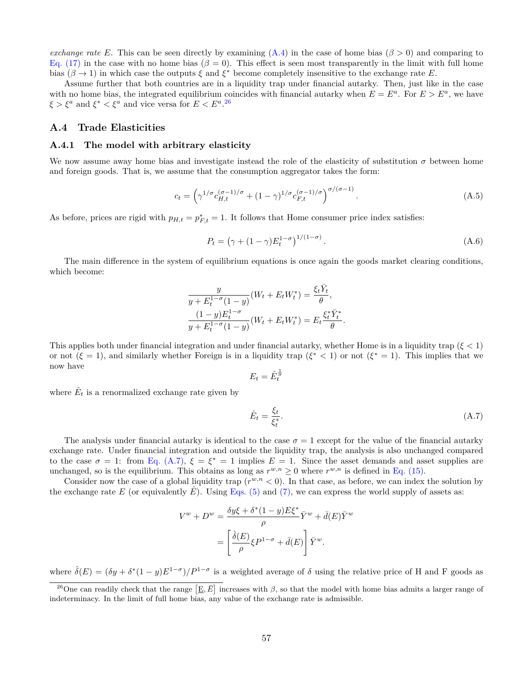*exchange* rate *E*. This can be seen directly by examining  $(A.4)$  $(A.4)$  $(A.4)$  in the case of home bias  $(\beta > 0)$  and comparing to [Eq. \(17\)](#page-17-2) in the case with no home bias  $(\beta = 0)$ . This effect is seen most transparently in the limit with full home bias ( $\beta \to 1$ ) in which case the outputs  $\xi$  and  $\xi^*$  become completely insensitive to the exchange rate *E*.

Assume further that both countries are in a liquidity trap under financial autarky. Then, just like in the case with no home bias, the integrated equilibrium coincides with financial autarky when  $E = E^a$ . For  $E > E^a$ , we have  $\xi > \xi^a$  and  $\xi^* < \xi^a$  and vice versa for  $E < E^a$ . <sup>26</sup>

### <span id="page-57-0"></span>**A.4 Trade Elasticities**

#### **A.4.1 The model with arbitrary elasticity**

We now assume away home bias and investigate instead the role of the elasticity of substitution  $\sigma$  between home and foreign goods. That is, we assume that the consumption aggregator takes the form:

$$
c_t = \left(\gamma^{1/\sigma} c_{H,t}^{(\sigma-1)/\sigma} + (1-\gamma)^{1/\sigma} c_{F,t}^{(\sigma-1)/\sigma}\right)^{\sigma/(\sigma-1)}.
$$
 (A.5)

As before, prices are rigid with  $p_{H,t} = p_{F,t}^* = 1$ . It follows that Home consumer price index satisfies:

<span id="page-57-2"></span>
$$
P_t = (\gamma + (1 - \gamma)E_t^{1 - \sigma})^{1/(1 - \sigma)}.
$$
\n(A.6)

The main difference in the system of equilibrium equations is once again the goods market clearing conditions, which become:

$$
\frac{y}{y + E_t^{1-\sigma}(1-y)}(W_t + E_t W_t^*) = \frac{\xi_t \bar{Y}_t}{\theta},
$$
  

$$
\frac{(1-y)E_t^{1-\sigma}}{y + E_t^{1-\sigma}(1-y)}(W_t + E_t W_t^*) = E_t \frac{\xi_t^* \bar{Y}_t^*}{\theta}.
$$

This applies both under financial integration and under financial autarky, whether Home is in a liquidity trap (*ξ <* 1) or not  $(\xi = 1)$ , and similarly whether Foreign is in a liquidity trap  $(\xi^* < 1)$  or not  $(\xi^* = 1)$ . This implies that we now have 1

$$
E_t = \hat{E}_t^{\frac{1}{\sigma}}
$$

where  $\hat{E}_t$  is a renormalized exchange rate given by

<span id="page-57-1"></span>
$$
\hat{E}_t = \frac{\xi_t}{\xi_t^*}.\tag{A.7}
$$

The analysis under financial autarky is identical to the case  $\sigma = 1$  except for the value of the financial autarky exchange rate. Under financial integration and outside the liquidity trap, the analysis is also unchanged compared to the case  $\sigma = 1$ : from [Eq. \(A.7\),](#page-57-1)  $\xi = \xi^* = 1$  implies  $E = 1$ . Since the asset demands and asset supplies are unchanged, so is the equilibrium. This obtains as long as  $r^{w,n} \ge 0$  where  $r^{w,n}$  is defined in [Eq. \(15\)](#page-17-1).

Consider now the case of a global liquidity trap  $(r^{w,n} < 0)$ . In that case, as before, we can index the solution by the exchange rate *E* (or equivalently  $\hat{E}$ ). Using [Eqs. \(5\)](#page-12-1) and [\(7\),](#page-13-0) we can express the world supply of assets as:

$$
V^w + D^w = \frac{\delta y \xi + \delta^*(1 - y) E \xi^*}{\rho} \bar{Y}^w + \bar{d}(E) \bar{Y}^w
$$

$$
= \left[ \frac{\hat{\delta}(E)}{\rho} \xi P^{1-\sigma} + \bar{d}(E) \right] \bar{Y}^w.
$$

where  $\hat{\delta}(E) = (\delta y + \delta^*(1-y)E^{1-\sigma})/P^{1-\sigma}$  is a weighted average of  $\delta$  using the relative price of H and F goods as

<sup>&</sup>lt;sup>26</sup>One can readily check that the range  $[\underline{E}, \bar{E}]$  increases with  $\beta$ , so that the model with home bias admits a larger range of indeterminacy. In the limit of full home bias, any value of the exchange rate is admissible.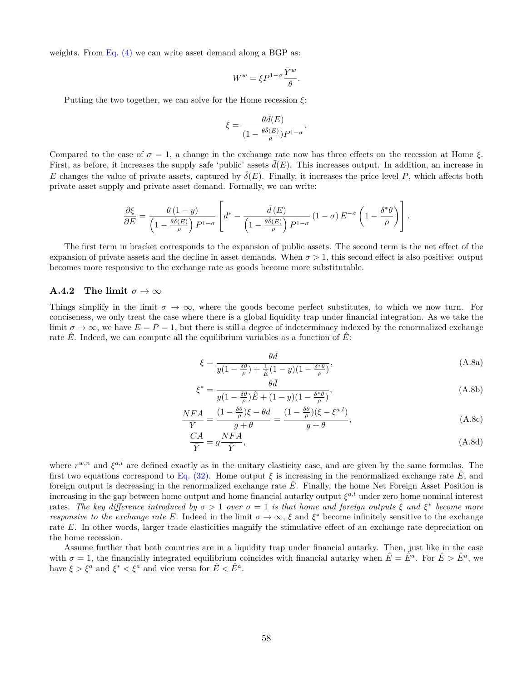weights. From Eq.  $(4)$  we can write asset demand along a BGP as:

$$
W^w = \xi P^{1-\sigma} \frac{\bar{Y}^w}{\theta}.
$$

Putting the two together, we can solve for the Home recession *ξ*:

$$
\xi = \frac{\theta \bar{d}(E)}{(1 - \frac{\theta \hat{\delta}(E)}{\rho})P^{1-\sigma}}.
$$

Compared to the case of  $σ = 1$ , a change in the exchange rate now has three effects on the recession at Home  $ξ$ . First, as before, it increases the supply safe 'public' assets  $\bar{d}(E)$ . This increases output. In addition, an increase in *E* changes the value of private assets, captured by  $\hat{\delta}(E)$ . Finally, it increases the price level *P*, which affects both private asset supply and private asset demand. Formally, we can write:

$$
\frac{\partial \xi}{\partial E} = \frac{\theta (1 - y)}{\left(1 - \frac{\theta \hat{\delta}(E)}{\rho}\right) P^{1 - \sigma}} \left[ d^* - \frac{\bar{d}(E)}{\left(1 - \frac{\theta \hat{\delta}(E)}{\rho}\right) P^{1 - \sigma}} \left(1 - \sigma\right) E^{-\sigma} \left(1 - \frac{\delta^* \theta}{\rho}\right) \right].
$$

The first term in bracket corresponds to the expansion of public assets. The second term is the net effect of the expansion of private assets and the decline in asset demands. When  $\sigma > 1$ , this second effect is also positive: output becomes more responsive to the exchange rate as goods become more substitutable.

#### **A.4.2** The limit  $\sigma \to \infty$

Things simplify in the limit  $\sigma \to \infty$ , where the goods become perfect substitutes, to which we now turn. For conciseness, we only treat the case where there is a global liquidity trap under financial integration. As we take the limit  $\sigma \to \infty$ , we have  $E = P = 1$ , but there is still a degree of indeterminacy indexed by the renormalized exchange rate *E*. Indeed, we can compute all the equilibrium variables as a function of *E*:

$$
\xi = \frac{\theta \bar{d}}{y(1 - \frac{\delta \theta}{\rho}) + \frac{1}{\tilde{E}}(1 - y)(1 - \frac{\delta^* \theta}{\rho})},\tag{A.8a}
$$

 $\overline{a}$ 

$$
\xi^* = \frac{\theta \bar{d}}{y(1 - \frac{\delta \theta}{\rho})\hat{E} + (1 - y)(1 - \frac{\delta^* \theta}{\rho})},\tag{A.8b}
$$

$$
\frac{NFA}{\bar{Y}} = \frac{(1 - \frac{\delta\theta}{\rho})\xi - \theta d}{g + \theta} = \frac{(1 - \frac{\delta\theta}{\rho})(\xi - \xi^{a,l})}{g + \theta},
$$
\n(A.8c)

$$
\frac{CA}{\bar{Y}} = g\frac{NFA}{\bar{Y}},\tag{A.8d}
$$

where  $r^{w,n}$  and  $\xi^{a,l}$  are defined exactly as in the unitary elasticity case, and are given by the same formulas. The first two equations correspond to [Eq. \(32\)](#page-27-2). Home output  $\xi$  is increasing in the renormalized exchange rate E, and foreign output is decreasing in the renormalized exchange rate  $\hat{E}$ . Finally, the home Net Foreign Asset Position is increasing in the gap between home output and home financial autarky output *ξ a,l* under zero home nominal interest rates. The key difference introduced by  $\sigma > 1$  over  $\sigma = 1$  is that home and foreign outputs  $\xi$  and  $\xi^*$  become more *responsive to the exchange rate E*. Indeed in the limit  $\sigma \to \infty$ ,  $\xi$  and  $\xi^*$  become infinitely sensitive to the exchange rate *E*. In other words, larger trade elasticities magnify the stimulative effect of an exchange rate depreciation on the home recession.

Assume further that both countries are in a liquidity trap under financial autarky. Then, just like in the case with  $\sigma = 1$ , the financially integrated equilibrium coincides with financial autarky when  $\hat{E} = \hat{E}^a$ . For  $\hat{E} > \hat{E}^a$ , we have  $\xi > \xi^a$  and  $\xi^* < \xi^a$  and vice versa for  $\hat{E} < \hat{E}^a$ .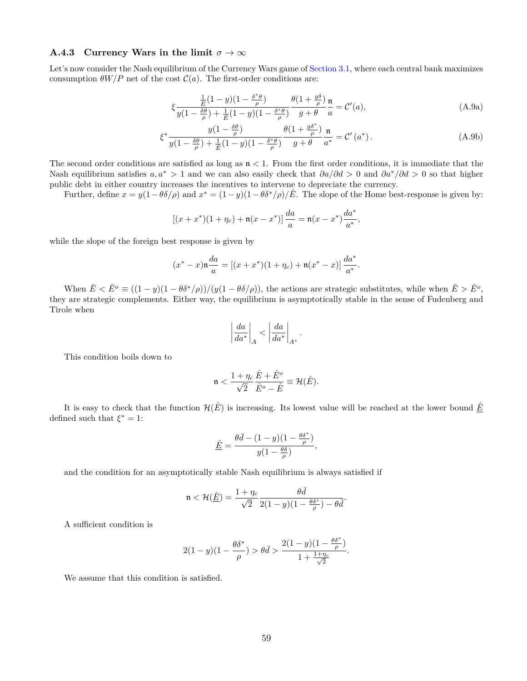### **A.4.3** Currency Wars in the limit  $\sigma \to \infty$

Let's now consider the Nash equilibrium of the Currency Wars game of [Section 3.1](#page-25-1), where each central bank maximizes consumption  $\theta W/P$  net of the cost  $\mathcal{C}(a)$ . The first-order conditions are:

$$
\xi \frac{\frac{1}{\hat{E}}(1-y)(1-\frac{\delta^*\theta}{\rho})}{y(1-\frac{\delta\theta}{\rho})+\frac{1}{\hat{E}}(1-y)(1-\frac{\delta^*\theta}{\rho})}\frac{\theta(1+\frac{g\delta}{\rho})}{g+\theta}\frac{\mathfrak{n}}{a}=\mathcal{C}'(a),\tag{A.9a}
$$

$$
\xi^* \frac{y(1 - \frac{\delta\theta}{\rho})}{y(1 - \frac{\delta\theta}{\rho}) + \frac{1}{\hat{E}}(1 - y)(1 - \frac{\delta^*\theta}{\rho})} \frac{\theta(1 + \frac{g\delta^*}{\rho})}{g + \theta} \frac{\mathfrak{n}}{a^*} = \mathcal{C}'(a^*).
$$
 (A.9b)

The second order conditions are satisfied as long as  $n < 1$ . From the first order conditions, it is immediate that the Nash equilibrium satisfies  $a, a^* > 1$  and we can also easily check that  $\partial a/\partial d > 0$  and  $\partial a^* / \partial d > 0$  so that higher public debt in either country increases the incentives to intervene to depreciate the currency.

Further, define  $x = y(1 - \theta \delta/\rho)$  and  $x^* = (1 - y)(1 - \theta \delta^*/\rho)/\hat{E}$ . The slope of the Home best-response is given by:

$$
[(x+x^*)(1+\eta_c)+\mathfrak{n}(x-x^*))\frac{da}{a}=\mathfrak{n}(x-x^*)\frac{da^*}{a^*},
$$

while the slope of the foreign best response is given by

$$
(x^* - x)\mathfrak{n}\frac{da}{a} = [(x + x^*)(1 + \eta_c) + \mathfrak{n}(x^* - x)]\frac{da^*}{a^*}.
$$

When  $\hat{E} < \hat{E}^{\circ} \equiv ((1-y)(1-\theta \delta^*/\rho))/(y(1-\theta \delta/\rho)),$  the actions are strategic substitutes, while when  $\hat{E} > \hat{E}^{\circ}$ , they are strategic complements. Either way, the equilibrium is asymptotically stable in the sense of Fudenberg and Tirole when

$$
\left|\frac{da}{da^*}\right|_A < \left|\frac{da}{da^*}\right|_{A^*}.
$$

This condition boils down to

$$
\mathfrak{n} < \frac{1 + \eta_c}{\sqrt{2}} \frac{\hat{E} + \hat{E}^o}{\hat{E}^o - \hat{E}} \equiv \mathcal{H}(\hat{E}).
$$

It is easy to check that the function  $\mathcal{H}(\hat{E})$  is increasing. Its lowest value will be reached at the lower bound  $\hat{E}$ defined such that  $\xi^* = 1$ :

$$
\underline{\hat{E}} = \frac{\theta \bar{d} - (1 - y)(1 - \frac{\theta \delta^*}{\rho})}{y(1 - \frac{\theta \delta}{\rho})},
$$

and the condition for an asymptotically stable Nash equilibrium is always satisfied if

$$
\mathfrak{n}<\mathcal{H}(\hat{\underline{E}})=\frac{1+\eta_c}{\sqrt{2}}\frac{\theta \bar{d}}{2(1-y)(1-\frac{\theta \delta^*}{\rho})-\theta \bar{d}}.
$$

A sufficient condition is

$$
2(1-y)(1-\frac{\theta\delta^*}{\rho}) > \theta\bar{d} > \frac{2(1-y)(1-\frac{\theta\delta^*}{\rho})}{1+\frac{1+\eta_c}{\sqrt{2}}}.
$$

We assume that this condition is satisfied.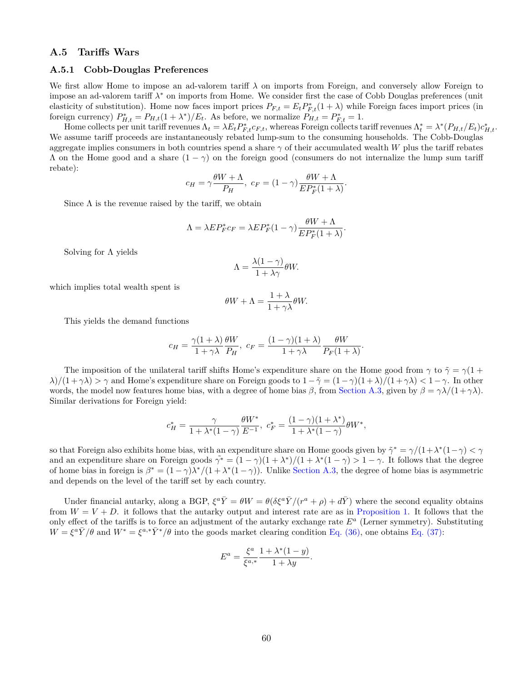### <span id="page-60-0"></span>**A.5 Tariffs Wars**

#### <span id="page-60-1"></span>**A.5.1 Cobb-Douglas Preferences**

We first allow Home to impose an ad-valorem tariff *λ* on imports from Foreign, and conversely allow Foreign to impose an ad-valorem tariff *λ <sup>∗</sup>* on imports from Home. We consider first the case of Cobb Douglas preferences (unit elasticity of substitution). Home now faces import prices  $P_{F,t} = E_t P_{F,t}^*(1 + \lambda)$  while Foreign faces import prices (in foreign currency)  $P_{H,t}^* = P_{H,t}(1 + \lambda^*)/E_t$ . As before, we normalize  $P_{H,t} = P_{F,t}^* = 1$ .

Home collects per unit tariff revenues  $\Lambda_t = \lambda E_t P_{F,t}^* c_{F,t}$ , whereas Foreign collects tariff revenues  $\Lambda_t^* = \lambda^* (P_{H,t}/E_t) c_{H,t}^*$ . We assume tariff proceeds are instantaneously rebated lump-sum to the consuming households. The Cobb-Douglas aggregate implies consumers in both countries spend a share *γ* of their accumulated wealth *W* plus the tariff rebates Λ on the Home good and a share (1 *− γ*) on the foreign good (consumers do not internalize the lump sum tariff rebate):

$$
c_H = \gamma \frac{\theta W + \Lambda}{P_H}, \ c_F = (1 - \gamma) \frac{\theta W + \Lambda}{E P_F^*(1 + \lambda)}.
$$

Since  $\Lambda$  is the revenue raised by the tariff, we obtain

$$
\Lambda = \lambda E P_F^* c_F = \lambda E P_F^* (1 - \gamma) \frac{\theta W + \Lambda}{E P_F^* (1 + \lambda)}.
$$

Solving for  $\Lambda$  yields

$$
\Lambda = \frac{\lambda(1-\gamma)}{1+\lambda\gamma} \theta W.
$$

which implies total wealth spent is

$$
\theta W + \Lambda = \frac{1 + \lambda}{1 + \gamma \lambda} \theta W.
$$

This yields the demand functions

$$
c_H = \frac{\gamma(1+\lambda)}{1+\gamma\lambda} \frac{\theta W}{P_H}, \ c_F = \frac{(1-\gamma)(1+\lambda)}{1+\gamma\lambda} \frac{\theta W}{P_F(1+\lambda)}.
$$

The imposition of the unilateral tariff shifts Home's expenditure share on the Home good from  $\gamma$  to  $\tilde{\gamma} = \gamma(1 + \gamma)$ *λ*)*/*(1+*γλ*) *> γ* and Home's expenditure share on Foreign goods to  $1 - \tilde{\gamma} = (1 - \gamma)(1 + \lambda)/(1 + \gamma \lambda) < 1 - \gamma$ . In other words, the model now features home bias, with a degree of home bias  $\beta$ , from [Section A.3](#page-56-0), given by  $\beta = \gamma \lambda/(1 + \gamma \lambda)$ . Similar derivations for Foreign yield:

$$
c_H^* = \frac{\gamma}{1 + \lambda^*(1 - \gamma)} \frac{\theta W^*}{E^{-1}}, \ c_F^* = \frac{(1 - \gamma)(1 + \lambda^*)}{1 + \lambda^*(1 - \gamma)} \theta W^*,
$$

so that Foreign also exhibits home bias, with an expenditure share on Home goods given by  $\tilde{\gamma}^* = \gamma/(1+\lambda^*(1-\gamma) < \gamma$ and an expenditure share on Foreign goods  $\tilde{\gamma^*} = (1 - \gamma)(1 + \lambda^*)/(1 + \lambda^*(1 - \gamma) > 1 - \gamma$ . It follows that the degree of home bias in foreign is  $\beta^* = (1 - \gamma)\lambda^*/(1 + \lambda^*(1 - \gamma))$ . Unlike [Section A.3](#page-56-0), the degree of home bias is asymmetric and depends on the level of the tariff set by each country.

Under financial autarky, along a BGP,  $\xi^a \bar{Y} = \theta W = \theta (\delta \xi^a \bar{Y}/(r^a + \rho) + d\bar{Y})$  where the second equality obtains from  $W = V + D$ . it follows that the autarky output and interest rate are as in [Proposition 1.](#page-14-3) It follows that the only effect of the tariffs is to force an adjustment of the autarky exchange rate *E<sup>a</sup>* (Lerner symmetry). Substituting  $W = \xi^a \bar{Y}/\theta$  and  $W^* = \xi^{a,*} \bar{Y}^*/\theta$  into the goods market clearing condition [Eq. \(36\),](#page-29-1) one obtains [Eq. \(37\):](#page-30-1)

$$
E^{a} = \frac{\xi^{a}}{\xi^{a,*}} \frac{1 + \lambda^{*}(1 - y)}{1 + \lambda y}.
$$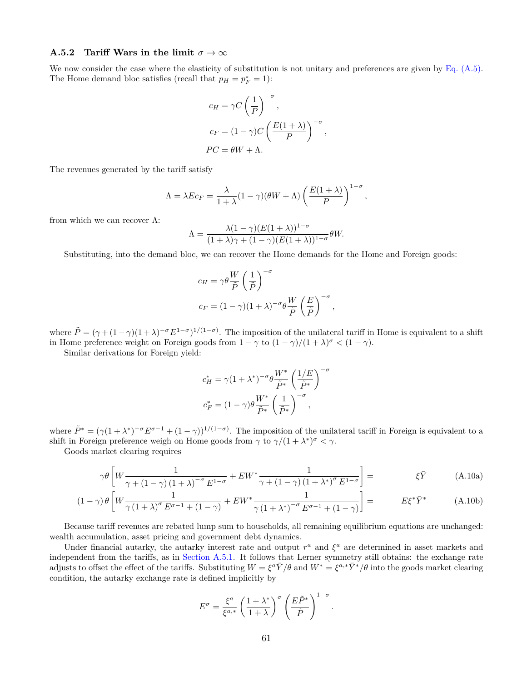### **A.5.2 Tariff Wars in the limit**  $\sigma \to \infty$

We now consider the case where the elasticity of substitution is not unitary and preferences are given by Eq.  $(A.5)$ . The Home demand bloc satisfies (recall that  $p_H = p_F^* = 1$ ):

$$
c_H = \gamma C \left(\frac{1}{P}\right)^{-\sigma},
$$
  
\n
$$
c_F = (1 - \gamma)C \left(\frac{E(1+\lambda)}{P}\right)^{-\sigma}
$$
  
\n
$$
PC = \theta W + \Lambda.
$$

*,*

The revenues generated by the tariff satisfy

$$
\Lambda = \lambda E c_F = \frac{\lambda}{1 + \lambda} (1 - \gamma)(\theta W + \Lambda) \left( \frac{E(1 + \lambda)}{P} \right)^{1 - \sigma},
$$

from which we can recover  $\Lambda$ :

$$
\Lambda = \frac{\lambda (1 - \gamma)(E(1 + \lambda))^{1 - \sigma}}{(1 + \lambda)\gamma + (1 - \gamma)(E(1 + \lambda))^{1 - \sigma}} \theta W.
$$

Substituting, into the demand bloc, we can recover the Home demands for the Home and Foreign goods:

$$
c_H = \gamma \theta \frac{W}{\tilde{P}} \left(\frac{1}{\tilde{P}}\right)^{-\sigma}
$$
  

$$
c_F = (1 - \gamma)(1 + \lambda)^{-\sigma} \theta \frac{W}{\tilde{P}} \left(\frac{E}{\tilde{P}}\right)^{-\sigma},
$$

where  $\tilde{P} = (\gamma + (1 - \gamma)(1 + \lambda)^{-\sigma} E^{1 - \sigma})^{1/(1 - \sigma)}$ . The imposition of the unilateral tariff in Home is equivalent to a shift in Home preference weight on Foreign goods from  $1 - \gamma$  to  $(1 - \gamma)/(1 + \lambda)^{\sigma} < (1 - \gamma)$ .

Similar derivations for Foreign yield:

$$
c_H^* = \gamma (1 + \lambda^*)^{-\sigma} \theta \frac{W^*}{\tilde{P}^*} \left(\frac{1/E}{\tilde{P}^*}\right)^{-\sigma}
$$

$$
c_F^* = (1 - \gamma) \theta \frac{W^*}{\tilde{P}^*} \left(\frac{1}{\tilde{P}^*}\right)^{-\sigma},
$$

where  $\tilde{P}^* = (\gamma(1+\lambda^*)^{-\sigma}E^{\sigma-1} + (1-\gamma))^{1/(1-\sigma)}$ . The imposition of the unilateral tariff in Foreign is equivalent to a shift in Foreign preference weigh on Home goods from  $\gamma$  to  $\gamma/(1+\lambda^*)^{\sigma} < \gamma$ .

Goods market clearing requires

$$
\gamma \theta \left[ W \frac{1}{\gamma + (1 - \gamma)(1 + \lambda)^{-\sigma} E^{1 - \sigma}} + E W^* \frac{1}{\gamma + (1 - \gamma)(1 + \lambda^*)^{\sigma} E^{1 - \sigma}} \right] = \xi \bar{Y}
$$
 (A.10a)

$$
(1 - \gamma) \theta \left[ W \frac{1}{\gamma (1 + \lambda)^{\sigma} E^{\sigma - 1} + (1 - \gamma)} + E W^* \frac{1}{\gamma (1 + \lambda^*)^{-\sigma} E^{\sigma - 1} + (1 - \gamma)} \right] = E \xi^* \bar{Y}^* \tag{A.10b}
$$

Because tariff revenues are rebated lump sum to households, all remaining equilibrium equations are unchanged: wealth accumulation, asset pricing and government debt dynamics.

Under financial autarky, the autarky interest rate and output  $r^a$  and  $\xi^a$  are determined in asset markets and independent from the tariffs, as in [Section A.5.1.](#page-60-1) It follows that Lerner symmetry still obtains: the exchange rate adjusts to offset the effect of the tariffs. Substituting  $W = \xi^a \bar{Y}/\theta$  and  $W^* = \xi^{a,*} \bar{Y}^*/\theta$  into the goods market clearing condition, the autarky exchange rate is defined implicitly by

$$
E^{\sigma} = \frac{\xi^{a}}{\xi^{a,*}} \left(\frac{1+\lambda^{*}}{1+\lambda}\right)^{\sigma} \left(\frac{E\tilde{P}^{*}}{\tilde{P}}\right)^{1-\sigma}.
$$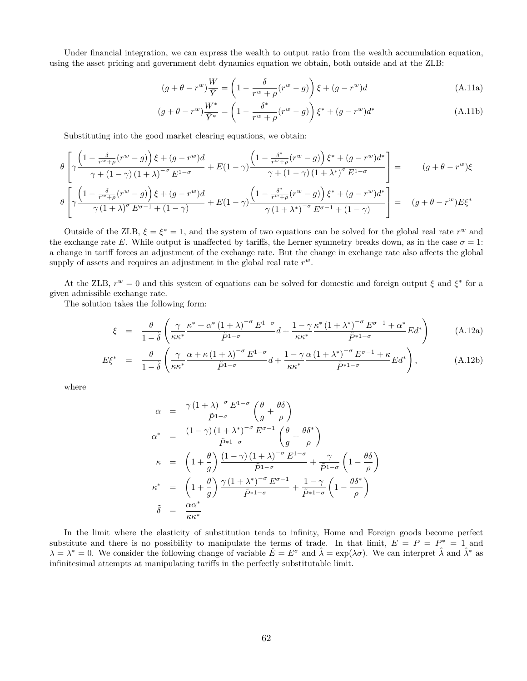Under financial integration, we can express the wealth to output ratio from the wealth accumulation equation, using the asset pricing and government debt dynamics equation we obtain, both outside and at the ZLB:

<span id="page-62-1"></span>
$$
(g + \theta - r^w)\frac{W}{\bar{Y}} = \left(1 - \frac{\delta}{r^w + \rho}(r^w - g)\right)\xi + (g - r^w)d\tag{A.11a}
$$

$$
(g + \theta - r^{w}) \frac{W^{*}}{\bar{Y}^{*}} = \left(1 - \frac{\delta^{*}}{r^{w} + \rho}(r^{w} - g)\right) \xi^{*} + (g - r^{w})d^{*}
$$
\n(A.11b)

Substituting into the good market clearing equations, we obtain:

$$
\theta \left[ \gamma \frac{\left(1 - \frac{\delta}{r^w + \rho}(r^w - g)\right)\xi + (g - r^w)d}{\gamma + (1 - \gamma)(1 + \lambda)^{-\sigma} E^{1 - \sigma}} + E(1 - \gamma) \frac{\left(1 - \frac{\delta^*}{r^w + \rho}(r^w - g)\right)\xi^* + (g - r^w)d^*}{\gamma + (1 - \gamma)(1 + \lambda^*)^{\sigma} E^{1 - \sigma}} \right] = (g + \theta - r^w)\xi
$$
\n
$$
\theta \left[ \gamma \frac{\left(1 - \frac{\delta}{r^w + \rho}(r^w - g)\right)\xi + (g - r^w)d}{\gamma(1 + \lambda)^{\sigma} E^{\sigma - 1} + (1 - \gamma)} + E(1 - \gamma) \frac{\left(1 - \frac{\delta^*}{r^w + \rho}(r^w - g)\right)\xi^* + (g - r^w)d^*}{\gamma(1 + \lambda^*)^{-\sigma} E^{\sigma - 1} + (1 - \gamma)} \right] = (g + \theta - r^w)E\xi^*
$$

Outside of the ZLB,  $\xi = \xi^* = 1$ , and the system of two equations can be solved for the global real rate  $r^w$  and the exchange rate *E*. While output is unaffected by tariffs, the Lerner symmetry breaks down, as in the case  $\sigma = 1$ : a change in tariff forces an adjustment of the exchange rate. But the change in exchange rate also affects the global supply of assets and requires an adjustment in the global real rate *r w*.

At the ZLB,  $r^w = 0$  and this system of equations can be solved for domestic and foreign output  $\xi$  and  $\xi^*$  for a given admissible exchange rate.

The solution takes the following form:

<span id="page-62-0"></span>
$$
\xi = \frac{\theta}{1-\tilde{\delta}} \left( \frac{\gamma}{\kappa \kappa^*} \frac{\kappa^* + \alpha^* (1+\lambda)^{-\sigma} E^{1-\sigma}}{\tilde{P}^{1-\sigma}} d + \frac{1-\gamma}{\kappa \kappa^*} \frac{\kappa^* (1+\lambda^*)^{-\sigma} E^{\sigma-1} + \alpha^*}{\tilde{P}^{1-\sigma}} E d^* \right) \tag{A.12a}
$$

$$
E\xi^* = \frac{\theta}{1-\tilde{\delta}} \left( \frac{\gamma}{\kappa \kappa^*} \frac{\alpha + \kappa (1+\lambda)^{-\sigma} E^{1-\sigma}}{\tilde{P}^{1-\sigma}} d + \frac{1-\gamma}{\kappa \kappa^*} \frac{\alpha (1+\lambda^*)^{-\sigma} E^{\sigma-1} + \kappa}{\tilde{P}^{1-\sigma}} E d^* \right), \tag{A.12b}
$$

where

$$
\alpha = \frac{\gamma (1+\lambda)^{-\sigma} E^{1-\sigma}}{\tilde{p}^{1-\sigma}} \left( \frac{\theta}{g} + \frac{\theta \delta}{\rho} \right)
$$
  
\n
$$
\alpha^* = \frac{(1-\gamma)(1+\lambda^*)^{-\sigma} E^{\sigma-1}}{\tilde{p}^{1-\sigma}} \left( \frac{\theta}{g} + \frac{\theta \delta^*}{\rho} \right)
$$
  
\n
$$
\kappa = \left( 1 + \frac{\theta}{g} \right) \frac{(1-\gamma)(1+\lambda)^{-\sigma} E^{1-\sigma}}{\tilde{p}^{1-\sigma}} + \frac{\gamma}{\tilde{p}^{1-\sigma}} \left( 1 - \frac{\theta \delta}{\rho} \right)
$$
  
\n
$$
\kappa^* = \left( 1 + \frac{\theta}{g} \right) \frac{\gamma (1+\lambda^*)^{-\sigma} E^{\sigma-1}}{\tilde{p}^{1-\sigma}} + \frac{1-\gamma}{\tilde{p}^{1-\sigma}} \left( 1 - \frac{\theta \delta^*}{\rho} \right)
$$
  
\n
$$
\tilde{\delta} = \frac{\alpha \alpha^*}{\kappa \kappa^*}
$$

In the limit where the elasticity of substitution tends to infinity, Home and Foreign goods become perfect substitute and there is no possibility to manipulate the terms of trade. In that limit,  $E = P = P^* = 1$  and  $\lambda = \lambda^* = 0$ . We consider the following change of variable  $\hat{E} = E^{\sigma}$  and  $\hat{\lambda} = \exp(\lambda \sigma)$ . We can interpret  $\hat{\lambda}$  and  $\hat{\lambda}^*$  as infinitesimal attempts at manipulating tariffs in the perfectly substitutable limit.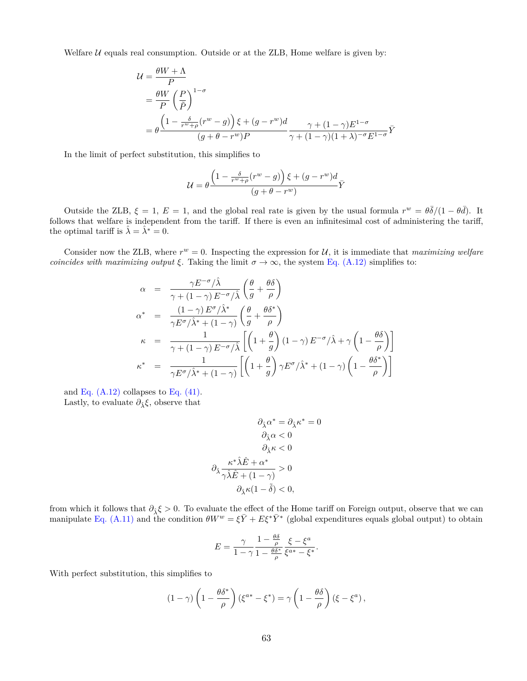Welfare  $U$  equals real consumption. Outside or at the ZLB, Home welfare is given by:

$$
\mathcal{U} = \frac{\theta W + \Lambda}{P}
$$
  
=  $\frac{\theta W}{P} \left(\frac{P}{\tilde{P}}\right)^{1-\sigma}$   
=  $\theta \frac{\left(1 - \frac{\delta}{r^w + \rho}(r^w - g)\right) \xi + (g - r^w)d}{(g + \theta - r^w)P} \frac{\gamma + (1 - \gamma)E^{1-\sigma}}{\gamma + (1 - \gamma)(1 + \lambda)^{-\sigma}E^{1-\sigma}} \overline{Y}$ 

In the limit of perfect substitution, this simplifies to

$$
\mathcal{U} = \theta \frac{\left(1 - \frac{\delta}{r^w + \rho}(r^w - g)\right)\xi + (g - r^w)d}{(g + \theta - r^w)}\bar{Y}
$$

Outside the ZLB,  $\xi = 1$ ,  $E = 1$ , and the global real rate is given by the usual formula  $r^w = \theta \bar{\delta}/(1 - \theta \bar{d})$ . It follows that welfare is independent from the tariff. If there is even an infinitesimal cost of administering the tariff, the optimal tariff is  $\hat{\lambda} = \hat{\lambda}^* = 0$ .

Consider now the ZLB, where  $r^w = 0$ . Inspecting the expression for  $U$ , it is immediate that *maximizing welfare coincides with maximizing output*  $\xi$ . Taking the limit  $\sigma \to \infty$ , the system [Eq. \(A.12\)](#page-62-0) simplifies to:

$$
\alpha = \frac{\gamma E^{-\sigma}/\hat{\lambda}}{\gamma + (1 - \gamma) E^{-\sigma}/\hat{\lambda}} \left(\frac{\theta}{g} + \frac{\theta \delta}{\rho}\right)
$$
  
\n
$$
\alpha^* = \frac{(1 - \gamma) E^{\sigma}/\hat{\lambda}^*}{\gamma E^{\sigma}/\hat{\lambda}^* + (1 - \gamma)} \left(\frac{\theta}{g} + \frac{\theta \delta^*}{\rho}\right)
$$
  
\n
$$
\kappa = \frac{1}{\gamma + (1 - \gamma) E^{-\sigma}/\hat{\lambda}} \left[\left(1 + \frac{\theta}{g}\right)(1 - \gamma) E^{-\sigma}/\hat{\lambda} + \gamma \left(1 - \frac{\theta \delta}{\rho}\right)\right]
$$
  
\n
$$
\kappa^* = \frac{1}{\gamma E^{\sigma}/\hat{\lambda}^* + (1 - \gamma)} \left[\left(1 + \frac{\theta}{g}\right) \gamma E^{\sigma}/\hat{\lambda}^* + (1 - \gamma) \left(1 - \frac{\theta \delta^*}{\rho}\right)\right]
$$

and Eq.  $(A.12)$  collapses to Eq.  $(41)$ . Lastly, to evaluate  $\partial_{\hat{\lambda}} \xi$ , observe that

$$
\begin{aligned} \partial_{\hat{\lambda}}\alpha^* &= \partial_{\hat{\lambda}}\kappa^* = 0 \\ \partial_{\hat{\lambda}}\alpha < 0 \\ \partial_{\hat{\lambda}}\kappa < 0 \\ \partial_{\hat{\lambda}}\frac{\kappa^*\hat{\lambda}\hat{E} + \alpha^*}{\gamma\hat{\lambda}\hat{E} + (1-\gamma)} > 0 \\ \partial_{\hat{\lambda}}\kappa(1-\tilde{\delta}) < 0, \end{aligned}
$$

from which it follows that  $\partial_{\hat{\lambda}} \xi > 0$ . To evaluate the effect of the Home tariff on Foreign output, observe that we can manipulate [Eq. \(A.11\)](#page-62-1) and the condition  $\theta W^w = \xi \bar{Y} + E \xi^* \bar{Y}^*$  (global expenditures equals global output) to obtain

$$
E = \frac{\gamma}{1 - \gamma} \frac{1 - \frac{\theta \delta}{\rho}}{1 - \frac{\theta \delta^*}{\rho}} \frac{\xi - \xi^a}{\xi^{a*} - \xi^*}
$$

*.*

With perfect substitution, this simplifies to

$$
(1 - \gamma) \left( 1 - \frac{\theta \delta^*}{\rho} \right) (\xi^{a*} - \xi^*) = \gamma \left( 1 - \frac{\theta \delta}{\rho} \right) (\xi - \xi^a),
$$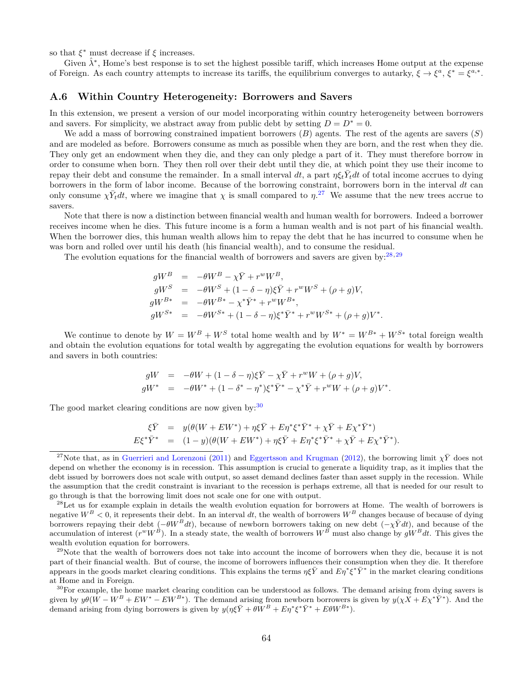so that  $\xi^*$  must decrease if  $\xi$  increases.

Given  $\hat{\lambda}^*$ , Home's best response is to set the highest possible tariff, which increases Home output at the expense of Foreign. As each country attempts to increase its tariffs, the equilibrium converges to autarky,  $\xi \to \xi^a$ ,  $\xi^* = \xi^{a,*}$ .

### <span id="page-64-0"></span>**A.6 Within Country Heterogeneity: Borrowers and Savers**

In this extension, we present a version of our model incorporating within country heterogeneity between borrowers and savers. For simplicity, we abstract away from public debt by setting  $D = D^* = 0$ .

We add a mass of borrowing constrained impatient borrowers (*B*) agents. The rest of the agents are savers (*S*) and are modeled as before. Borrowers consume as much as possible when they are born, and the rest when they die. They only get an endowment when they die, and they can only pledge a part of it. They must therefore borrow in order to consume when born. They then roll over their debt until they die, at which point they use their income to repay their debt and consume the remainder. In a small interval dt, a part  $\eta \xi_t \bar{Y}_t dt$  of total income accrues to dying borrowers in the form of labor income. Because of the borrowing constraint, borrowers born in the interval *dt* can only consume  $\chi \bar{Y}_t dt$ , where we imagine that  $\chi$  is small compared to  $\eta$ <sup>27</sup>. We assume that the new trees accrue to savers.

Note that there is now a distinction between financial wealth and human wealth for borrowers. Indeed a borrower receives income when he dies. This future income is a form a human wealth and is not part of his financial wealth. When the borrower dies, this human wealth allows him to repay the debt that he has incurred to consume when he was born and rolled over until his death (his financial wealth), and to consume the residual.

The evolution equations for the financial wealth of borrowers and savers are given by:<sup>28</sup>*,*<sup>29</sup>

$$
gW^{B} = -\theta W^{B} - \chi \bar{Y} + r^{w} W^{B},
$$
  
\n
$$
gW^{S} = -\theta W^{S} + (1 - \delta - \eta)\xi \bar{Y} + r^{w} W^{S} + (\rho + g)V,
$$
  
\n
$$
gW^{B*} = -\theta W^{B*} - \chi^{*} \bar{Y}^{*} + r^{w} W^{B*},
$$
  
\n
$$
gW^{S*} = -\theta W^{S*} + (1 - \delta - \eta)\xi^{*} \bar{Y}^{*} + r^{w} W^{S*} + (\rho + g)V^{*}.
$$

We continue to denote by  $W = W^B + W^S$  total home wealth and by  $W^* = W^{B*} + W^{S*}$  total foreign wealth and obtain the evolution equations for total wealth by aggregating the evolution equations for wealth by borrowers and savers in both countries:

$$
gW = -\theta W + (1 - \delta - \eta)\xi \bar{Y} - \chi \bar{Y} + r^w W + (\rho + g)V,
$$
  
\n
$$
gW^* = -\theta W^* + (1 - \delta^* - \eta^*)\xi^* \bar{Y}^* - \chi^* \bar{Y} + r^w W + (\rho + g)V^*.
$$

The good market clearing conditions are now given by:  $30$ 

$$
\xi \bar{Y} = y(\theta(W + EW^*) + \eta \xi \bar{Y} + E \eta^* \xi^* \bar{Y}^* + \chi \bar{Y} + E \chi^* \bar{Y}^*) \nE \xi^* \bar{Y}^* = (1 - y)(\theta(W + EW^*) + \eta \xi \bar{Y} + E \eta^* \xi^* \bar{Y}^* + \chi \bar{Y} + E \chi^* \bar{Y}^*).
$$

<sup>&</sup>lt;sup>27</sup>Note that, as in [Guerrieri and Lorenzoni](#page-50-10) [\(2011\)](#page-50-10) and [Eggertsson and Krugman](#page-49-7) [\(2012\)](#page-49-7), the borrowing limit  $\chi \bar{Y}$  does not depend on whether the economy is in recession. This assumption is crucial to generate a liquidity trap, as it implies that the debt issued by borrowers does not scale with output, so asset demand declines faster than asset supply in the recession. While the assumption that the credit constraint is invariant to the recession is perhaps extreme, all that is needed for our result to go through is that the borrowing limit does not scale one for one with output.

 $^{28}$ Let us for example explain in details the wealth evolution equation for borrowers at Home. The wealth of borrowers is negative  $W^B < 0$ , it represents their debt. In an interval dt, the wealth of borrowers  $W^B$  changes because of because of dying borrowers repaying their debt  $(-\theta W^B dt)$ , because of newborn borrowers taking on new debt  $(-\chi \bar{Y} dt)$ , and because of the accumulation of interest  $(r^w W^B)$ . In a steady state, the wealth of borrowers  $W^B$  must also cha wealth evolution equation for borrowers.

 $^{29}$ Note that the wealth of borrowers does not take into account the income of borrowers when they die, because it is not part of their financial wealth. But of course, the income of borrowers influences their consumption when they die. It therefore appears in the goods market clearing conditions. This explains the terms  $\eta \xi \bar{Y}$  and  $E \eta^* \xi^* \bar{Y}^*$  in the market clearing conditions at Home and in Foreign.

 $30$ For example, the home market clearing condition can be understood as follows. The demand arising from dying savers is given by  $y\theta(W-W^B+EW^*-EW^{B*})$ . The demand arising from newborn borrowers is given by  $y(\chi X+E\chi^*\bar{Y}^*)$ . And the demand arising from dying borrowers is given by  $y(\eta \xi \bar{Y} + \theta \bar{W}^B + E \eta^* \xi^* \bar{Y}^* + E \theta W^{B*})$ .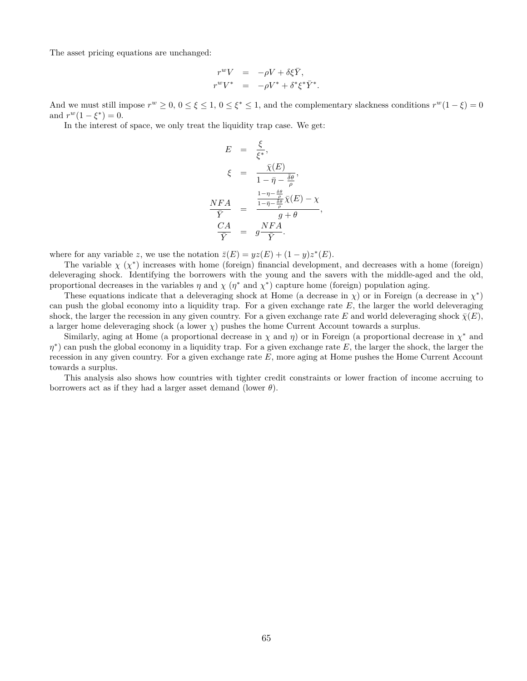The asset pricing equations are unchanged:

$$
\begin{array}{rcl} r^wV &=& -\rho V + \delta \xi \bar{Y},\\ r^wV^* &=& -\rho V^* + \delta^* \xi^* \bar{Y}^*. \end{array}
$$

And we must still impose  $r^w \geq 0$ ,  $0 \leq \xi \leq 1$ ,  $0 \leq \xi^* \leq 1$ , and the complementary slackness conditions  $r^w(1-\xi) = 0$ and  $r^w(1 - \xi^*) = 0$ .

In the interest of space, we only treat the liquidity trap case. We get:

$$
E = \frac{\xi}{\xi^*},
$$
  
\n
$$
\xi = \frac{\bar{\chi}(E)}{1 - \bar{\eta} - \frac{\bar{\delta}\theta}{\rho}},
$$
  
\n
$$
\frac{NFA}{\bar{Y}} = \frac{\frac{1 - \eta - \frac{\delta\theta}{\rho}}{1 - \bar{\eta} - \frac{\delta\theta}{\rho}} \bar{\chi}(E) - \chi}{g + \theta},
$$
  
\n
$$
\frac{CA}{\bar{Y}} = g\frac{NFA}{\bar{Y}}.
$$

where for any variable *z*, we use the notation  $\overline{z}(E) = yz(E) + (1 - y)z^*(E)$ .

The variable  $\chi(\chi^*)$  increases with home (foreign) financial development, and decreases with a home (foreign) deleveraging shock. Identifying the borrowers with the young and the savers with the middle-aged and the old, proportional decreases in the variables  $\eta$  and  $\chi$  ( $\eta^*$  and  $\chi^*$ ) capture home (foreign) population aging.

These equations indicate that a deleveraging shock at Home (a decrease in  $\chi$ ) or in Foreign (a decrease in  $\chi^*$ ) can push the global economy into a liquidity trap. For a given exchange rate *E*, the larger the world deleveraging shock, the larger the recession in any given country. For a given exchange rate *E* and world deleveraging shock  $\bar{\chi}(E)$ , a larger home deleveraging shock (a lower *χ*) pushes the home Current Account towards a surplus.

Similarly, aging at Home (a proportional decrease in *χ* and *η*) or in Foreign (a proportional decrease in *χ <sup>∗</sup>* and *η*<sup>\*</sup>) can push the global economy in a liquidity trap. For a given exchange rate *E*, the larger the shock, the larger the recession in any given country. For a given exchange rate *E*, more aging at Home pushes the Home Current Account towards a surplus.

This analysis also shows how countries with tighter credit constraints or lower fraction of income accruing to borrowers act as if they had a larger asset demand (lower  $\theta$ ).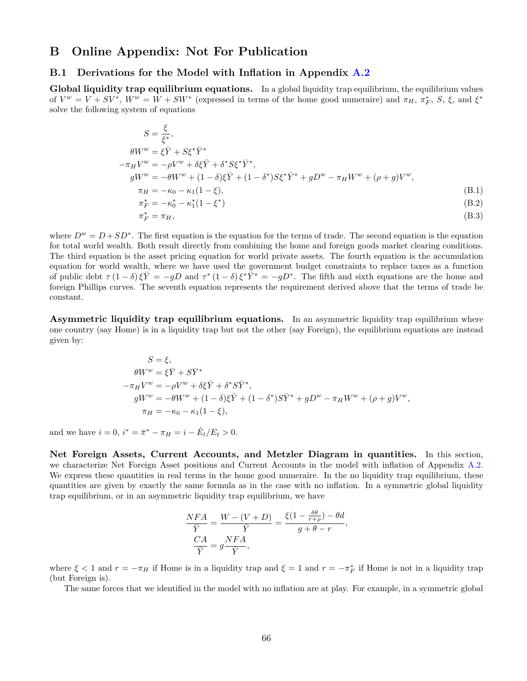## **B Online Appendix: Not For Publication**

### <span id="page-66-0"></span>**B.1 Derivations for the Model with Inflation in Appendix [A.2](#page-52-0)**

**Global liquidity trap equilibrium equations.** In a global liquidity trap equilibrium, the equilibrium values of  $V^w = V + SV^*$ ,  $W^w = W + SW^*$  (expressed in terms of the home good numeraire) and  $\pi_H$ ,  $\pi_F^*$ , S,  $\xi$ , and  $\xi^*$ solve the following system of equations

$$
S = \frac{\xi}{\xi^*},
$$
  
\n
$$
\theta W^w = \xi \bar{Y} + S \xi^* \bar{Y}^*
$$
  
\n
$$
-\pi_H V^w = -\rho V^w + \delta \xi \bar{Y} + \delta^* S \xi^* \bar{Y}^*,
$$
  
\n
$$
gW^w = -\theta W^w + (1 - \delta) \xi \bar{Y} + (1 - \delta^*) S \xi^* \bar{Y}^* + gD^w - \pi_H W^w + (\rho + g) V^w,
$$
  
\n
$$
\pi_H = -\kappa_0 - \kappa_1 (1 - \xi),
$$
  
\n
$$
\pi_F^* = -\kappa_0^* - \kappa_1^* (1 - \xi^*)
$$
  
\n(B.1)  
\n
$$
\pi_F^* = \pi_H,
$$
  
\n(B.3)

where  $D^w = D + SD^*$ . The first equation is the equation for the terms of trade. The second equation is the equation for total world wealth. Both result directly from combining the home and foreign goods market clearing conditions. The third equation is the asset pricing equation for world private assets. The fourth equation is the accumulation equation for world wealth, where we have used the government budget constraints to replace taxes as a function of public debt  $\tau (1-\delta)\xi \bar{Y} = -gD$  and  $\tau^* (1-\delta)\xi^* \bar{Y}^* = -gD^*$ . The fifth and sixth equations are the home and foreign Phillips curves. The seventh equation represents the requirement derived above that the terms of trade be constant.

**Asymmetric liquidity trap equilibrium equations.** In an asymmetric liquidity trap equilibrium where one country (say Home) is in a liquidity trap but not the other (say Foreign), the equilibrium equations are instead given by:

$$
S = \xi,
$$
  
\n
$$
\theta W^w = \xi \bar{Y} + S \bar{Y}^*
$$
  
\n
$$
-\pi_H V^w = -\rho V^w + \delta \xi \bar{Y} + \delta^* S \bar{Y}^*,
$$
  
\n
$$
gW^w = -\theta W^w + (1 - \delta) \xi \bar{Y} + (1 - \delta^*) S \bar{Y}^* + gD^w - \pi_H W^w + (\rho + g) V^w,
$$
  
\n
$$
\pi_H = -\kappa_0 - \kappa_1 (1 - \xi),
$$

and we have  $i = 0$ ,  $i^* = \bar{\pi}^* - \pi_H = i - \dot{E}_t / E_t > 0$ .

**Net Foreign Assets, Current Accounts, and Metzler Diagram in quantities.** In this section, we characterize Net Foreign Asset positions and Current Accounts in the model with inflation of Appendix [A.2.](#page-52-0) We express these quantities in real terms in the home good numeraire. In the no liquidity trap equilibrium, these quantities are given by exactly the same formula as in the case with no inflation. In a symmetric global liquidity trap equilibrium, or in an asymmetric liquidity trap equilibrium, we have

$$
\frac{NFA}{\overline{Y}} = \frac{W - (V + D)}{\overline{Y}} = \frac{\xi(1 - \frac{\delta\theta}{r + \rho}) - \theta d}{g + \theta - r},
$$

$$
\frac{CA}{\overline{Y}} = g\frac{NFA}{\overline{Y}},
$$

where  $\xi$  < 1 and  $r = -\pi_H$  if Home is in a liquidity trap and  $\xi = 1$  and  $r = -\pi_F^*$  if Home is not in a liquidity trap (but Foreign is).

The same forces that we identified in the model with no inflation are at play. For example, in a symmetric global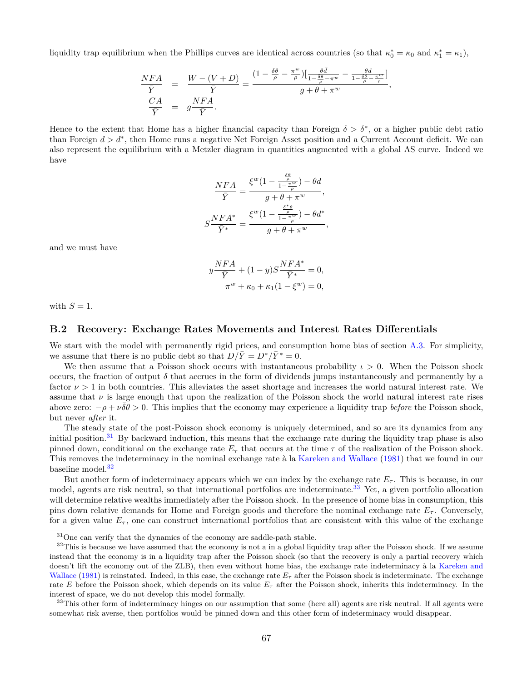liquidity trap equilibrium when the Phillips curves are identical across countries (so that  $\kappa_0^* = \kappa_0$  and  $\kappa_1^* = \kappa_1$ ),

$$
\begin{array}{rcl}\n\frac{NFA}{\bar{Y}} &=& \frac{W - (V + D)}{\bar{Y}} = \frac{(1 - \frac{\delta \theta}{\rho} - \frac{\pi^w}{\rho}) \left[ \frac{\theta \bar{d}}{1 - \frac{\delta \theta}{\rho} - \pi^w} - \frac{\theta d}{1 - \frac{\delta \theta}{\rho} - \frac{\pi^w}{\rho}} \right]}{\bar{Y}}, \\
\frac{CA}{\bar{Y}} &=& g \frac{NFA}{\bar{Y}}.\n\end{array}
$$

Hence to the extent that Home has a higher financial capacity than Foreign  $\delta > \delta^*$ , or a higher public debt ratio than Foreign *d > d<sup>∗</sup>* , then Home runs a negative Net Foreign Asset position and a Current Account deficit. We can also represent the equilibrium with a Metzler diagram in quantities augmented with a global AS curve. Indeed we have

$$
\frac{NFA}{\bar{Y}} = \frac{\xi^w (1 - \frac{\frac{\delta \theta}{\rho}}{1 - \frac{\pi w}{\rho}}) - \theta d}{g + \theta + \pi^w},
$$

$$
S \frac{NFA^*}{\bar{Y}^*} = \frac{\xi^w (1 - \frac{\frac{\delta^* \theta}{\rho}}{1 - \frac{\pi w}{\rho}}) - \theta d^*}{g + \theta + \pi^w},
$$

and we must have

$$
y\frac{NFA}{\bar{Y}} + (1 - y)S\frac{NFA^*}{\bar{Y}^*} = 0,
$$
  

$$
\pi^w + \kappa_0 + \kappa_1(1 - \xi^w) = 0,
$$

with  $S = 1$ .

### <span id="page-67-0"></span>**B.2 Recovery: Exchange Rates Movements and Interest Rates Differentials**

We start with the model with permanently rigid prices, and consumption home bias of section [A.3.](#page-56-0) For simplicity, we assume that there is no public debt so that  $D/\overline{Y} = D^*/\overline{Y}^* = 0$ .

We then assume that a Poisson shock occurs with instantaneous probability  $\iota > 0$ . When the Poisson shock occurs, the fraction of output  $\delta$  that accrues in the form of dividends jumps instantaneously and permanently by a factor  $\nu > 1$  in both countries. This alleviates the asset shortage and increases the world natural interest rate. We assume that  $\nu$  is large enough that upon the realization of the Poisson shock the world natural interest rate rises above zero:  $-\rho + \nu \overline{\delta \theta} > 0$ . This implies that the economy may experience a liquidity trap *before* the Poisson shock, but never *after* it.

The steady state of the post-Poisson shock economy is uniquely determined, and so are its dynamics from any initial position.<sup>31</sup> By backward induction, this means that the exchange rate during the liquidity trap phase is also pinned down, conditional on the exchange rate  $E_{\tau}$  that occurs at the time  $\tau$  of the realization of the Poisson shock. This removes the indeterminacy in the nominal exchange rate à la [Kareken and Wallace](#page-50-0) ([1981\)](#page-50-0) that we found in our baseline model.<sup>32</sup>

But another form of indeterminacy appears which we can index by the exchange rate  $E_{\tau}$ . This is because, in our model, agents are risk neutral, so that international portfolios are indeterminate.<sup>33</sup> Yet, a given portfolio allocation will determine relative wealths immediately after the Poisson shock. In the presence of home bias in consumption, this pins down relative demands for Home and Foreign goods and therefore the nominal exchange rate  $E<sub>\tau</sub>$ . Conversely, for a given value  $E_{\tau}$ , one can construct international portfolios that are consistent with this value of the exchange

<sup>&</sup>lt;sup>31</sup>One can verify that the dynamics of the economy are saddle-path stable.

 $32$ This is because we have assumed that the economy is not a in a global liquidity trap after the Poisson shock. If we assume instead that the economy is in a liquidity trap after the Poisson shock (so that the recovery is only a partial recovery which doesn't lift the economy out of the ZLB), then even without home bias, the exchange rate indeterminacy à la [Kareken and](#page-50-0) [Wallace](#page-50-0) ([1981](#page-50-0)) is reinstated. Indeed, in this case, the exchange rate  $E_{\tau}$  after the Poisson shock is indeterminate. The exchange rate *E* before the Poisson shock, which depends on its value *E<sup>τ</sup>* after the Poisson shock, inherits this indeterminacy. In the interest of space, we do not develop this model formally.

<sup>&</sup>lt;sup>33</sup>This other form of indeterminacy hinges on our assumption that some (here all) agents are risk neutral. If all agents were somewhat risk averse, then portfolios would be pinned down and this other form of indeterminacy would disappear.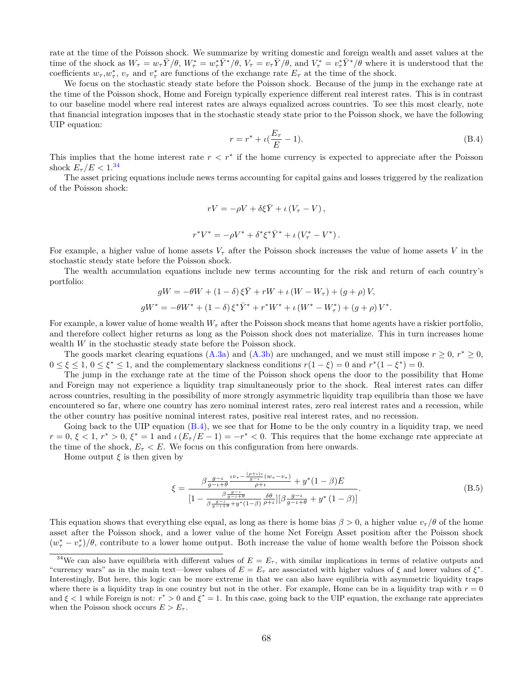rate at the time of the Poisson shock. We summarize by writing domestic and foreign wealth and asset values at the time of the shock as  $W_{\tau} = w_{\tau} \bar{Y}/\theta$ ,  $W_{\tau}^* = w_{\tau}^* \bar{Y}^*/\theta$ ,  $V_{\tau} = v_{\tau} \bar{Y}/\theta$ , and  $V_{\tau}^* = v_{\tau}^* \bar{Y}^*/\theta$  where it is understood that the coefficients  $w_{\tau}$ ,  $w_{\tau}^*$ ,  $v_{\tau}$  and  $v_{\tau}^*$  are functions of the exchange rate  $E_{\tau}$  at the time of the shock.

We focus on the stochastic steady state before the Poisson shock. Because of the jump in the exchange rate at the time of the Poisson shock, Home and Foreign typically experience different real interest rates. This is in contrast to our baseline model where real interest rates are always equalized across countries. To see this most clearly, note that financial integration imposes that in the stochastic steady state prior to the Poisson shock, we have the following UIP equation:

<span id="page-68-0"></span>
$$
r = r^* + \iota(\frac{E_\tau}{E} - 1). \tag{B.4}
$$

This implies that the home interest rate *r < r<sup>∗</sup>* if the home currency is expected to appreciate after the Poisson shock  $E_\tau/E < 1.34$ 

The asset pricing equations include news terms accounting for capital gains and losses triggered by the realization of the Poisson shock:

$$
rV = -\rho V + \delta \xi \bar{Y} + \iota (V_{\tau} - V),
$$

$$
r^*V^* = -\rho V^* + \delta^* \xi^* \bar Y^* + \iota \left(V_{\tau}^* - V^* \right).
$$

For example, a higher value of home assets  $V<sub>\tau</sub>$  after the Poisson shock increases the value of home assets V in the stochastic steady state before the Poisson shock.

The wealth accumulation equations include new terms accounting for the risk and return of each country's portfolio:

$$
gW = -\theta W + (1 - \delta) \xi \bar{Y} + rW + \iota (W - W_{\tau}) + (g + \rho) V,
$$
  

$$
gW^* = -\theta W^* + (1 - \delta) \xi^* \bar{Y}^* + r^* W^* + \iota (W^* - W^*_{\tau}) + (g + \rho) V^*.
$$

For example, a lower value of home wealth *W<sup>τ</sup>* after the Poisson shock means that home agents have a riskier portfolio, and therefore collect higher returns as long as the Poisson shock does not materialize. This in turn increases home wealth *W* in the stochastic steady state before the Poisson shock.

The goods market clearing equations ([A.3a\)](#page-56-2) and [\(A.3b](#page-56-3)) are unchanged, and we must still impose  $r \geq 0$ ,  $r^* \geq 0$ ,  $0 \le \xi \le 1, 0 \le \xi^* \le 1$ , and the complementary slackness conditions  $r(1-\xi) = 0$  and  $r^*(1-\xi^*) = 0$ .

The jump in the exchange rate at the time of the Poisson shock opens the door to the possibility that Home and Foreign may not experience a liquidity trap simultaneously prior to the shock. Real interest rates can differ across countries, resulting in the possibility of more strongly asymmetric liquidity trap equilibria than those we have encountered so far, where one country has zero nominal interest rates, zero real interest rates and a recession, while the other country has positive nominal interest rates, positive real interest rates, and no recession.

Going back to the UIP equation  $(B.4)$  $(B.4)$ , we see that for Home to be the only country in a liquidity trap, we need  $r = 0, \xi < 1, r^* > 0, \xi^* = 1$  and  $\iota(E_{\tau}/E - 1) = -r^* < 0$ . This requires that the home exchange rate appreciate at the time of the shock,  $E_{\tau} < E$ . We focus on this configuration from here onwards.

Home output  $\xi$  is then given by

$$
\xi = \frac{\beta \frac{g - \iota}{g - \iota + \theta} \frac{\iota v_{\tau} - \frac{(\rho + \iota)\iota}{g - \iota}}{\rho + \iota} (w_{\tau} - v_{\tau})}{[1 - \frac{\beta \frac{g - \iota}{g - \iota + \theta}}{\beta \frac{g - \iota}{g - \iota + \theta} + y^*(1 - \beta)} \frac{\delta \theta}{\rho + \iota}][\beta \frac{g - \iota}{g - \iota + \theta} + y^*(1 - \beta)]}.
$$
\n(B.5)

This equation shows that everything else equal, as long as there is home bias  $\beta > 0$ , a higher value  $v_\tau/\theta$  of the home asset after the Poisson shock, and a lower value of the home Net Foreign Asset position after the Poisson shock  $(w^*_{\tau} - v^*_{\tau})/\theta$ , contribute to a lower home output. Both increase the value of home wealth before the Poisson shock

<sup>&</sup>lt;sup>34</sup>We can also have equilibria with different values of  $E = E<sub>\tau</sub>$ , with similar implications in terms of relative outputs and "currency wars" as in the main text—lower values of  $E = E<sub>\tau</sub>$  are associated with higher values of  $\xi$  and lower values of  $\xi^*$ . Interestingly, But here, this logic can be more extreme in that we can also have equilibria with asymmetric liquidity traps where there is a liquidity trap in one country but not in the other. For example, Home can be in a liquidity trap with  $r = 0$ and  $\xi$  < 1 while Foreign is not:  $r^* > 0$  and  $\xi^* = 1$ . In this case, going back to the UIP equation, the exchange rate appreciates when the Poisson shock occurs  $E > E<sub>\tau</sub>$ .